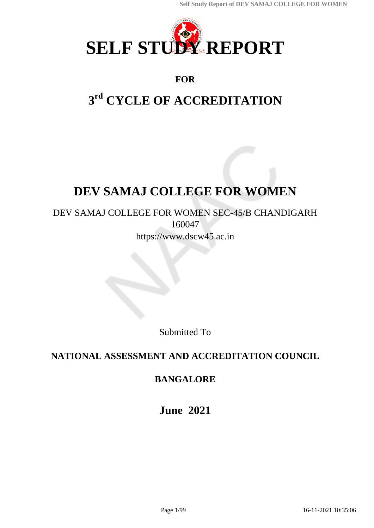

## **FOR**

# **3 rd CYCLE OF ACCREDITATION**

# **DEV SAMAJ COLLEGE FOR WOMEN**

## DEV SAMAJ COLLEGE FOR WOMEN SEC-45/B CHANDIGARH 160047 https://www.dscw45.ac.in

Submitted To

## **NATIONAL ASSESSMENT AND ACCREDITATION COUNCIL**

## **BANGALORE**

**June 2021**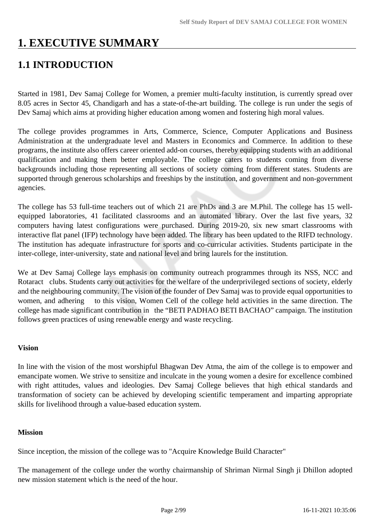# **1. EXECUTIVE SUMMARY**

## **1.1 INTRODUCTION**

Started in 1981, Dev Samaj College for Women, a premier multi-faculty institution, is currently spread over 8.05 acres in Sector 45, Chandigarh and has a state-of-the-art building. The college is run under the segis of Dev Samaj which aims at providing higher education among women and fostering high moral values.

The college provides programmes in Arts, Commerce, Science, Computer Applications and Business Administration at the undergraduate level and Masters in Economics and Commerce. In addition to these programs, the institute also offers career oriented add-on courses, thereby equipping students with an additional qualification and making them better employable. The college caters to students coming from diverse backgrounds including those representing all sections of society coming from different states. Students are supported through generous scholarships and freeships by the institution, and government and non-government agencies.

The college has 53 full-time teachers out of which 21 are PhDs and 3 are M.Phil. The college has 15 wellequipped laboratories, 41 facilitated classrooms and an automated library. Over the last five years, 32 computers having latest configurations were purchased. During 2019-20, six new smart classrooms with interactive flat panel (IFP) technology have been added. The library has been updated to the RIFD technology. The institution has adequate infrastructure for sports and co-curricular activities. Students participate in the inter-college, inter-university, state and national level and bring laurels for the institution.

We at Dev Samaj College lays emphasis on community outreach programmes through its NSS, NCC and Rotaract clubs. Students carry out activities for the welfare of the underprivileged sections of society, elderly and the neighbouring community. The vision of the founder of Dev Samaj was to provide equal opportunities to women, and adhering to this vision, Women Cell of the college held activities in the same direction. The college has made significant contribution in the "BETI PADHAO BETI BACHAO" campaign. The institution follows green practices of using renewable energy and waste recycling.

#### **Vision**

In line with the vision of the most worshipful Bhagwan Dev Atma, the aim of the college is to empower and emancipate women. We strive to sensitize and inculcate in the young women a desire for excellence combined with right attitudes, values and ideologies. Dev Samaj College believes that high ethical standards and transformation of society can be achieved by developing scientific temperament and imparting appropriate skills for livelihood through a value-based education system.

#### **Mission**

Since inception, the mission of the college was to "Acquire Knowledge Build Character"

The management of the college under the worthy chairmanship of Shriman Nirmal Singh ji Dhillon adopted new mission statement which is the need of the hour.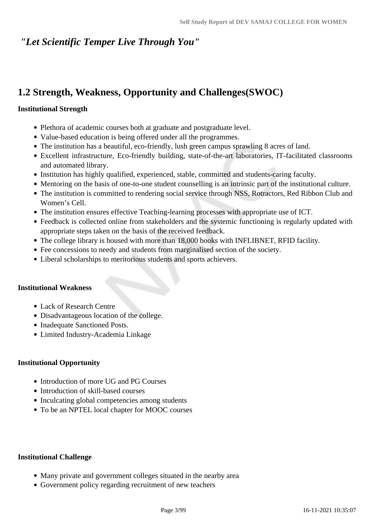## *"Let Scientific Temper Live Through You"*

## **1.2 Strength, Weakness, Opportunity and Challenges(SWOC)**

#### **Institutional Strength**

- Plethora of academic courses both at graduate and postgraduate level.
- Value-based education is being offered under all the programmes.
- The institution has a beautiful, eco-friendly, lush green campus sprawling 8 acres of land.
- Excellent infrastructure, Eco-friendly building, state-of-the-art laboratories, IT-facilitated classrooms and automated library.
- Institution has highly qualified, experienced, stable, committed and students-caring faculty.
- Mentoring on the basis of one-to-one student counselling is an intrinsic part of the institutional culture.
- The institution is committed to rendering social service through NSS, Rotractors, Red Ribbon Club and Women's Cell.
- The institution ensures effective Teaching-learning processes with appropriate use of ICT.
- Feedback is collected online from stakeholders and the systemic functioning is regularly updated with appropriate steps taken on the basis of the received feedback.
- The college library is housed with more than 18,000 books with INFLIBNET, RFID facility.
- Fee concessions to needy and students from marginalised section of the society.
- Liberal scholarships to meritorious students and sports achievers.

#### **Institutional Weakness**

- Lack of Research Centre
- Disadvantageous location of the college.
- Inadequate Sanctioned Posts.
- Limited Industry-Academia Linkage

#### **Institutional Opportunity**

- Introduction of more UG and PG Courses
- Introduction of skill-based courses
- Inculcating global competencies among students
- To be an NPTEL local chapter for MOOC courses

#### **Institutional Challenge**

- Many private and government colleges situated in the nearby area
- Government policy regarding recruitment of new teachers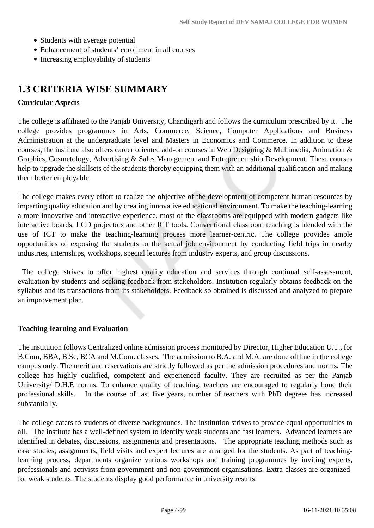- Students with average potential
- Enhancement of students' enrollment in all courses
- Increasing employability of students

## **1.3 CRITERIA WISE SUMMARY**

#### **Curricular Aspects**

The college is affiliated to the Panjab University, Chandigarh and follows the curriculum prescribed by it. The college provides programmes in Arts, Commerce, Science, Computer Applications and Business Administration at the undergraduate level and Masters in Economics and Commerce. In addition to these courses, the institute also offers career oriented add-on courses in Web Designing & Multimedia, Animation & Graphics, Cosmetology, Advertising & Sales Management and Entrepreneurship Development. These courses help to upgrade the skillsets of the students thereby equipping them with an additional qualification and making them better employable.

The college makes every effort to realize the objective of the development of competent human resources by imparting quality education and by creating innovative educational environment. To make the teaching-learning a more innovative and interactive experience, most of the classrooms are equipped with modern gadgets like interactive boards, LCD projectors and other ICT tools. Conventional classroom teaching is blended with the use of ICT to make the teaching-learning process more learner-centric. The college provides ample opportunities of exposing the students to the actual job environment by conducting field trips in nearby industries, internships, workshops, special lectures from industry experts, and group discussions.

 The college strives to offer highest quality education and services through continual self-assessment, evaluation by students and seeking feedback from stakeholders. Institution regularly obtains feedback on the syllabus and its transactions from its stakeholders. Feedback so obtained is discussed and analyzed to prepare an improvement plan.

#### **Teaching-learning and Evaluation**

The institution follows Centralized online admission process monitored by Director, Higher Education U.T., for B.Com, BBA, B.Sc, BCA and M.Com. classes. The admission to B.A. and M.A. are done offline in the college campus only. The merit and reservations are strictly followed as per the admission procedures and norms. The college has highly qualified, competent and experienced faculty. They are recruited as per the Panjab University/ D.H.E norms. To enhance quality of teaching, teachers are encouraged to regularly hone their professional skills. In the course of last five years, number of teachers with PhD degrees has increased substantially.

The college caters to students of diverse backgrounds. The institution strives to provide equal opportunities to all. The institute has a well-defined system to identify weak students and fast learners. Advanced learners are identified in debates, discussions, assignments and presentations. The appropriate teaching methods such as case studies, assignments, field visits and expert lectures are arranged for the students. As part of teachinglearning process, departments organize various workshops and training programmes by inviting experts, professionals and activists from government and non-government organisations. Extra classes are organized for weak students. The students display good performance in university results.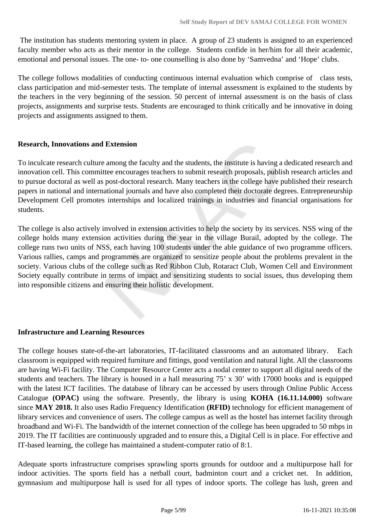The institution has students mentoring system in place. A group of 23 students is assigned to an experienced faculty member who acts as their mentor in the college. Students confide in her/him for all their academic, emotional and personal issues. The one- to- one counselling is also done by 'Samvedna' and 'Hope' clubs.

The college follows modalities of conducting continuous internal evaluation which comprise of class tests, class participation and mid-semester tests. The template of internal assessment is explained to the students by the teachers in the very beginning of the session. 50 percent of internal assessment is on the basis of class projects, assignments and surprise tests. Students are encouraged to think critically and be innovative in doing projects and assignments assigned to them.

#### **Research, Innovations and Extension**

To inculcate research culture among the faculty and the students, the institute is having a dedicated research and innovation cell. This committee encourages teachers to submit research proposals, publish research articles and to pursue doctoral as well as post-doctoral research. Many teachers in the college have published their research papers in national and international journals and have also completed their doctorate degrees. Entrepreneurship Development Cell promotes internships and localized trainings in industries and financial organisations for students.

The college is also actively involved in extension activities to help the society by its services. NSS wing of the college holds many extension activities during the year in the village Burail, adopted by the college. The college runs two units of NSS, each having 100 students under the able guidance of two programme officers. Various rallies, camps and programmes are organized to sensitize people about the problems prevalent in the society. Various clubs of the college such as Red Ribbon Club, Rotaract Club, Women Cell and Environment Society equally contribute in terms of impact and sensitizing students to social issues, thus developing them into responsible citizens and ensuring their holistic development.

#### **Infrastructure and Learning Resources**

The college houses state-of-the-art laboratories, IT-facilitated classrooms and an automated library. Each classroom is equipped with required furniture and fittings, good ventilation and natural light. All the classrooms are having Wi-Fi facility. The Computer Resource Center acts a nodal center to support all digital needs of the students and teachers. The library is housed in a hall measuring 75' x 30' with 17000 books and is equipped with the latest ICT facilities. The database of library can be accessed by users through Online Public Access Catalogue **(OPAC)** using the software. Presently, the library is using **KOHA (16.11.14.000)** software since **MAY 2018.** It also uses Radio Frequency Identification **(RFID)** technology for efficient management of library services and convenience of users. The college campus as well as the hostel has internet facility through broadband and Wi-Fi. The bandwidth of the internet connection of the college has been upgraded to 50 mbps in 2019. The IT facilities are continuously upgraded and to ensure this, a Digital Cell is in place. For effective and IT-based learning, the college has maintained a student-computer ratio of 8:1.

Adequate sports infrastructure comprises sprawling sports grounds for outdoor and a multipurpose hall for indoor activities. The sports field has a netball court, badminton court and a cricket net. In addition, gymnasium and multipurpose hall is used for all types of indoor sports. The college has lush, green and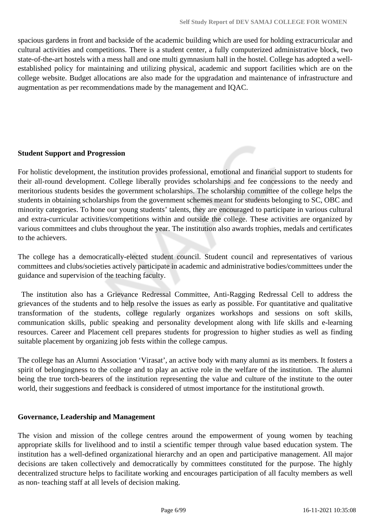spacious gardens in front and backside of the academic building which are used for holding extracurricular and cultural activities and competitions. There is a student center, a fully computerized administrative block, two state-of-the-art hostels with a mess hall and one multi gymnasium hall in the hostel. College has adopted a wellestablished policy for maintaining and utilizing physical, academic and support facilities which are on the college website. Budget allocations are also made for the upgradation and maintenance of infrastructure and augmentation as per recommendations made by the management and IQAC.

#### **Student Support and Progression**

For holistic development, the institution provides professional, emotional and financial support to students for their all-round development. College liberally provides scholarships and fee concessions to the needy and meritorious students besides the government scholarships. The scholarship committee of the college helps the students in obtaining scholarships from the government schemes meant for students belonging to SC, OBC and minority categories. To hone our young students' talents, they are encouraged to participate in various cultural and extra-curricular activities/competitions within and outside the college. These activities are organized by various committees and clubs throughout the year. The institution also awards trophies, medals and certificates to the achievers.

The college has a democratically-elected student council. Student council and representatives of various committees and clubs/societies actively participate in academic and administrative bodies/committees under the guidance and supervision of the teaching faculty.

 The institution also has a Grievance Redressal Committee, Anti-Ragging Redressal Cell to address the grievances of the students and to help resolve the issues as early as possible. For quantitative and qualitative transformation of the students, college regularly organizes workshops and sessions on soft skills, communication skills, public speaking and personality development along with life skills and e-learning resources. Career and Placement cell prepares students for progression to higher studies as well as finding suitable placement by organizing job fests within the college campus.

The college has an Alumni Association 'Virasat', an active body with many alumni as its members. It fosters a spirit of belongingness to the college and to play an active role in the welfare of the institution. The alumni being the true torch-bearers of the institution representing the value and culture of the institute to the outer world, their suggestions and feedback is considered of utmost importance for the institutional growth.

#### **Governance, Leadership and Management**

The vision and mission of the college centres around the empowerment of young women by teaching appropriate skills for livelihood and to instil a scientific temper through value based education system. The institution has a well-defined organizational hierarchy and an open and participative management. All major decisions are taken collectively and democratically by committees constituted for the purpose. The highly decentralized structure helps to facilitate working and encourages participation of all faculty members as well as non- teaching staff at all levels of decision making.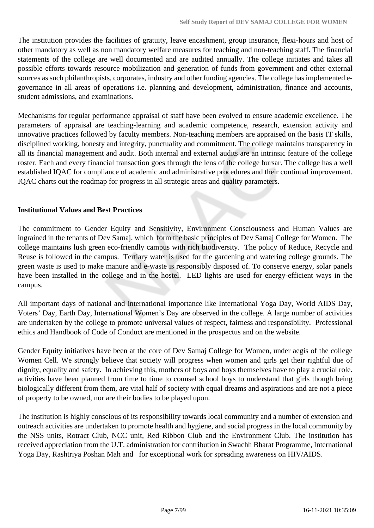The institution provides the facilities of gratuity, leave encashment, group insurance, flexi-hours and host of other mandatory as well as non mandatory welfare measures for teaching and non-teaching staff. The financial statements of the college are well documented and are audited annually. The college initiates and takes all possible efforts towards resource mobilization and generation of funds from government and other external sources as such philanthropists, corporates, industry and other funding agencies. The college has implemented egovernance in all areas of operations i.e. planning and development, administration, finance and accounts, student admissions, and examinations.

Mechanisms for regular performance appraisal of staff have been evolved to ensure academic excellence. The parameters of appraisal are teaching-learning and academic competence, research, extension activity and innovative practices followed by faculty members. Non-teaching members are appraised on the basis IT skills, disciplined working, honesty and integrity, punctuality and commitment. The college maintains transparency in all its financial management and audit. Both internal and external audits are an intrinsic feature of the college roster. Each and every financial transaction goes through the lens of the college bursar. The college has a well established IQAC for compliance of academic and administrative procedures and their continual improvement. IQAC charts out the roadmap for progress in all strategic areas and quality parameters.

#### **Institutional Values and Best Practices**

The commitment to Gender Equity and Sensitivity, Environment Consciousness and Human Values are ingrained in the tenants of Dev Samaj, which form the basic principles of Dev Samaj College for Women. The college maintains lush green eco-friendly campus with rich biodiversity. The policy of Reduce, Recycle and Reuse is followed in the campus. Tertiary water is used for the gardening and watering college grounds. The green waste is used to make manure and e-waste is responsibly disposed of. To conserve energy, solar panels have been installed in the college and in the hostel. LED lights are used for energy-efficient ways in the campus.

All important days of national and international importance like International Yoga Day, World AIDS Day, Voters' Day, Earth Day, International Women's Day are observed in the college. A large number of activities are undertaken by the college to promote universal values of respect, fairness and responsibility. Professional ethics and Handbook of Code of Conduct are mentioned in the prospectus and on the website.

Gender Equity initiatives have been at the core of Dev Samaj College for Women, under aegis of the college Women Cell. We strongly believe that society will progress when women and girls get their rightful due of dignity, equality and safety. In achieving this, mothers of boys and boys themselves have to play a crucial role. activities have been planned from time to time to counsel school boys to understand that girls though being biologically different from them, are vital half of society with equal dreams and aspirations and are not a piece of property to be owned, nor are their bodies to be played upon.

The institution is highly conscious of its responsibility towards local community and a number of extension and outreach activities are undertaken to promote health and hygiene, and social progress in the local community by the NSS units, Rotract Club, NCC unit, Red Ribbon Club and the Environment Club. The institution has received appreciation from the U.T. administration for contribution in Swachh Bharat Programme, International Yoga Day, Rashtriya Poshan Mah and for exceptional work for spreading awareness on HIV/AIDS.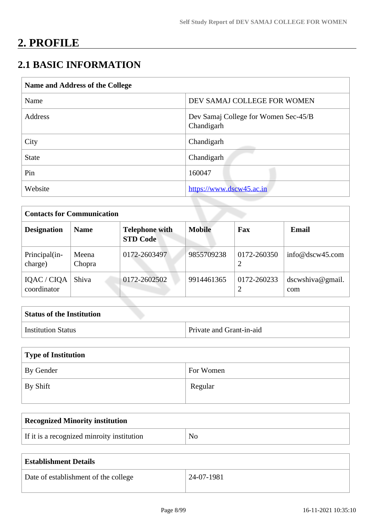# **2. PROFILE**

## **2.1 BASIC INFORMATION**

| Name and Address of the College |                                                    |  |  |
|---------------------------------|----------------------------------------------------|--|--|
| Name                            | DEV SAMAJ COLLEGE FOR WOMEN                        |  |  |
| Address                         | Dev Samaj College for Women Sec-45/B<br>Chandigarh |  |  |
| City                            | Chandigarh                                         |  |  |
| <b>State</b>                    | Chandigarh                                         |  |  |
| Pin                             | 160047                                             |  |  |
| Website                         | https://www.dscw45.ac.in                           |  |  |

| <b>Contacts for Communication</b> |                 |                                          |               |                  |                         |
|-----------------------------------|-----------------|------------------------------------------|---------------|------------------|-------------------------|
| <b>Designation</b>                | <b>Name</b>     | <b>Telephone with</b><br><b>STD Code</b> | <b>Mobile</b> | Fax              | <b>Email</b>            |
| Principal(in-<br>charge)          | Meena<br>Chopra | 0172-2603497                             | 9855709238    | 0172-260350<br>2 | info@dscw45.com         |
| IQAC / CIQA<br>coordinator        | Shiva           | 0172-2602502                             | 9914461365    | 0172-260233      | dscwshiva@gmail.<br>com |

| <b>Status of the Institution</b> |                          |
|----------------------------------|--------------------------|
| <b>Institution Status</b>        | Private and Grant-in-aid |

| Type of Institution   |           |  |
|-----------------------|-----------|--|
| By Gender             | For Women |  |
| $\mathsf{I}$ By Shift | Regular   |  |

| <b>Recognized Minority institution</b>     |    |
|--------------------------------------------|----|
| If it is a recognized minroity institution | No |

| <b>Establishment Details</b>         |            |
|--------------------------------------|------------|
| Date of establishment of the college | 24-07-1981 |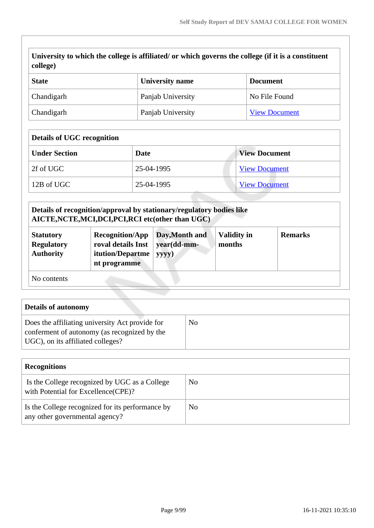| University to which the college is affiliated/ or which governs the college (if it is a constituent<br>college) |                   |                      |  |
|-----------------------------------------------------------------------------------------------------------------|-------------------|----------------------|--|
| <b>State</b>                                                                                                    | University name   | <b>Document</b>      |  |
| Chandigarh                                                                                                      | Panjab University | No File Found        |  |
| Chandigarh                                                                                                      | Panjab University | <b>View Document</b> |  |

| <b>Details of UGC recognition</b> |            |                      |  |
|-----------------------------------|------------|----------------------|--|
| <b>Under Section</b>              | Date       | <b>View Document</b> |  |
| 2f of UGC                         | 25-04-1995 | <b>View Document</b> |  |
| 12B of UGC                        | 25-04-1995 | <b>View Document</b> |  |

|                                                           | Details of recognition/approval by stationary/regulatory bodies like<br>AICTE, NCTE, MCI, DCI, PCI, RCI etc(other than UGC) |                                        |                              |                |
|-----------------------------------------------------------|-----------------------------------------------------------------------------------------------------------------------------|----------------------------------------|------------------------------|----------------|
| <b>Statutory</b><br><b>Regulatory</b><br><b>Authority</b> | <b>Recognition/App</b><br>roval details Inst<br>itution/Departme<br>nt programme                                            | Day, Month and<br>year(dd-mm-<br>yyyy) | <b>Validity in</b><br>months | <b>Remarks</b> |
| No contents                                               |                                                                                                                             |                                        |                              |                |

| <b>Details of autonomy</b>                                                                                                           |    |
|--------------------------------------------------------------------------------------------------------------------------------------|----|
| Does the affiliating university Act provide for<br>conferment of autonomy (as recognized by the<br>UGC), on its affiliated colleges? | No |

| <b>Recognitions</b>                                                                   |     |
|---------------------------------------------------------------------------------------|-----|
| Is the College recognized by UGC as a College<br>with Potential for Excellence (CPE)? | No  |
| Is the College recognized for its performance by<br>any other governmental agency?    | No. |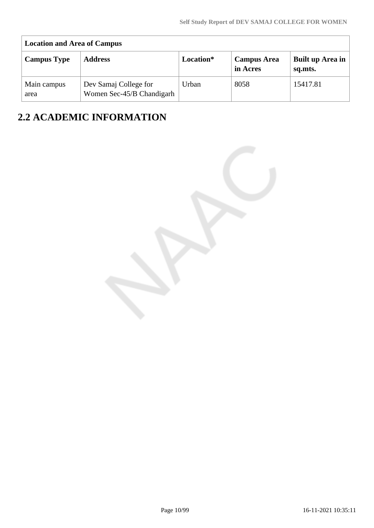| <b>Location and Area of Campus</b> |                                                    |           |                                |                             |
|------------------------------------|----------------------------------------------------|-----------|--------------------------------|-----------------------------|
| <b>Campus Type</b>                 | <b>Address</b>                                     | Location* | <b>Campus Area</b><br>in Acres | Built up Area in<br>sq.mts. |
| Main campus<br>area                | Dev Samaj College for<br>Women Sec-45/B Chandigarh | Urban     | 8058                           | 15417.81                    |

# **2.2 ACADEMIC INFORMATION**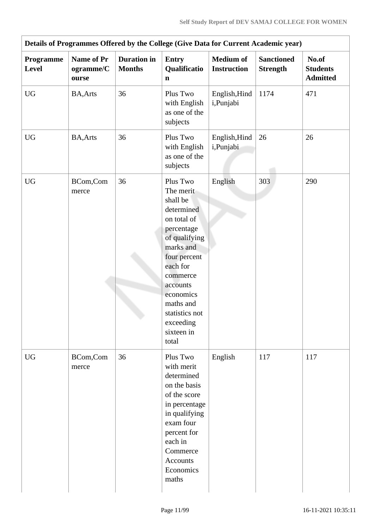|                           |                                         |                                     | Details of Programmes Offered by the College (Give Data for Current Academic year)                                                                                                                                                             |                                        |                                      |                                             |
|---------------------------|-----------------------------------------|-------------------------------------|------------------------------------------------------------------------------------------------------------------------------------------------------------------------------------------------------------------------------------------------|----------------------------------------|--------------------------------------|---------------------------------------------|
| Programme<br><b>Level</b> | <b>Name of Pr</b><br>ogramme/C<br>ourse | <b>Duration</b> in<br><b>Months</b> | <b>Entry</b><br>Qualificatio<br>$\mathbf n$                                                                                                                                                                                                    | <b>Medium of</b><br><b>Instruction</b> | <b>Sanctioned</b><br><b>Strength</b> | No.of<br><b>Students</b><br><b>Admitted</b> |
| <b>UG</b>                 | <b>BA, Arts</b>                         | 36                                  | Plus Two<br>with English<br>as one of the<br>subjects                                                                                                                                                                                          | English, Hind<br>i,Punjabi             | 1174                                 | 471                                         |
| <b>UG</b>                 | <b>BA, Arts</b>                         | 36                                  | Plus Two<br>with English<br>as one of the<br>subjects                                                                                                                                                                                          | English, Hind<br>i,Punjabi             | 26                                   | 26                                          |
| <b>UG</b>                 | BCom,Com<br>merce                       | 36                                  | Plus Two<br>The merit<br>shall be<br>determined<br>on total of<br>percentage<br>of qualifying<br>marks and<br>four percent<br>each for<br>commerce<br>accounts<br>economics<br>maths and<br>statistics not<br>exceeding<br>sixteen in<br>total | English                                | 303                                  | 290                                         |
| <b>UG</b>                 | BCom,Com<br>merce                       | 36                                  | Plus Two<br>with merit<br>determined<br>on the basis<br>of the score<br>in percentage<br>in qualifying<br>exam four<br>percent for<br>each in<br>Commerce<br>Accounts<br>Economics<br>maths                                                    | English                                | 117                                  | 117                                         |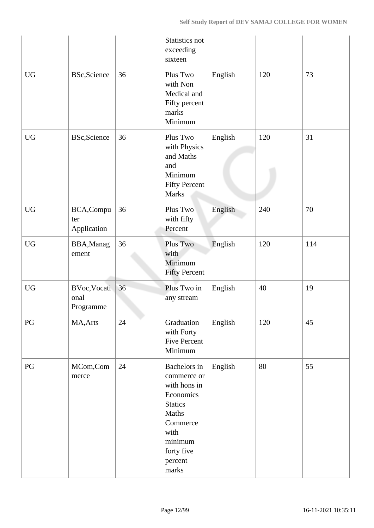|                  |                                   |    | Statistics not<br>exceeding<br>sixteen                                                                                                                                |         |     |     |
|------------------|-----------------------------------|----|-----------------------------------------------------------------------------------------------------------------------------------------------------------------------|---------|-----|-----|
| $\rm U G$        | <b>BSc, Science</b>               | 36 | Plus Two<br>with Non<br>Medical and<br>Fifty percent<br>marks<br>Minimum                                                                                              | English | 120 | 73  |
| ${\rm U}{\rm G}$ | BSc, Science                      | 36 | Plus Two<br>with Physics<br>and Maths<br>and<br>Minimum<br><b>Fifty Percent</b><br><b>Marks</b>                                                                       | English | 120 | 31  |
| <b>UG</b>        | BCA, Compu<br>ter<br>Application  | 36 | Plus Two<br>with fifty<br>Percent                                                                                                                                     | English | 240 | 70  |
| <b>UG</b>        | BBA, Manag<br>ement               | 36 | Plus Two<br>with<br>Minimum<br><b>Fifty Percent</b>                                                                                                                   | English | 120 | 114 |
| <b>UG</b>        | BVoc, Vocati<br>onal<br>Programme | 36 | Plus Two in<br>any stream                                                                                                                                             | English | 40  | 19  |
| PG               | MA, Arts                          | 24 | Graduation<br>with Forty<br><b>Five Percent</b><br>Minimum                                                                                                            | English | 120 | 45  |
| PG               | MCom,Com<br>merce                 | 24 | Bachelors in<br>commerce or<br>with hons in<br>Economics<br><b>Statics</b><br>Maths<br>Commerce<br>with<br>minimum<br>forty five<br>percent<br>$\operatorname{marks}$ | English | 80  | 55  |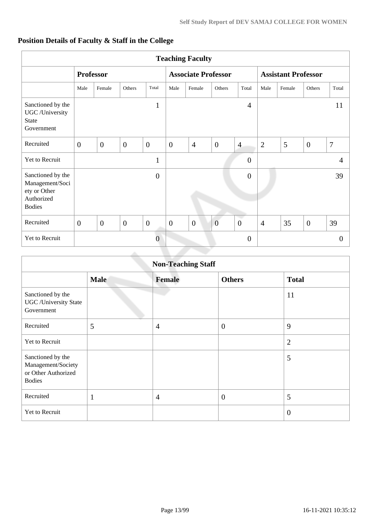## **Position Details of Faculty & Staff in the College**

|                                                                                     | <b>Teaching Faculty</b> |                |              |                  |                            |                |                |                            |                |        |                |                |
|-------------------------------------------------------------------------------------|-------------------------|----------------|--------------|------------------|----------------------------|----------------|----------------|----------------------------|----------------|--------|----------------|----------------|
|                                                                                     | <b>Professor</b>        |                |              |                  | <b>Associate Professor</b> |                |                | <b>Assistant Professor</b> |                |        |                |                |
|                                                                                     | Male                    | Female         | Others       | Total            | Male                       | Female         | Others         | Total                      | Male           | Female | Others         | Total          |
| Sanctioned by the<br>UGC /University<br><b>State</b><br>Government                  |                         |                |              | $\mathbf{1}$     |                            |                |                | $\overline{4}$             |                |        |                | 11             |
| Recruited                                                                           | $\overline{0}$          | $\overline{0}$ | $\mathbf{0}$ | $\overline{0}$   | $\overline{0}$             | $\overline{4}$ | $\overline{0}$ | $\overline{4}$             | $\overline{2}$ | 5      | $\overline{0}$ | $\overline{7}$ |
| Yet to Recruit                                                                      |                         |                |              | $\mathbf{1}$     |                            |                |                | $\overline{0}$             |                |        |                | $\overline{4}$ |
| Sanctioned by the<br>Management/Soci<br>ety or Other<br>Authorized<br><b>Bodies</b> |                         |                |              | $\boldsymbol{0}$ |                            |                |                | $\overline{0}$             |                |        |                | 39             |
| Recruited                                                                           | $\overline{0}$          | $\mathbf{0}$   | $\theta$     | $\boldsymbol{0}$ | $\overline{0}$             | $\mathbf{0}$   | $\overline{0}$ | $\mathbf{0}$               | $\overline{4}$ | 35     | $\overline{0}$ | 39             |
| Yet to Recruit                                                                      |                         |                |              | $\Omega$         |                            |                |                | $\overline{0}$             |                |        |                | $\overline{0}$ |

|                                                                                 |              | <b>Non-Teaching Staff</b> |                |                |
|---------------------------------------------------------------------------------|--------------|---------------------------|----------------|----------------|
|                                                                                 | <b>Male</b>  | <b>Female</b>             | <b>Others</b>  | <b>Total</b>   |
| Sanctioned by the<br><b>UGC</b> / University State<br>Government                |              |                           |                | 11             |
| Recruited                                                                       | 5            | $\overline{4}$            | $\overline{0}$ | 9              |
| Yet to Recruit                                                                  |              |                           |                | $\overline{2}$ |
| Sanctioned by the<br>Management/Society<br>or Other Authorized<br><b>Bodies</b> |              |                           |                | 5              |
| Recruited                                                                       | $\mathbf{1}$ | $\overline{4}$            | $\overline{0}$ | 5              |
| Yet to Recruit                                                                  |              |                           |                | $\overline{0}$ |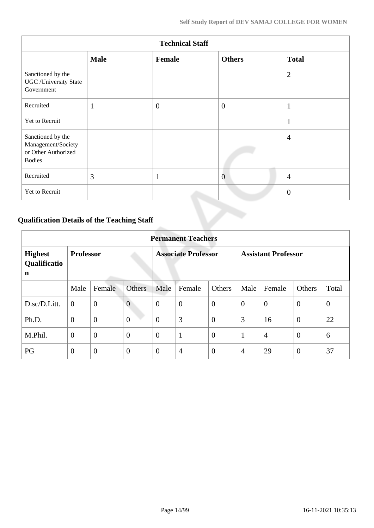|                                                                                 |              | <b>Technical Staff</b> |                |                |
|---------------------------------------------------------------------------------|--------------|------------------------|----------------|----------------|
|                                                                                 | <b>Male</b>  | Female                 | <b>Others</b>  | <b>Total</b>   |
| Sanctioned by the<br><b>UGC</b> /University State<br>Government                 |              |                        |                | $\overline{2}$ |
| Recruited                                                                       | $\mathbf{1}$ | $\mathbf{0}$           | $\theta$       | $\mathbf{1}$   |
| Yet to Recruit                                                                  |              |                        |                | $\mathbf{1}$   |
| Sanctioned by the<br>Management/Society<br>or Other Authorized<br><b>Bodies</b> |              |                        |                | $\overline{4}$ |
| Recruited                                                                       | 3            | л                      | $\overline{0}$ | $\overline{4}$ |
| Yet to Recruit                                                                  |              |                        |                | $\theta$       |

## **Qualification Details of the Teaching Staff**

|                                     | <b>Permanent Teachers</b> |                |                |                            |                |                |                            |                |                |                |  |
|-------------------------------------|---------------------------|----------------|----------------|----------------------------|----------------|----------------|----------------------------|----------------|----------------|----------------|--|
| <b>Highest</b><br>Qualificatio<br>n | <b>Professor</b>          |                |                | <b>Associate Professor</b> |                |                | <b>Assistant Professor</b> |                |                |                |  |
|                                     | Male                      | Female         | <b>Others</b>  | Male                       | Female         | Others         | Male                       | Female         | <b>Others</b>  | Total          |  |
| D.sc/D.Litt.                        | $\overline{0}$            | $\overline{0}$ | $\overline{0}$ | $\overline{0}$             | $\overline{0}$ | $\overline{0}$ | $\theta$                   | $\overline{0}$ | $\overline{0}$ | $\overline{0}$ |  |
| Ph.D.                               | $\overline{0}$            | $\overline{0}$ | $\overline{0}$ | $\overline{0}$             | 3              | $\overline{0}$ | 3                          | 16             | $\overline{0}$ | 22             |  |
| M.Phil.                             | $\boldsymbol{0}$          | $\overline{0}$ | $\overline{0}$ | $\overline{0}$             | $\mathbf{1}$   | $\overline{0}$ | 1                          | $\overline{4}$ | $\overline{0}$ | 6              |  |
| PG                                  | $\theta$                  | $\overline{0}$ | $\overline{0}$ | $\theta$                   | $\overline{4}$ | $\overline{0}$ | $\overline{4}$             | 29             | $\overline{0}$ | 37             |  |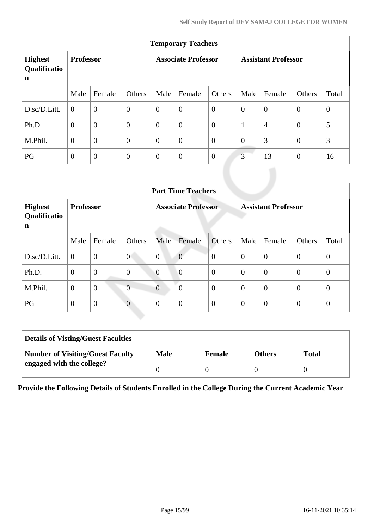| <b>Temporary Teachers</b>                     |                  |                |                  |                            |                |                |                            |                |                |                |  |  |
|-----------------------------------------------|------------------|----------------|------------------|----------------------------|----------------|----------------|----------------------------|----------------|----------------|----------------|--|--|
| <b>Highest</b><br>Qualificatio<br>$\mathbf n$ | <b>Professor</b> |                |                  | <b>Associate Professor</b> |                |                | <b>Assistant Professor</b> |                |                |                |  |  |
|                                               | Male             | Female         | Others           | Male                       | Female         | Others         | Male                       | Female         | Others         | Total          |  |  |
| D.sc/D.Litt.                                  | $\theta$         | $\overline{0}$ | $\boldsymbol{0}$ | $\overline{0}$             | $\overline{0}$ | $\overline{0}$ | $\overline{0}$             | $\overline{0}$ | $\overline{0}$ | $\overline{0}$ |  |  |
| Ph.D.                                         | $\overline{0}$   | $\overline{0}$ | $\overline{0}$   | $\overline{0}$             | $\overline{0}$ | $\overline{0}$ | $\mathbf{1}$               | $\overline{4}$ | $\overline{0}$ | 5              |  |  |
| M.Phil.                                       | $\overline{0}$   | $\overline{0}$ | $\overline{0}$   | $\overline{0}$             | $\overline{0}$ | $\overline{0}$ | $\overline{0}$             | 3              | $\overline{0}$ | 3              |  |  |
| PG                                            | $\theta$         | $\overline{0}$ | $\theta$         | $\theta$                   | $\theta$       | $\theta$       | 3                          | 13             | $\overline{0}$ | 16             |  |  |

|                                     | <b>Part Time Teachers</b> |                |                  |                            |                |                |                            |                |                |                |  |
|-------------------------------------|---------------------------|----------------|------------------|----------------------------|----------------|----------------|----------------------------|----------------|----------------|----------------|--|
| <b>Highest</b><br>Qualificatio<br>n | <b>Professor</b>          |                |                  | <b>Associate Professor</b> |                |                | <b>Assistant Professor</b> |                |                |                |  |
|                                     | Male                      | Female         | Others           | Male                       | Female         | Others         | Male                       | Female         | Others         | Total          |  |
| D.sc/D.Litt.                        | $\overline{0}$            | $\overline{0}$ | $\overline{0}$   | $\overline{0}$             | $\overline{0}$ | $\overline{0}$ | $\overline{0}$             | $\overline{0}$ | $\overline{0}$ | $\theta$       |  |
| Ph.D.                               | $\mathbf{0}$              | $\overline{0}$ | $\boldsymbol{0}$ | $\overline{0}$             | $\overline{0}$ | $\overline{0}$ | $\overline{0}$             | $\overline{0}$ | $\overline{0}$ | $\theta$       |  |
| M.Phil.                             | $\overline{0}$            | $\overline{0}$ | $\overline{0}$   | $\overline{0}$             | $\theta$       | $\mathbf{0}$   | $\overline{0}$             | $\overline{0}$ | $\mathbf{0}$   | $\theta$       |  |
| PG                                  | $\theta$                  | $\mathbf{0}$   | $\overline{0}$   | $\overline{0}$             | $\overline{0}$ | $\overline{0}$ | $\boldsymbol{0}$           | $\mathbf{0}$   | $\theta$       | $\overline{0}$ |  |

| <b>Details of Visting/Guest Faculties</b> |             |               |               |              |
|-------------------------------------------|-------------|---------------|---------------|--------------|
| <b>Number of Visiting/Guest Faculty</b>   | <b>Male</b> | <b>Female</b> | <b>Others</b> | <b>Total</b> |
| engaged with the college?                 |             |               |               |              |

**Provide the Following Details of Students Enrolled in the College During the Current Academic Year**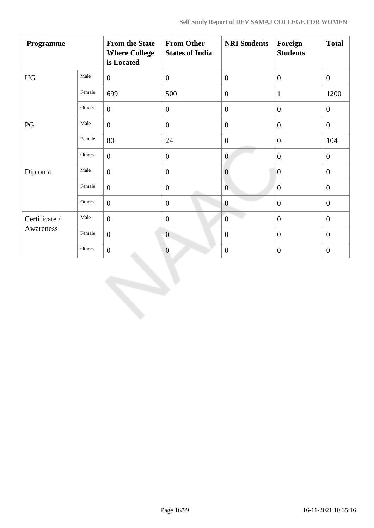| Programme              |        | <b>From the State</b><br><b>Where College</b><br>is Located | <b>From Other</b><br><b>States of India</b> | <b>NRI Students</b> | Foreign<br><b>Students</b> | <b>Total</b>     |
|------------------------|--------|-------------------------------------------------------------|---------------------------------------------|---------------------|----------------------------|------------------|
| <b>UG</b>              | Male   | $\overline{0}$                                              | $\boldsymbol{0}$                            | $\overline{0}$      | $\overline{0}$             | $\mathbf{0}$     |
|                        | Female | 699                                                         | 500                                         | $\boldsymbol{0}$    | $\mathbf{1}$               | 1200             |
|                        | Others | $\overline{0}$                                              | $\boldsymbol{0}$                            | $\boldsymbol{0}$    | $\boldsymbol{0}$           | $\boldsymbol{0}$ |
| $\mathbf{P}\mathbf{G}$ | Male   | $\overline{0}$                                              | $\boldsymbol{0}$                            | $\boldsymbol{0}$    | $\overline{0}$             | $\boldsymbol{0}$ |
|                        | Female | 80                                                          | 24                                          | $\boldsymbol{0}$    | $\overline{0}$             | 104              |
|                        | Others | $\overline{0}$                                              | $\theta$                                    | $\overline{0}$      | $\overline{0}$             | $\overline{0}$   |
| Diploma                | Male   | $\overline{0}$                                              | $\boldsymbol{0}$                            | $\overline{0}$      | $\overline{0}$             | $\theta$         |
|                        | Female | $\overline{0}$                                              | $\boldsymbol{0}$                            | $\overline{0}$      | $\boldsymbol{0}$           | $\boldsymbol{0}$ |
|                        | Others | $\overline{0}$                                              | $\boldsymbol{0}$                            | $\overline{0}$      | $\overline{0}$             | $\overline{0}$   |
| Certificate /          | Male   | $\overline{0}$                                              | $\boldsymbol{0}$                            | $\overline{0}$      | $\overline{0}$             | $\overline{0}$   |
| Awareness              | Female | $\overline{0}$                                              | $\overline{0}$                              | $\overline{0}$      | $\overline{0}$             | $\overline{0}$   |
|                        | Others | $\overline{0}$                                              | $\boldsymbol{0}$                            | $\theta$            | $\boldsymbol{0}$           | $\boldsymbol{0}$ |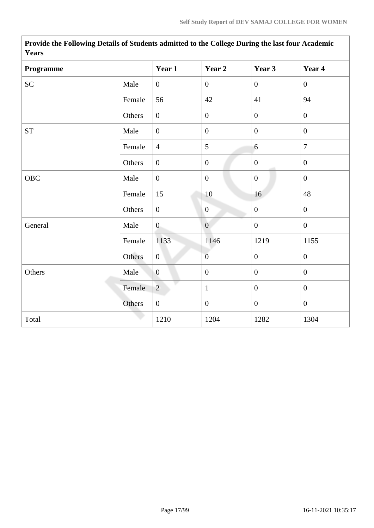| <b>Y</b> ears |        |                  |                  |                  |                  |
|---------------|--------|------------------|------------------|------------------|------------------|
| Programme     |        | Year 1           | Year 2           | Year 3           | Year 4           |
| <b>SC</b>     | Male   | $\overline{0}$   | $\overline{0}$   | $\overline{0}$   | $\boldsymbol{0}$ |
|               | Female | 56               | 42               | 41               | 94               |
|               | Others | $\boldsymbol{0}$ | $\boldsymbol{0}$ | $\overline{0}$   | $\overline{0}$   |
| ${\cal ST}$   | Male   | $\overline{0}$   | $\boldsymbol{0}$ | $\overline{0}$   | $\mathbf{0}$     |
|               | Female | $\overline{4}$   | 5                | 6                | $\overline{7}$   |
|               | Others | $\boldsymbol{0}$ | $\boldsymbol{0}$ | $\boldsymbol{0}$ | $\mathbf{0}$     |
| OBC           | Male   | $\boldsymbol{0}$ | $\boldsymbol{0}$ | $\overline{0}$   | $\mathbf{0}$     |
|               | Female | 15               | 10               | 16               | 48               |
|               | Others | $\overline{0}$   | $\mathbf{0}$     | $\boldsymbol{0}$ | $\mathbf{0}$     |
| General       | Male   | $\overline{0}$   | $\boldsymbol{0}$ | $\boldsymbol{0}$ | $\boldsymbol{0}$ |
|               | Female | 1133             | 1146             | 1219             | 1155             |
|               | Others | $\overline{0}$   | $\overline{0}$   | $\overline{0}$   | $\overline{0}$   |
| Others        | Male   | $\overline{0}$   | $\mathbf{0}$     | $\mathbf{0}$     | $\overline{0}$   |
|               | Female | $\overline{2}$   | $\mathbf{1}$     | $\overline{0}$   | $\overline{0}$   |
|               | Others | $\boldsymbol{0}$ | $\boldsymbol{0}$ | $\overline{0}$   | $\boldsymbol{0}$ |
| Total         |        | 1210             | 1204             | 1282             | 1304             |

**Provide the Following Details of Students admitted to the College During the last four Academic Years**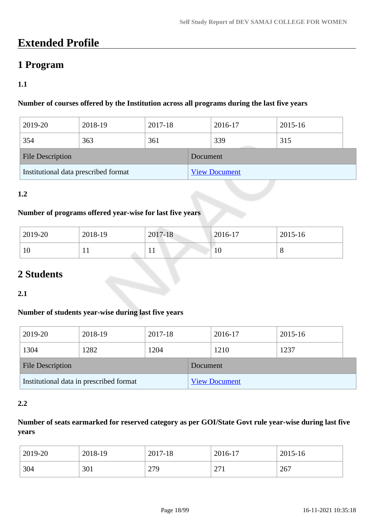# **Extended Profile**

## **1 Program**

## **1.1**

### **Number of courses offered by the Institution across all programs during the last five years**

| 2019-20                              | 2018-19 | 2017-18 |  | 2016-17              | 2015-16 |  |
|--------------------------------------|---------|---------|--|----------------------|---------|--|
| 354                                  | 363     | 361     |  | 339                  | 315     |  |
| <b>File Description</b>              |         |         |  | Document             |         |  |
| Institutional data prescribed format |         |         |  | <b>View Document</b> |         |  |

## **1.2**

#### **Number of programs offered year-wise for last five years**

| 2019-20 | 2018-19 | 2017-18 | $ 2016-17$ | 2015-16 |
|---------|---------|---------|------------|---------|
| 10      | . .     | 11      | 10         | v       |

## **2 Students**

#### **2.1**

#### **Number of students year-wise during last five years**

| 2019-20                                 | 2018-19 | 2017-18  |                      | 2016-17 | 2015-16 |  |
|-----------------------------------------|---------|----------|----------------------|---------|---------|--|
| 1304                                    | 1282    | 1204     |                      | 1210    | 1237    |  |
| <b>File Description</b>                 |         | Document |                      |         |         |  |
| Institutional data in prescribed format |         |          | <b>View Document</b> |         |         |  |

#### **2.2**

## **Number of seats earmarked for reserved category as per GOI/State Govt rule year-wise during last five years**

| 2019-20 | 2018-19 | 2017-18 | 2016-17         | 2015-16 |
|---------|---------|---------|-----------------|---------|
| 304     | 301     | 279     | $\Omega$<br>211 | 267     |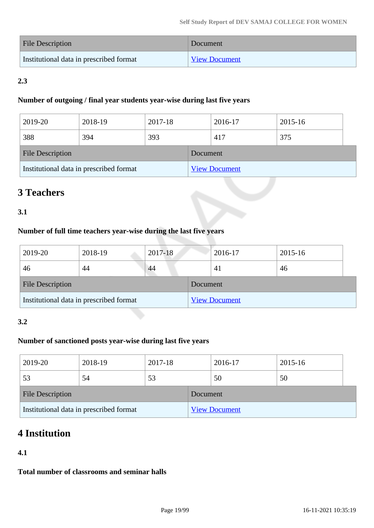| <b>File Description</b>                 | Document             |
|-----------------------------------------|----------------------|
| Institutional data in prescribed format | <b>View Document</b> |

## **2.3**

#### **Number of outgoing / final year students year-wise during last five years**

| 2019-20                                 | 2018-19 | 2017-18  |                      | 2016-17 | 2015-16 |  |
|-----------------------------------------|---------|----------|----------------------|---------|---------|--|
| 388                                     | 394     | 393      |                      | 417     | 375     |  |
| <b>File Description</b>                 |         | Document |                      |         |         |  |
| Institutional data in prescribed format |         |          | <b>View Document</b> |         |         |  |

## **3 Teachers**

## **3.1**

## **Number of full time teachers year-wise during the last five years**

| 2019-20                                 | 2018-19 | 2017-18  |                      | 2016-17 | 2015-16 |
|-----------------------------------------|---------|----------|----------------------|---------|---------|
| 46                                      | 44      | 44       |                      | 41      | 46      |
| <b>File Description</b>                 |         | Document |                      |         |         |
| Institutional data in prescribed format |         |          | <b>View Document</b> |         |         |

## **3.2**

## **Number of sanctioned posts year-wise during last five years**

| 2019-20                                 | 2018-19 | 2017-18  |                      | 2016-17 | 2015-16 |  |
|-----------------------------------------|---------|----------|----------------------|---------|---------|--|
| 53                                      | 54      | 53       |                      | 50      | 50      |  |
| <b>File Description</b>                 |         | Document |                      |         |         |  |
| Institutional data in prescribed format |         |          | <b>View Document</b> |         |         |  |

## **4 Institution**

## **4.1**

**Total number of classrooms and seminar halls**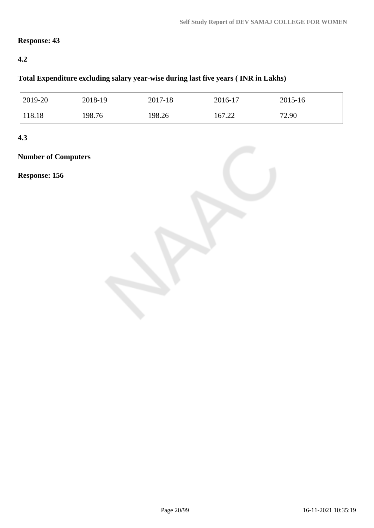## **Response: 43**

## **4.2**

## **Total Expenditure excluding salary year-wise during last five years ( INR in Lakhs)**

| $2019-20$ | 2018-19 | 2017-18 | 2016-17 | 2015-16 |
|-----------|---------|---------|---------|---------|
| 118.18    | 198.76  | 198.26  | 167.22  | 72.90   |

## **4.3**

## **Number of Computers**

#### **Response: 156**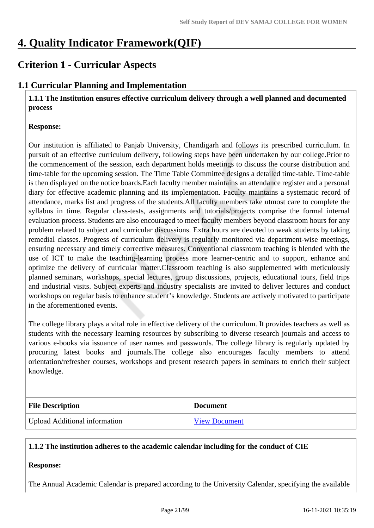# **4. Quality Indicator Framework(QIF)**

## **Criterion 1 - Curricular Aspects**

## **1.1 Curricular Planning and Implementation**

 **1.1.1 The Institution ensures effective curriculum delivery through a well planned and documented process**

#### **Response:**

Our institution is affiliated to Panjab University, Chandigarh and follows its prescribed curriculum. In pursuit of an effective curriculum delivery, following steps have been undertaken by our college.Prior to the commencement of the session, each department holds meetings to discuss the course distribution and time-table for the upcoming session. The Time Table Committee designs a detailed time-table. Time-table is then displayed on the notice boards.Each faculty member maintains an attendance register and a personal diary for effective academic planning and its implementation. Faculty maintains a systematic record of attendance, marks list and progress of the students.All faculty members take utmost care to complete the syllabus in time. Regular class-tests, assignments and tutorials/projects comprise the formal internal evaluation process. Students are also encouraged to meet faculty members beyond classroom hours for any problem related to subject and curricular discussions. Extra hours are devoted to weak students by taking remedial classes. Progress of curriculum delivery is regularly monitored via department-wise meetings, ensuring necessary and timely corrective measures. Conventional classroom teaching is blended with the use of ICT to make the teaching-learning process more learner-centric and to support, enhance and optimize the delivery of curricular matter.Classroom teaching is also supplemented with meticulously planned seminars, workshops, special lectures, group discussions, projects, educational tours, field trips and industrial visits. Subject experts and industry specialists are invited to deliver lectures and conduct workshops on regular basis to enhance student's knowledge. Students are actively motivated to participate in the aforementioned events.

The college library plays a vital role in effective delivery of the curriculum. It provides teachers as well as students with the necessary learning resources by subscribing to diverse research journals and access to various e-books via issuance of user names and passwords. The college library is regularly updated by procuring latest books and journals.The college also encourages faculty members to attend orientation/refresher courses, workshops and present research papers in seminars to enrich their subject knowledge.

| <b>File Description</b>              | <b>Document</b>      |
|--------------------------------------|----------------------|
| <b>Upload Additional information</b> | <b>View Document</b> |

## **1.1.2 The institution adheres to the academic calendar including for the conduct of CIE**

#### **Response:**

The Annual Academic Calendar is prepared according to the University Calendar, specifying the available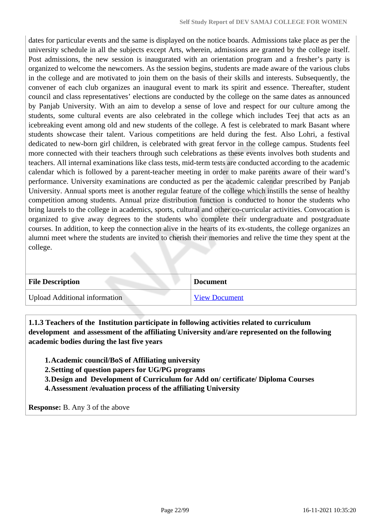dates for particular events and the same is displayed on the notice boards. Admissions take place as per the university schedule in all the subjects except Arts, wherein, admissions are granted by the college itself. Post admissions, the new session is inaugurated with an orientation program and a fresher's party is organized to welcome the newcomers. As the session begins, students are made aware of the various clubs in the college and are motivated to join them on the basis of their skills and interests. Subsequently, the convener of each club organizes an inaugural event to mark its spirit and essence. Thereafter, student council and class representatives' elections are conducted by the college on the same dates as announced by Panjab University. With an aim to develop a sense of love and respect for our culture among the students, some cultural events are also celebrated in the college which includes Teej that acts as an icebreaking event among old and new students of the college. A fest is celebrated to mark Basant where students showcase their talent. Various competitions are held during the fest. Also Lohri, a festival dedicated to new-born girl children, is celebrated with great fervor in the college campus. Students feel more connected with their teachers through such celebrations as these events involves both students and teachers. All internal examinations like class tests, mid-term tests are conducted according to the academic calendar which is followed by a parent-teacher meeting in order to make parents aware of their ward's performance. University examinations are conducted as per the academic calendar prescribed by Panjab University. Annual sports meet is another regular feature of the college which instills the sense of healthy competition among students. Annual prize distribution function is conducted to honor the students who bring laurels to the college in academics, sports, cultural and other co-curricular activities. Convocation is organized to give away degrees to the students who complete their undergraduate and postgraduate courses. In addition, to keep the connection alive in the hearts of its ex-students, the college organizes an alumni meet where the students are invited to cherish their memories and relive the time they spent at the college.

| <b>File Description</b>              | <b>Document</b>      |
|--------------------------------------|----------------------|
| <b>Upload Additional information</b> | <b>View Document</b> |

 **1.1.3 Teachers of the Institution participate in following activities related to curriculum development and assessment of the affiliating University and/are represented on the following academic bodies during the last five years** 

- **1.Academic council/BoS of Affiliating university**
- **2.Setting of question papers for UG/PG programs**
- **3.Design and Development of Curriculum for Add on/ certificate/ Diploma Courses**
- **4.Assessment /evaluation process of the affiliating University**

**Response:** B. Any 3 of the above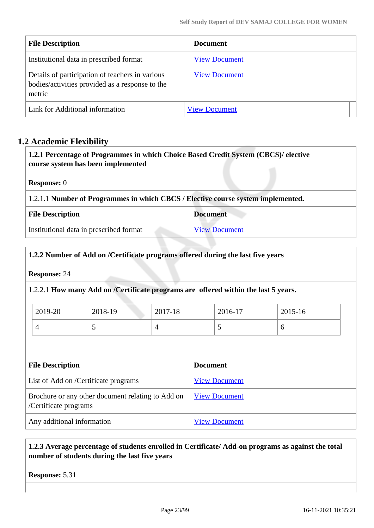| <b>File Description</b>                                                                                      | <b>Document</b>      |
|--------------------------------------------------------------------------------------------------------------|----------------------|
| Institutional data in prescribed format                                                                      | <b>View Document</b> |
| Details of participation of teachers in various<br>bodies/activities provided as a response to the<br>metric | <b>View Document</b> |
| Link for Additional information                                                                              | <b>View Document</b> |

## **1.2 Academic Flexibility**

| 1.2.1 Percentage of Programmes in which Choice Based Credit System (CBCS)/ elective<br>course system has been implemented |                      |  |  |  |
|---------------------------------------------------------------------------------------------------------------------------|----------------------|--|--|--|
| <b>Response:</b> 0                                                                                                        |                      |  |  |  |
| 1.2.1.1 Number of Programmes in which CBCS / Elective course system implemented.                                          |                      |  |  |  |
| <b>File Description</b>                                                                                                   | <b>Document</b>      |  |  |  |
| Institutional data in prescribed format                                                                                   | <b>View Document</b> |  |  |  |

### **1.2.2 Number of Add on /Certificate programs offered during the last five years**

**Response:** 24

1.2.2.1 **How many Add on /Certificate programs are offered within the last 5 years.**

| $\frac{1}{2019}$ -20 | 2018-19 | 2017-18 | 2016-17 | 2015-16 |
|----------------------|---------|---------|---------|---------|
|                      | ັ       |         | ັ       | v       |

| <b>File Description</b>                                                    | <b>Document</b>      |
|----------------------------------------------------------------------------|----------------------|
| List of Add on /Certificate programs                                       | <b>View Document</b> |
| Brochure or any other document relating to Add on<br>/Certificate programs | <b>View Document</b> |
| Any additional information                                                 | <b>View Document</b> |

## **1.2.3 Average percentage of students enrolled in Certificate/ Add-on programs as against the total number of students during the last five years**

**Response:** 5.31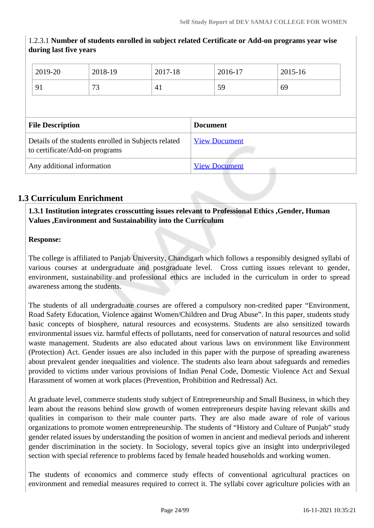|                            | during last live years                                                                 |         |                      |                      |         |         |  |
|----------------------------|----------------------------------------------------------------------------------------|---------|----------------------|----------------------|---------|---------|--|
|                            | 2019-20                                                                                | 2018-19 | 2017-18              |                      | 2016-17 | 2015-16 |  |
|                            | 91                                                                                     | 73      | 41                   |                      | 59      | 69      |  |
|                            |                                                                                        |         |                      |                      |         |         |  |
|                            | <b>File Description</b>                                                                |         |                      | <b>Document</b>      |         |         |  |
|                            | Details of the students enrolled in Subjects related<br>to certificate/Add-on programs |         |                      | <b>View Document</b> |         |         |  |
| Any additional information |                                                                                        |         | <b>View Document</b> |                      |         |         |  |

## 1.2.3.1 **Number of students enrolled in subject related Certificate or Add-on programs year wise during last five years**

## **1.3 Curriculum Enrichment**

 **1.3.1 Institution integrates crosscutting issues relevant to Professional Ethics ,Gender, Human Values ,Environment and Sustainability into the Curriculum**

## **Response:**

The college is affiliated to Panjab University, Chandigarh which follows a responsibly designed syllabi of various courses at undergraduate and postgraduate level. Cross cutting issues relevant to gender, environment, sustainability and professional ethics are included in the curriculum in order to spread awareness among the students.

The students of all undergraduate courses are offered a compulsory non-credited paper "Environment, Road Safety Education, Violence against Women/Children and Drug Abuse". In this paper, students study basic concepts of biosphere, natural resources and ecosystems. Students are also sensitized towards environmental issues viz. harmful effects of pollutants, need for conservation of natural resources and solid waste management. Students are also educated about various laws on environment like Environment (Protection) Act. Gender issues are also included in this paper with the purpose of spreading awareness about prevalent gender inequalities and violence. The students also learn about safeguards and remedies provided to victims under various provisions of Indian Penal Code, Domestic Violence Act and Sexual Harassment of women at work places (Prevention, Prohibition and Redressal) Act.

At graduate level, commerce students study subject of Entrepreneurship and Small Business, in which they learn about the reasons behind slow growth of women entrepreneurs despite having relevant skills and qualities in comparison to their male counter parts. They are also made aware of role of various organizations to promote women entrepreneurship. The students of "History and Culture of Punjab" study gender related issues by understanding the position of women in ancient and medieval periods and inherent gender discrimination in the society. In Sociology, several topics give an insight into underprivileged section with special reference to problems faced by female headed households and working women.

The students of economics and commerce study effects of conventional agricultural practices on environment and remedial measures required to correct it. The syllabi cover agriculture policies with an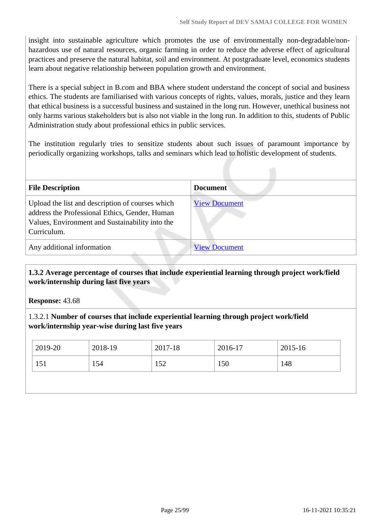insight into sustainable agriculture which promotes the use of environmentally non-degradable/nonhazardous use of natural resources, organic farming in order to reduce the adverse effect of agricultural practices and preserve the natural habitat, soil and environment. At postgraduate level, economics students learn about negative relationship between population growth and environment.

There is a special subject in B.com and BBA where student understand the concept of social and business ethics. The students are familiarised with various concepts of rights, values, morals, justice and they learn that ethical business is a successful business and sustained in the long run. However, unethical business not only harms various stakeholders but is also not viable in the long run. In addition to this, students of Public Administration study about professional ethics in public services.

The institution regularly tries to sensitize students about such issues of paramount importance by periodically organizing workshops, talks and seminars which lead to holistic development of students.

| <b>File Description</b>                                                                                                                                              | <b>Document</b>      |
|----------------------------------------------------------------------------------------------------------------------------------------------------------------------|----------------------|
| Upload the list and description of courses which<br>address the Professional Ethics, Gender, Human<br>Values, Environment and Sustainability into the<br>Curriculum. | <b>View Document</b> |
| Any additional information                                                                                                                                           | <b>View Document</b> |

## **1.3.2 Average percentage of courses that include experiential learning through project work/field work/internship during last five years**

**Response:** 43.68

### 1.3.2.1 **Number of courses that include experiential learning through project work/field work/internship year-wise during last five years**

| 2019-20 | 2018-19 | 2017-18 | 2016-17 | 2015-16 |
|---------|---------|---------|---------|---------|
| 151     | 154     | 152     | 150     | 148     |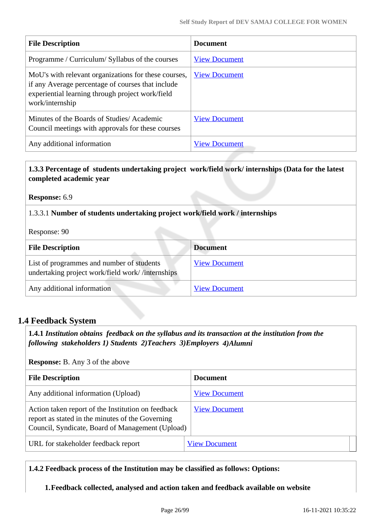| <b>File Description</b>                                                                                                                                                          | <b>Document</b>      |
|----------------------------------------------------------------------------------------------------------------------------------------------------------------------------------|----------------------|
| Programme / Curriculum/ Syllabus of the courses                                                                                                                                  | <b>View Document</b> |
| MoU's with relevant organizations for these courses,<br>if any Average percentage of courses that include<br>experiential learning through project work/field<br>work/internship | <b>View Document</b> |
| Minutes of the Boards of Studies/Academic<br>Council meetings with approvals for these courses                                                                                   | <b>View Document</b> |
| Any additional information                                                                                                                                                       | <b>View Document</b> |

### **1.3.3 Percentage of students undertaking project work/field work/ internships (Data for the latest completed academic year**

#### **Response:** 6.9

#### 1.3.3.1 **Number of students undertaking project work/field work / internships**

Response: 90

| <b>File Description</b>                                                                       | <b>Document</b>      |
|-----------------------------------------------------------------------------------------------|----------------------|
| List of programmes and number of students<br>undertaking project work/field work//internships | <b>View Document</b> |
| Any additional information                                                                    | <b>View Document</b> |

## **1.4 Feedback System**

 **1.4.1** *Institution obtains feedback on the syllabus and its transaction at the institution from the following stakeholders 1) Students 2)Teachers 3)Employers 4)Alumni* 

#### **Response:** B. Any 3 of the above

| <b>File Description</b>                                                                                                                                    | <b>Document</b>      |
|------------------------------------------------------------------------------------------------------------------------------------------------------------|----------------------|
| Any additional information (Upload)                                                                                                                        | <b>View Document</b> |
| Action taken report of the Institution on feedback<br>report as stated in the minutes of the Governing<br>Council, Syndicate, Board of Management (Upload) | <b>View Document</b> |
| URL for stakeholder feedback report                                                                                                                        | <b>View Document</b> |

#### **1.4.2 Feedback process of the Institution may be classified as follows: Options:**

**1.Feedback collected, analysed and action taken and feedback available on website**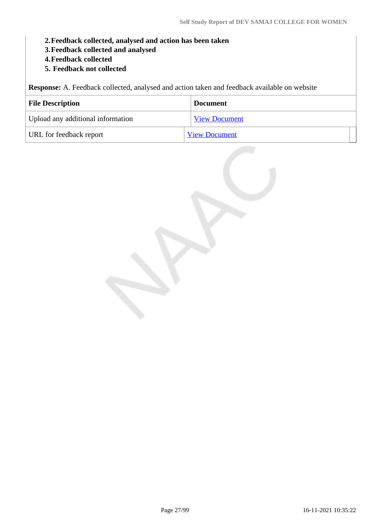- **2.Feedback collected, analysed and action has been taken**
- **3.Feedback collected and analysed**
- **4.Feedback collected**
- **5. Feedback not collected**

**Response:** A. Feedback collected, analysed and action taken and feedback available on website

| <b>File Description</b>           | <b>Document</b>      |
|-----------------------------------|----------------------|
| Upload any additional information | <b>View Document</b> |
| URL for feedback report           | <b>View Document</b> |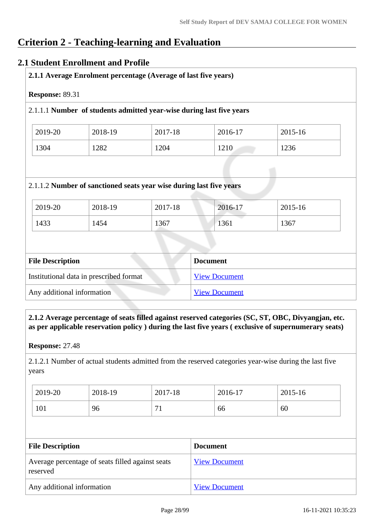## **Criterion 2 - Teaching-learning and Evaluation**

## **2.1 Student Enrollment and Profile**

| 2.1.1 Average Enrolment percentage (Average of last five years) |         |                                                                      |         |         |
|-----------------------------------------------------------------|---------|----------------------------------------------------------------------|---------|---------|
| <b>Response: 89.31</b>                                          |         |                                                                      |         |         |
|                                                                 |         | 2.1.1.1 Number of students admitted year-wise during last five years |         |         |
| 2019-20                                                         | 2018-19 | 2017-18                                                              | 2016-17 | 2015-16 |
| 1304                                                            | 1282    | 1204                                                                 | 1210    | 1236    |
|                                                                 |         |                                                                      |         |         |
|                                                                 |         |                                                                      |         |         |
|                                                                 |         | 2.1.1.2 Number of sanctioned seats year wise during last five years  |         |         |
| 2019-20                                                         | 2018-19 | 2017-18                                                              | 2016-17 | 2015-16 |

| 1433 | 1454 | 1367 | 1361 | 1367 |  |
|------|------|------|------|------|--|
|      |      |      |      |      |  |

| <b>File Description</b>                 | <b>Document</b>      |
|-----------------------------------------|----------------------|
| Institutional data in prescribed format | <b>View Document</b> |
| Any additional information              | <b>View Document</b> |

### **2.1.2 Average percentage of seats filled against reserved categories (SC, ST, OBC, Divyangjan, etc. as per applicable reservation policy ) during the last five years ( exclusive of supernumerary seats)**

**Response:** 27.48

2.1.2.1 Number of actual students admitted from the reserved categories year-wise during the last five years

| 2019-20 | 2018-19 | 2017-18                        | 2016-17 | 2015-16 |
|---------|---------|--------------------------------|---------|---------|
| 101     | 96      | $\overline{ }$<br>$\mathbf{r}$ | 66      | 60      |

| <b>File Description</b>                                      | <b>Document</b>      |
|--------------------------------------------------------------|----------------------|
| Average percentage of seats filled against seats<br>reserved | <b>View Document</b> |
| Any additional information                                   | <b>View Document</b> |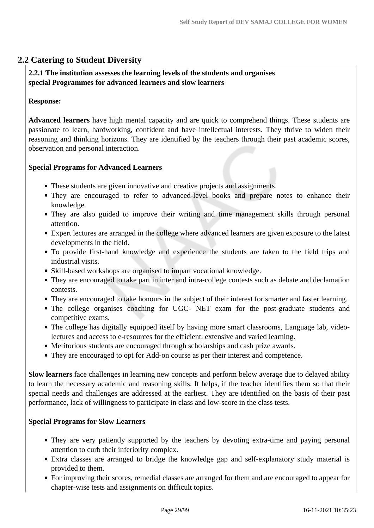## **2.2 Catering to Student Diversity**

#### **2.2.1 The institution assesses the learning levels of the students and organises special Programmes for advanced learners and slow learners**

#### **Response:**

**Advanced learners** have high mental capacity and are quick to comprehend things. These students are passionate to learn, hardworking, confident and have intellectual interests. They thrive to widen their reasoning and thinking horizons. They are identified by the teachers through their past academic scores, observation and personal interaction.

#### **Special Programs for Advanced Learners**

- These students are given innovative and creative projects and assignments.
- They are encouraged to refer to advanced-level books and prepare notes to enhance their knowledge.
- They are also guided to improve their writing and time management skills through personal attention.
- Expert lectures are arranged in the college where advanced learners are given exposure to the latest developments in the field.
- To provide first-hand knowledge and experience the students are taken to the field trips and industrial visits.
- Skill-based workshops are organised to impart vocational knowledge.
- They are encouraged to take part in inter and intra-college contests such as debate and declamation contests.
- They are encouraged to take honours in the subject of their interest for smarter and faster learning.
- The college organises coaching for UGC- NET exam for the post-graduate students and competitive exams.
- The college has digitally equipped itself by having more smart classrooms, Language lab, videolectures and access to e-resources for the efficient, extensive and varied learning.
- Meritorious students are encouraged through scholarships and cash prize awards.
- They are encouraged to opt for Add-on course as per their interest and competence.

**Slow learners** face challenges in learning new concepts and perform below average due to delayed ability to learn the necessary academic and reasoning skills. It helps, if the teacher identifies them so that their special needs and challenges are addressed at the earliest. They are identified on the basis of their past performance, lack of willingness to participate in class and low-score in the class tests.

#### **Special Programs for Slow Learners**

- They are very patiently supported by the teachers by devoting extra-time and paying personal attention to curb their inferiority complex.
- Extra classes are arranged to bridge the knowledge gap and self-explanatory study material is provided to them.
- For improving their scores, remedial classes are arranged for them and are encouraged to appear for chapter-wise tests and assignments on difficult topics.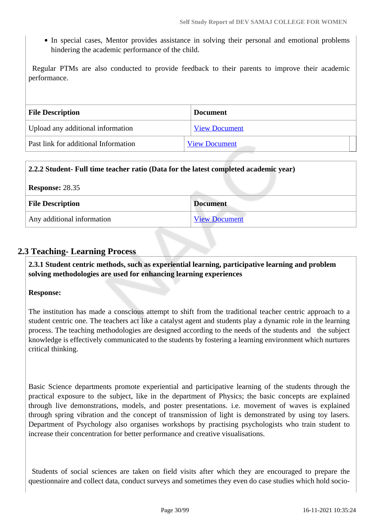In special cases, Mentor provides assistance in solving their personal and emotional problems hindering the academic performance of the child.

 Regular PTMs are also conducted to provide feedback to their parents to improve their academic performance.

| <b>File Description</b>              | <b>Document</b>      |
|--------------------------------------|----------------------|
| Upload any additional information    | <b>View Document</b> |
| Past link for additional Information | <b>View Document</b> |

| 2.2.2 Student- Full time teacher ratio (Data for the latest completed academic year) |                      |  |
|--------------------------------------------------------------------------------------|----------------------|--|
| <b>Response: 28.35</b>                                                               |                      |  |
| <b>File Description</b>                                                              | <b>Document</b>      |  |
| Any additional information                                                           | <b>View Document</b> |  |

## **2.3 Teaching- Learning Process**

 **2.3.1 Student centric methods, such as experiential learning, participative learning and problem solving methodologies are used for enhancing learning experiences**

#### **Response:**

The institution has made a conscious attempt to shift from the traditional teacher centric approach to a student centric one. The teachers act like a catalyst agent and students play a dynamic role in the learning process. The teaching methodologies are designed according to the needs of the students and the subject knowledge is effectively communicated to the students by fostering a learning environment which nurtures critical thinking.

Basic Science departments promote experiential and participative learning of the students through the practical exposure to the subject, like in the department of Physics; the basic concepts are explained through live demonstrations, models, and poster presentations. i.e. movement of waves is explained through spring vibration and the concept of transmission of light is demonstrated by using toy lasers. Department of Psychology also organises workshops by practising psychologists who train student to increase their concentration for better performance and creative visualisations.

 Students of social sciences are taken on field visits after which they are encouraged to prepare the questionnaire and collect data, conduct surveys and sometimes they even do case studies which hold socio-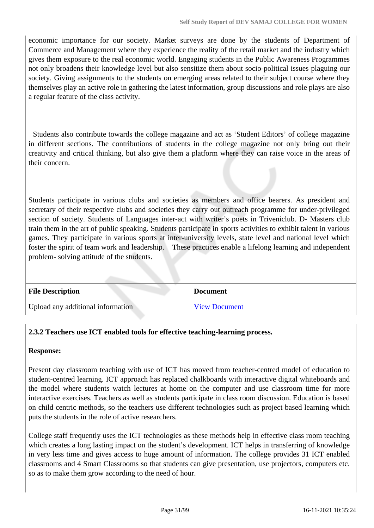economic importance for our society. Market surveys are done by the students of Department of Commerce and Management where they experience the reality of the retail market and the industry which gives them exposure to the real economic world. Engaging students in the Public Awareness Programmes not only broadens their knowledge level but also sensitize them about socio-political issues plaguing our society. Giving assignments to the students on emerging areas related to their subject course where they themselves play an active role in gathering the latest information, group discussions and role plays are also a regular feature of the class activity.

 Students also contribute towards the college magazine and act as 'Student Editors' of college magazine in different sections. The contributions of students in the college magazine not only bring out their creativity and critical thinking, but also give them a platform where they can raise voice in the areas of their concern.

Students participate in various clubs and societies as members and office bearers. As president and secretary of their respective clubs and societies they carry out outreach programme for under-privileged section of society. Students of Languages inter-act with writer's poets in Triveniclub. D- Masters club train them in the art of public speaking. Students participate in sports activities to exhibit talent in various games. They participate in various sports at inter-university levels, state level and national level which foster the spirit of team work and leadership. These practices enable a lifelong learning and independent problem- solving attitude of the students.

| <b>File Description</b>           | <b>Document</b>      |
|-----------------------------------|----------------------|
| Upload any additional information | <b>View Document</b> |

## **2.3.2 Teachers use ICT enabled tools for effective teaching-learning process.**

#### **Response:**

Present day classroom teaching with use of ICT has moved from teacher-centred model of education to student-centred learning. ICT approach has replaced chalkboards with interactive digital whiteboards and the model where students watch lectures at home on the computer and use classroom time for more interactive exercises. Teachers as well as students participate in class room discussion. Education is based on child centric methods, so the teachers use different technologies such as project based learning which puts the students in the role of active researchers.

College staff frequently uses the ICT technologies as these methods help in effective class room teaching which creates a long lasting impact on the student's development. ICT helps in transferring of knowledge in very less time and gives access to huge amount of information. The college provides 31 ICT enabled classrooms and 4 Smart Classrooms so that students can give presentation, use projectors, computers etc. so as to make them grow according to the need of hour.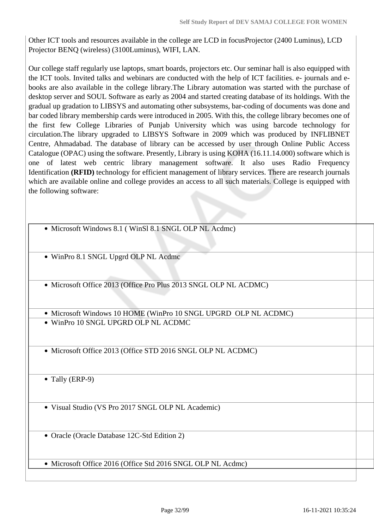Other ICT tools and resources available in the college are LCD in focusProjector (2400 Luminus), LCD Projector BENQ (wireless) (3100Luminus), WIFI, LAN.

Our college staff regularly use laptops, smart boards, projectors etc. Our seminar hall is also equipped with the ICT tools. Invited talks and webinars are conducted with the help of ICT facilities. e- journals and ebooks are also available in the college library.The Library automation was started with the purchase of desktop server and SOUL Software as early as 2004 and started creating database of its holdings. With the gradual up gradation to LIBSYS and automating other subsystems, bar-coding of documents was done and bar coded library membership cards were introduced in 2005. With this, the college library becomes one of the first few College Libraries of Punjab University which was using barcode technology for circulation.The library upgraded to LIBSYS Software in 2009 which was produced by INFLIBNET Centre, Ahmadabad. The database of library can be accessed by user through Online Public Access Catalogue (OPAC) using the software. Presently, Library is using KOHA (16.11.14.000) software which is one of latest web centric library management software. It also uses Radio Frequency Identification **(RFID)** technology for efficient management of library services. There are research journals which are available online and college provides an access to all such materials. College is equipped with the following software:

- Microsoft Windows 8.1 (WinSl 8.1 SNGL OLP NL Acdmc)
- WinPro 8.1 SNGL Upgrd OLP NL Acdmc
- Microsoft Office 2013 (Office Pro Plus 2013 SNGL OLP NL ACDMC)
- Microsoft Windows 10 HOME (WinPro 10 SNGL UPGRD OLP NL ACDMC) WinPro 10 SNGL UPGRD OLP NL ACDMC
- Microsoft Office 2013 (Office STD 2016 SNGL OLP NL ACDMC)

• Tally (ERP-9)

Visual Studio (VS Pro 2017 SNGL OLP NL Academic)

Oracle (Oracle Database 12C-Std Edition 2)

• Microsoft Office 2016 (Office Std 2016 SNGL OLP NL Acdmc)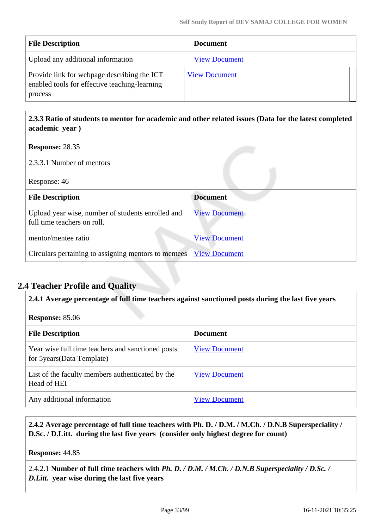| <b>File Description</b>                                                                                 | <b>Document</b>      |
|---------------------------------------------------------------------------------------------------------|----------------------|
| Upload any additional information                                                                       | <b>View Document</b> |
| Provide link for webpage describing the ICT<br>enabled tools for effective teaching-learning<br>process | <b>View Document</b> |

## **2.3.3 Ratio of students to mentor for academic and other related issues (Data for the latest completed academic year )**

| <b>Response: 28.35</b>                                                           |                      |
|----------------------------------------------------------------------------------|----------------------|
| 2.3.3.1 Number of mentors                                                        |                      |
| Response: 46                                                                     |                      |
| <b>File Description</b>                                                          | <b>Document</b>      |
| Upload year wise, number of students enrolled and<br>full time teachers on roll. | <b>View Document</b> |
| mentor/mentee ratio                                                              | <b>View Document</b> |
| Circulars pertaining to assigning mentors to mentees                             | <b>View Document</b> |

## **2.4 Teacher Profile and Quality**

**2.4.1 Average percentage of full time teachers against sanctioned posts during the last five years**

**Response:** 85.06

| <b>File Description</b>                                                          | <b>Document</b>      |
|----------------------------------------------------------------------------------|----------------------|
| Year wise full time teachers and sanctioned posts<br>for 5 years (Data Template) | <b>View Document</b> |
| List of the faculty members authenticated by the<br>Head of HEI                  | <b>View Document</b> |
| Any additional information                                                       | <b>View Document</b> |

 **2.4.2 Average percentage of full time teachers with Ph. D. / D.M. / M.Ch. / D.N.B Superspeciality / D.Sc. / D.Litt. during the last five years (consider only highest degree for count)**

**Response:** 44.85

2.4.2.1 **Number of full time teachers with** *Ph. D. / D.M. / M.Ch. / D.N.B Superspeciality / D.Sc. / D.Litt.* **year wise during the last five years**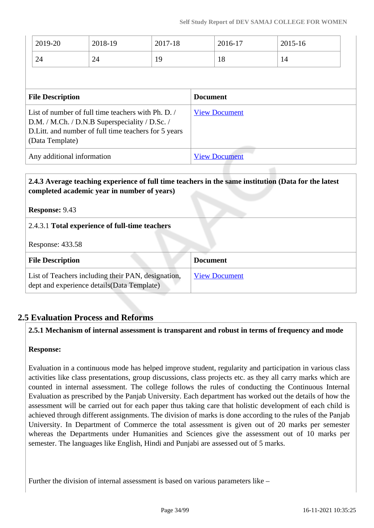|                                                                                                                                                                                | 2019-20 | 2018-19              | 2017-18              |                 | 2016-17 |  | 2015-16 |  |
|--------------------------------------------------------------------------------------------------------------------------------------------------------------------------------|---------|----------------------|----------------------|-----------------|---------|--|---------|--|
|                                                                                                                                                                                | 24      | 24                   | 19                   |                 | 18      |  | 14      |  |
|                                                                                                                                                                                |         |                      |                      |                 |         |  |         |  |
| <b>File Description</b>                                                                                                                                                        |         |                      |                      | <b>Document</b> |         |  |         |  |
| List of number of full time teachers with Ph. D.<br>D.M. / M.Ch. / D.N.B Superspeciality / D.Sc. /<br>D. Litt. and number of full time teachers for 5 years<br>(Data Template) |         | <b>View Document</b> |                      |                 |         |  |         |  |
| Any additional information                                                                                                                                                     |         |                      | <b>View Document</b> |                 |         |  |         |  |

## **2.4.3 Average teaching experience of full time teachers in the same institution (Data for the latest completed academic year in number of years)**

**Response:** 9.43

2.4.3.1 **Total experience of full-time teachers**

Response: 433.58

| <b>File Description</b>                                                                           | <b>Document</b>      |
|---------------------------------------------------------------------------------------------------|----------------------|
| List of Teachers including their PAN, designation,<br>dept and experience details (Data Template) | <b>View Document</b> |

## **2.5 Evaluation Process and Reforms**

#### **2.5.1 Mechanism of internal assessment is transparent and robust in terms of frequency and mode**

## **Response:**

Evaluation in a continuous mode has helped improve student, regularity and participation in various class activities like class presentations, group discussions, class projects etc. as they all carry marks which are counted in internal assessment. The college follows the rules of conducting the Continuous Internal Evaluation as prescribed by the Panjab University. Each department has worked out the details of how the assessment will be carried out for each paper thus taking care that holistic development of each child is achieved through different assignments. The division of marks is done according to the rules of the Panjab University. In Department of Commerce the total assessment is given out of 20 marks per semester whereas the Departments under Humanities and Sciences give the assessment out of 10 marks per semester. The languages like English, Hindi and Punjabi are assessed out of 5 marks.

Further the division of internal assessment is based on various parameters like –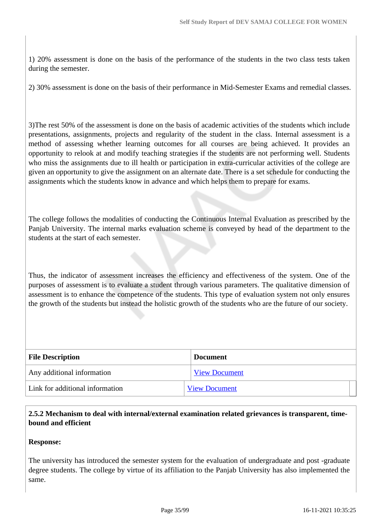1) 20% assessment is done on the basis of the performance of the students in the two class tests taken during the semester.

2) 30% assessment is done on the basis of their performance in Mid-Semester Exams and remedial classes.

3)The rest 50% of the assessment is done on the basis of academic activities of the students which include presentations, assignments, projects and regularity of the student in the class. Internal assessment is a method of assessing whether learning outcomes for all courses are being achieved. It provides an opportunity to relook at and modify teaching strategies if the students are not performing well. Students who miss the assignments due to ill health or participation in extra-curricular activities of the college are given an opportunity to give the assignment on an alternate date. There is a set schedule for conducting the assignments which the students know in advance and which helps them to prepare for exams.

The college follows the modalities of conducting the Continuous Internal Evaluation as prescribed by the Panjab University. The internal marks evaluation scheme is conveyed by head of the department to the students at the start of each semester.

Thus, the indicator of assessment increases the efficiency and effectiveness of the system. One of the purposes of assessment is to evaluate a student through various parameters. The qualitative dimension of assessment is to enhance the competence of the students. This type of evaluation system not only ensures the growth of the students but instead the holistic growth of the students who are the future of our society.

| <b>File Description</b>         | <b>Document</b>      |
|---------------------------------|----------------------|
| Any additional information      | <b>View Document</b> |
| Link for additional information | <b>View Document</b> |

### **2.5.2 Mechanism to deal with internal/external examination related grievances is transparent, timebound and efficient**

#### **Response:**

The university has introduced the semester system for the evaluation of undergraduate and post -graduate degree students. The college by virtue of its affiliation to the Panjab University has also implemented the same.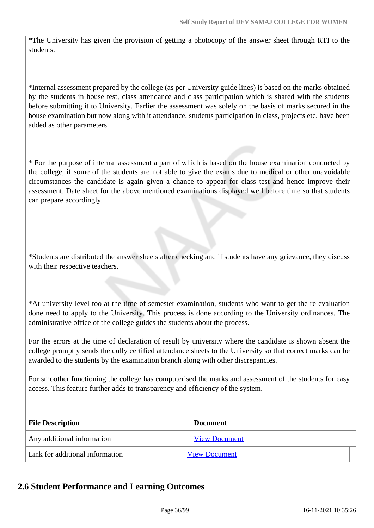\*The University has given the provision of getting a photocopy of the answer sheet through RTI to the students.

\*Internal assessment prepared by the college (as per University guide lines) is based on the marks obtained by the students in house test, class attendance and class participation which is shared with the students before submitting it to University. Earlier the assessment was solely on the basis of marks secured in the house examination but now along with it attendance, students participation in class, projects etc. have been added as other parameters.

\* For the purpose of internal assessment a part of which is based on the house examination conducted by the college, if some of the students are not able to give the exams due to medical or other unavoidable circumstances the candidate is again given a chance to appear for class test and hence improve their assessment. Date sheet for the above mentioned examinations displayed well before time so that students can prepare accordingly.

\*Students are distributed the answer sheets after checking and if students have any grievance, they discuss with their respective teachers.

\*At university level too at the time of semester examination, students who want to get the re-evaluation done need to apply to the University. This process is done according to the University ordinances. The administrative office of the college guides the students about the process.

For the errors at the time of declaration of result by university where the candidate is shown absent the college promptly sends the dully certified attendance sheets to the University so that correct marks can be awarded to the students by the examination branch along with other discrepancies.

For smoother functioning the college has computerised the marks and assessment of the students for easy access. This feature further adds to transparency and efficiency of the system.

| <b>File Description</b>         | <b>Document</b>      |  |
|---------------------------------|----------------------|--|
| Any additional information      | <b>View Document</b> |  |
| Link for additional information | <b>View Document</b> |  |

## **2.6 Student Performance and Learning Outcomes**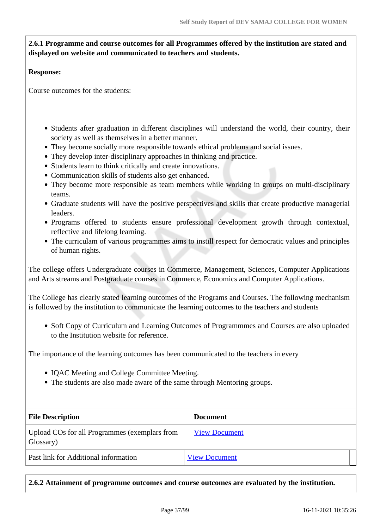#### **2.6.1 Programme and course outcomes for all Programmes offered by the institution are stated and displayed on website and communicated to teachers and students.**

#### **Response:**

Course outcomes for the students:

- Students after graduation in different disciplines will understand the world, their country, their society as well as themselves in a better manner.
- They become socially more responsible towards ethical problems and social issues.
- They develop inter-disciplinary approaches in thinking and practice.
- Students learn to think critically and create innovations.
- Communication skills of students also get enhanced.
- They become more responsible as team members while working in groups on multi-disciplinary teams.
- Graduate students will have the positive perspectives and skills that create productive managerial leaders.
- Programs offered to students ensure professional development growth through contextual, reflective and lifelong learning.
- The curriculam of various programmes aims to instill respect for democratic values and principles of human rights.

The college offers Undergraduate courses in Commerce, Management, Sciences, Computer Applications and Arts streams and Postgraduate courses in Commerce, Economics and Computer Applications.

The College has clearly stated learning outcomes of the Programs and Courses. The following mechanism is followed by the institution to communicate the learning outcomes to the teachers and students

• Soft Copy of Curriculum and Learning Outcomes of Programmmes and Courses are also uploaded to the Institution website for reference.

The importance of the learning outcomes has been communicated to the teachers in every

- IQAC Meeting and College Committee Meeting.
- The students are also made aware of the same through Mentoring groups.

| <b>File Description</b>                                    | <b>Document</b>      |
|------------------------------------------------------------|----------------------|
| Upload COs for all Programmes (exemplars from<br>Glossary) | <b>View Document</b> |
| Past link for Additional information                       | <b>View Document</b> |

**2.6.2 Attainment of programme outcomes and course outcomes are evaluated by the institution.**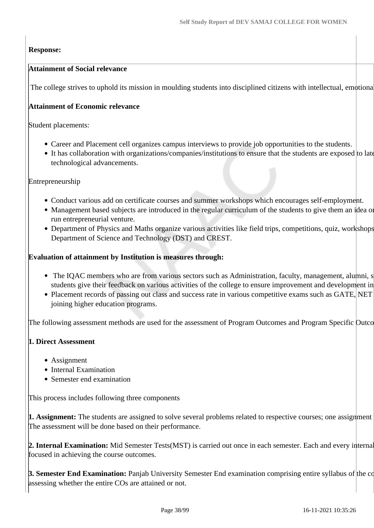#### **Response:**

#### **Attainment of Social relevance**

The college strives to uphold its mission in moulding students into disciplined citizens with intellectual, emotional

#### **Attainment of Economic relevance**

Student placements:

- Career and Placement cell organizes campus interviews to provide job opportunities to the students.
- It has collaboration with organizations/companies/institutions to ensure that the students are exposed to late technological advancements.

#### Entrepreneurship

- Conduct various add on certificate courses and summer workshops which encourages self-employment.
- Management based subjects are introduced in the regular curriculum of the students to give them an idea on run entrepreneurial venture.
- Department of Physics and Maths organize various activities like field trips, competitions, quiz, workshops Department of Science and Technology (DST) and CREST.

#### **Evaluation of attainment by Institution is measures through:**

- The IQAC members who are from various sectors such as Administration, faculty, management, alumni, s students give their feedback on various activities of the college to ensure improvement and development in
- Placement records of passing out class and success rate in various competitive exams such as GATE, NET joining higher education programs.

The following assessment methods are used for the assessment of Program Outcomes and Program Specific Outcomes:

#### **1. Direct Assessment**

- Assignment
- Internal Examination
- Semester end examination

This process includes following three components

**1. Assignment:** The students are assigned to solve several problems related to respective courses; one assignment The assessment will be done based on their performance.

**2. Internal Examination:** Mid Semester Tests(MST) is carried out once in each semester. Each and every internal focused in achieving the course outcomes.

**3. Semester End Examination:** Panjab University Semester End examination comprising entire syllabus of the course assessing whether the entire COs are attained or not.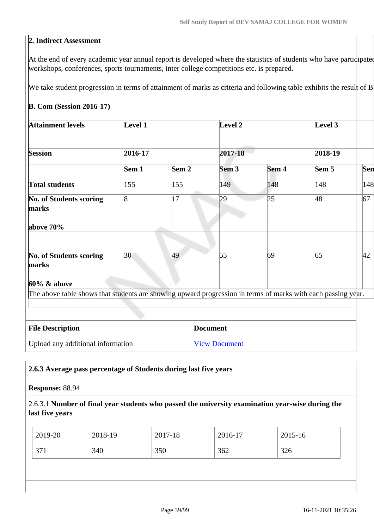#### **2. Indirect Assessment**

At the end of every academic year annual report is developed where the statistics of students who have participated workshops, conferences, sports tournaments, inter college competitions etc. is prepared.

We take student progression in terms of attainment of marks as criteria and following table exhibits the result of B

#### **B. Com (Session 2016-17)**

| <b>Attainment levels</b>                                                                                     | Level 1 |                  | Level 2              |       | Level 3 |     |
|--------------------------------------------------------------------------------------------------------------|---------|------------------|----------------------|-------|---------|-----|
| <b>Session</b>                                                                                               | 2016-17 |                  | 2017-18              |       | 2018-19 |     |
|                                                                                                              | Sem 1   | Sem <sub>2</sub> | Sem <sub>3</sub>     | Sem 4 | Sem 5   | Sen |
| <b>Total students</b>                                                                                        | 155     | 155              | 149                  | 148   | 148     | 148 |
| No. of Students scoring<br>marks                                                                             | 8       | 17               | 29                   | 25    | 48      | 67  |
| above 70%                                                                                                    |         |                  |                      |       |         |     |
| No. of Students scoring<br>marks                                                                             | 30      | 49               | 55                   | 69    | 65      | 42  |
| $60\%$ & above                                                                                               |         |                  |                      |       |         |     |
| The above table shows that students are showing upward progression in terms of marks with each passing year. |         |                  |                      |       |         |     |
|                                                                                                              |         |                  |                      |       |         |     |
| <b>File Description</b>                                                                                      |         |                  | <b>Document</b>      |       |         |     |
| Upload any additional information                                                                            |         |                  | <b>View Document</b> |       |         |     |

#### **2.6.3 Average pass percentage of Students during last five years**

#### **Response:** 88.94

#### 2.6.3.1 **Number of final year students who passed the university examination year-wise during the last five years**

| 350<br>362<br>340<br>371<br>326 |
|---------------------------------|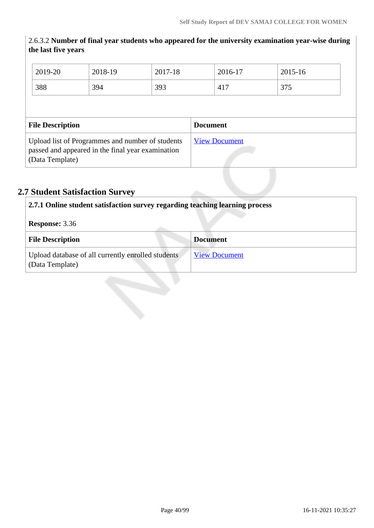#### 2.6.3.2 **Number of final year students who appeared for the university examination year-wise during the last five years**

| 2019-20                 | 2018-19                                                                                               | 2017-18 | 2016-17              | 2015-16 |  |
|-------------------------|-------------------------------------------------------------------------------------------------------|---------|----------------------|---------|--|
| 388                     | 394                                                                                                   | 393     | 417                  | 375     |  |
|                         |                                                                                                       |         |                      |         |  |
| <b>File Description</b> |                                                                                                       |         | <b>Document</b>      |         |  |
|                         | Upload list of Programmes and number of students<br>passed and appeared in the final year examination |         | <b>View Document</b> |         |  |

# **2.7 Student Satisfaction Survey**

| 2.7.1 Online student satisfaction survey regarding teaching learning process |                      |
|------------------------------------------------------------------------------|----------------------|
| <b>Response: 3.36</b>                                                        |                      |
| <b>File Description</b>                                                      | Document             |
| Upload database of all currently enrolled students<br>(Data Template)        | <b>View Document</b> |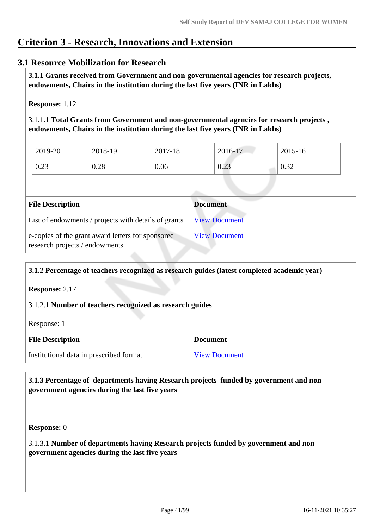# **Criterion 3 - Research, Innovations and Extension**

#### **3.1 Resource Mobilization for Research**

 **3.1.1 Grants received from Government and non-governmental agencies for research projects, endowments, Chairs in the institution during the last five years (INR in Lakhs)** 

**Response:** 1.12

3.1.1.1 **Total Grants from Government and non-governmental agencies for research projects , endowments, Chairs in the institution during the last five years (INR in Lakhs)**

| 2019-20 | 2018-19 | 2017-18 | 2016-17 | 2015-16 |
|---------|---------|---------|---------|---------|
| 0.23    | 0.28    | 0.06    | 0.23    | 0.32    |

| <b>File Description</b>                                                             | <b>Document</b>      |
|-------------------------------------------------------------------------------------|----------------------|
| List of endowments / projects with details of grants                                | <b>View Document</b> |
| e-copies of the grant award letters for sponsored<br>research projects / endowments | <b>View Document</b> |

# **3.1.2 Percentage of teachers recognized as research guides (latest completed academic year) Response:** 2.17 3.1.2.1 **Number of teachers recognized as research guides** Response: 1 **File Description Document** Institutional data in prescribed format [View Document](https://assessmentonline.naac.gov.in/storage/app/hei/SSR/106258/3.1.2_1621233234_6228.docx)

#### **3.1.3 Percentage of departments having Research projects funded by government and non government agencies during the last five years**

**Response:** 0

3.1.3.1 **Number of departments having Research projects funded by government and nongovernment agencies during the last five years**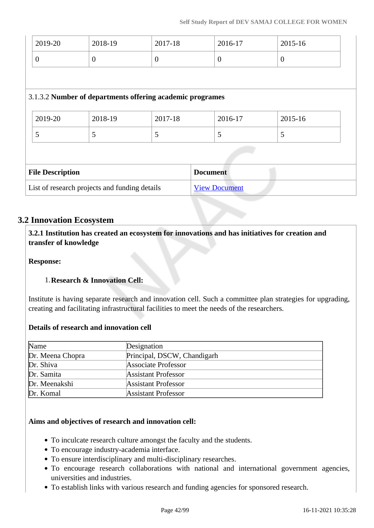| 2019-20                                       | 2018-19                 | 2017-18                                                   | 2016-17              | 2015-16        |
|-----------------------------------------------|-------------------------|-----------------------------------------------------------|----------------------|----------------|
| $\overline{0}$                                | $\boldsymbol{0}$        | $\overline{0}$                                            | $\overline{0}$       | $\overline{0}$ |
|                                               |                         |                                                           |                      |                |
|                                               |                         | 3.1.3.2 Number of departments offering academic programes |                      |                |
| 2019-20                                       | 2018-19                 | 2017-18                                                   | 2016-17              | 2015-16        |
| 5                                             | 5                       | 5                                                         | 5                    | 5              |
|                                               |                         |                                                           |                      |                |
|                                               | <b>File Description</b> |                                                           | <b>Document</b>      |                |
| List of research projects and funding details |                         |                                                           | <b>View Document</b> |                |

#### **3.2 Innovation Ecosystem**

 **3.2.1 Institution has created an ecosystem for innovations and has initiatives for creation and transfer of knowledge**

**Response:** 

#### 1.**Research & Innovation Cell:**

Institute is having separate research and innovation cell. Such a committee plan strategies for upgrading, creating and facilitating infrastructural facilities to meet the needs of the researchers.

#### **Details of research and innovation cell**

| Name             | Designation                 |
|------------------|-----------------------------|
| Dr. Meena Chopra | Principal, DSCW, Chandigarh |
| Dr. Shiva        | Associate Professor         |
| Dr. Samita       | <b>Assistant Professor</b>  |
| Dr. Meenakshi    | <b>Assistant Professor</b>  |
| Dr. Komal        | <b>Assistant Professor</b>  |

#### **Aims and objectives of research and innovation cell:**

- To inculcate research culture amongst the faculty and the students.
- To encourage industry-academia interface.
- To ensure interdisciplinary and multi-disciplinary researches.
- To encourage research collaborations with national and international government agencies, universities and industries.
- To establish links with various research and funding agencies for sponsored research.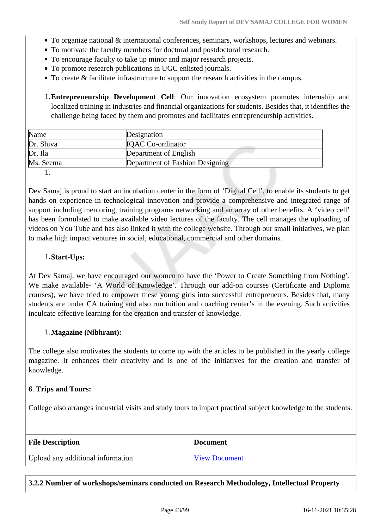- To organize national & international conferences, seminars, workshops, lectures and webinars.
- To motivate the faculty members for doctoral and postdoctoral research.
- To encourage faculty to take up minor and major research projects.
- To promote research publications in UGC enlisted journals.
- To create & facilitate infrastructure to support the research activities in the campus.

1.**Entrepreneurship Development Cell**: Our innovation ecosystem promotes internship and localized training in industries and financial organizations for students. Besides that, it identifies the challenge being faced by them and promotes and facilitates entrepreneurship activities.

| Name      | Designation                     |  |
|-----------|---------------------------------|--|
| Dr. Shiva | <b>IQAC</b> Co-ordinator        |  |
| Dr. Ila   | Department of English           |  |
| Ms. Seema | Department of Fashion Designing |  |

1.

Dev Samaj is proud to start an incubation center in the form of 'Digital Cell', to enable its students to get hands on experience in technological innovation and provide a comprehensive and integrated range of support including mentoring, training programs networking and an array of other benefits. A 'video cell' has been formulated to make available video lectures of the faculty. The cell manages the uploading of videos on You Tube and has also linked it with the college website. Through our small initiatives, we plan to make high impact ventures in social, educational, commercial and other domains.

#### 1.**Start-Ups:**

At Dev Samaj, we have encouraged our women to have the 'Power to Create Something from Nothing'. We make available- 'A World of Knowledge'. Through our add-on courses (Certificate and Diploma courses), we have tried to empower these young girls into successful entrepreneurs. Besides that, many students are under CA training and also run tuition and coaching center's in the evening. Such activities inculcate effective learning for the creation and transfer of knowledge.

#### 1.**Magazine (Nibhrant):**

The college also motivates the students to come up with the articles to be published in the yearly college magazine. It enhances their creativity and is one of the initiatives for the creation and transfer of knowledge.

#### **6**. **Trips and Tours:**

College also arranges industrial visits and study tours to impart practical subject knowledge to the students.

| <b>File Description</b>           | <b>Document</b>      |
|-----------------------------------|----------------------|
| Upload any additional information | <b>View Document</b> |

**3.2.2 Number of workshops/seminars conducted on Research Methodology, Intellectual Property**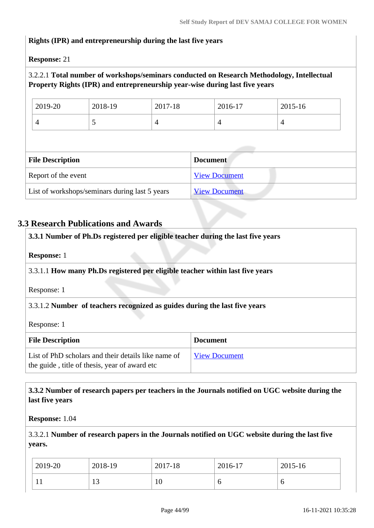#### **Rights (IPR) and entrepreneurship during the last five years**

**Response:** 21

#### 3.2.2.1 **Total number of workshops/seminars conducted on Research Methodology, Intellectual Property Rights (IPR) and entrepreneurship year-wise during last five years**

| 2019-20 | 2018-19                  | 2017-18 | 2016-17        | 2015-16 |
|---------|--------------------------|---------|----------------|---------|
|         | $\overline{\phantom{a}}$ |         | $\overline{ }$ |         |

| <b>File Description</b>                        | <b>Document</b>      |
|------------------------------------------------|----------------------|
| Report of the event                            | <b>View Document</b> |
| List of workshops/seminars during last 5 years | <b>View Document</b> |

#### **3.3 Research Publications and Awards**

| 3.3.1 Number of Ph.Ds registered per eligible teacher during the last five years                     |                      |
|------------------------------------------------------------------------------------------------------|----------------------|
| <b>Response:</b> 1                                                                                   |                      |
| 3.3.1.1 How many Ph.Ds registered per eligible teacher within last five years                        |                      |
| Response: 1                                                                                          |                      |
| 3.3.1.2 Number of teachers recognized as guides during the last five years                           |                      |
| Response: 1                                                                                          |                      |
| <b>File Description</b>                                                                              | <b>Document</b>      |
| List of PhD scholars and their details like name of<br>the guide, title of thesis, year of award etc | <b>View Document</b> |

#### **3.3.2 Number of research papers per teachers in the Journals notified on UGC website during the last five years**

**Response:** 1.04

3.3.2.1 **Number of research papers in the Journals notified on UGC website during the last five years.**

| 2019-20 | 2018-19          | 2017-18 | 2016-17 | 2015-16 |
|---------|------------------|---------|---------|---------|
| T T     | $\sqrt{2}$<br>⊥ັ | 1 V     |         | ◡       |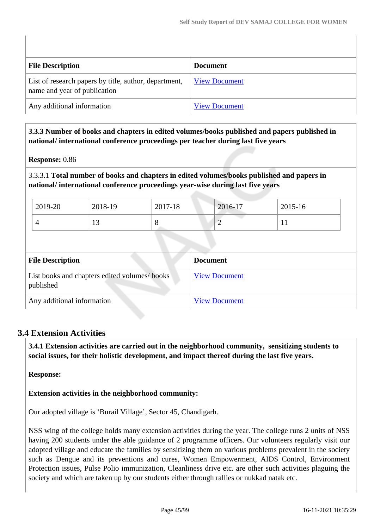| <b>File Description</b>                                                               | <b>Document</b>      |
|---------------------------------------------------------------------------------------|----------------------|
| List of research papers by title, author, department,<br>name and year of publication | <b>View Document</b> |
| Any additional information                                                            | <b>View Document</b> |

 **3.3.3 Number of books and chapters in edited volumes/books published and papers published in national/ international conference proceedings per teacher during last five years**

#### **Response:** 0.86

3.3.3.1 **Total number of books and chapters in edited volumes/books published and papers in national/ international conference proceedings year-wise during last five years**

| 2019-20 | 2018-19                  | 2017-18 | 2016-17 | 2015-16      |
|---------|--------------------------|---------|---------|--------------|
|         | $\overline{\phantom{a}}$ |         | ∽       | $\mathbf{r}$ |

| <b>File Description</b>                                   | <b>Document</b>      |
|-----------------------------------------------------------|----------------------|
| List books and chapters edited volumes/books<br>published | <b>View Document</b> |
| Any additional information                                | <b>View Document</b> |

#### **3.4 Extension Activities**

 **3.4.1 Extension activities are carried out in the neighborhood community, sensitizing students to social issues, for their holistic development, and impact thereof during the last five years.**

#### **Response:**

#### **Extension activities in the neighborhood community:**

Our adopted village is 'Burail Village', Sector 45, Chandigarh.

NSS wing of the college holds many extension activities during the year. The college runs 2 units of NSS having 200 students under the able guidance of 2 programme officers. Our volunteers regularly visit our adopted village and educate the families by sensitizing them on various problems prevalent in the society such as Dengue and its preventions and cures, Women Empowerment, AIDS Control, Environment Protection issues, Pulse Polio immunization, Cleanliness drive etc. are other such activities plaguing the society and which are taken up by our students either through rallies or nukkad natak etc.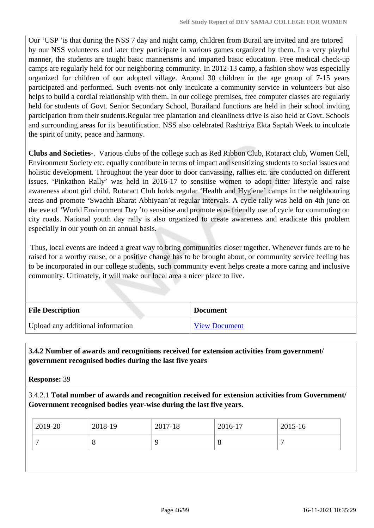Our 'USP 'is that during the NSS 7 day and night camp, children from Burail are invited and are tutored by our NSS volunteers and later they participate in various games organized by them. In a very playful manner, the students are taught basic mannerisms and imparted basic education. Free medical check-up camps are regularly held for our neighboring community. In 2012-13 camp, a fashion show was especially organized for children of our adopted village. Around 30 children in the age group of 7-15 years participated and performed. Such events not only inculcate a community service in volunteers but also helps to build a cordial relationship with them. In our college premises, free computer classes are regularly held for students of Govt. Senior Secondary School, Burailand functions are held in their school inviting participation from their students.Regular tree plantation and cleanliness drive is also held at Govt. Schools and surrounding areas for its beautification. NSS also celebrated Rashtriya Ekta Saptah Week to inculcate the spirit of unity, peace and harmony.

**Clubs and Societies**-. Various clubs of the college such as Red Ribbon Club, Rotaract club, Women Cell, Environment Society etc. equally contribute in terms of impact and sensitizing students to social issues and holistic development. Throughout the year door to door canvassing, rallies etc. are conducted on different issues. 'Pinkathon Rally' was held in 2016-17 to sensitise women to adopt fitter lifestyle and raise awareness about girl child. Rotaract Club holds regular 'Health and Hygiene' camps in the neighbouring areas and promote 'Swachh Bharat Abhiyaan'at regular intervals. A cycle rally was held on 4th june on the eve of 'World Environment Day 'to sensitise and promote eco- friendly use of cycle for commuting on city roads. National youth day rally is also organized to create awareness and eradicate this problem especially in our youth on an annual basis.

 Thus, local events are indeed a great way to bring communities closer together. Whenever funds are to be raised for a worthy cause, or a positive change has to be brought about, or community service feeling has to be incorporated in our college students, such community event helps create a more caring and inclusive community. Ultimately, it will make our local area a nicer place to live.

| <b>File Description</b>           | <b>Document</b>      |
|-----------------------------------|----------------------|
| Upload any additional information | <b>View Document</b> |

#### **3.4.2 Number of awards and recognitions received for extension activities from government/ government recognised bodies during the last five years**

**Response:** 39

3.4.2.1 **Total number of awards and recognition received for extension activities from Government/ Government recognised bodies year-wise during the last five years.**

| 2019-20 | 2018-19 | 2017-18 | 2016-17 | 2015-16 |
|---------|---------|---------|---------|---------|
| $\circ$ |         |         | 8       |         |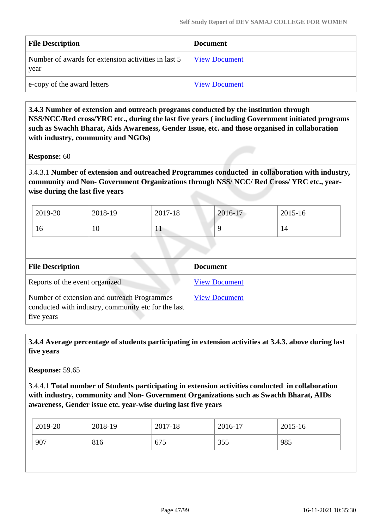| <b>File Description</b>                                     | <b>Document</b>      |
|-------------------------------------------------------------|----------------------|
| Number of awards for extension activities in last 5<br>year | <b>View Document</b> |
| e-copy of the award letters                                 | <b>View Document</b> |

 **3.4.3 Number of extension and outreach programs conducted by the institution through NSS/NCC/Red cross/YRC etc., during the last five years ( including Government initiated programs such as Swachh Bharat, Aids Awareness, Gender Issue, etc. and those organised in collaboration with industry, community and NGOs)**

#### **Response:** 60

3.4.3.1 **Number of extension and outreached Programmes conducted in collaboration with industry, community and Non- Government Organizations through NSS/ NCC/ Red Cross/ YRC etc., yearwise during the last five years**

| 2019-20 | 2018-19 | 2017-18      | 2016-17 | 2015-16 |
|---------|---------|--------------|---------|---------|
| 16      | 10      | $\mathbf{1}$ |         | 14      |

| <b>File Description</b>                                                                                          | <b>Document</b>      |
|------------------------------------------------------------------------------------------------------------------|----------------------|
| Reports of the event organized                                                                                   | <b>View Document</b> |
| Number of extension and outreach Programmes<br>conducted with industry, community etc for the last<br>five years | <b>View Document</b> |

 **3.4.4 Average percentage of students participating in extension activities at 3.4.3. above during last five years**

**Response:** 59.65

3.4.4.1 **Total number of Students participating in extension activities conducted in collaboration with industry, community and Non- Government Organizations such as Swachh Bharat, AIDs awareness, Gender issue etc. year-wise during last five years**

|                                 | 2015-16 | 2016-17 | 2017-18 | 2018-19 | 2019-20 |
|---------------------------------|---------|---------|---------|---------|---------|
| 907<br>985<br>355<br>816<br>675 |         |         |         |         |         |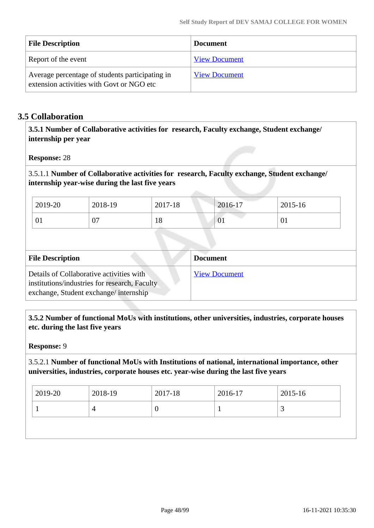| <b>File Description</b>                                                                      | <b>Document</b>      |
|----------------------------------------------------------------------------------------------|----------------------|
| Report of the event                                                                          | <b>View Document</b> |
| Average percentage of students participating in<br>extension activities with Govt or NGO etc | <b>View Document</b> |

#### **3.5 Collaboration**

 **3.5.1 Number of Collaborative activities for research, Faculty exchange, Student exchange/ internship per year**

**Response:** 28

3.5.1.1 **Number of Collaborative activities for research, Faculty exchange, Student exchange/ internship year-wise during the last five years**

| 2019-20 | 2018-19      | 2017-18 | 2016-17 | 2015-16 |
|---------|--------------|---------|---------|---------|
| 01      | $\sim$<br>v, | 10      | 01      | VI.     |

| <b>File Description</b>                                                                                                            | <b>Document</b>      |
|------------------------------------------------------------------------------------------------------------------------------------|----------------------|
| Details of Collaborative activities with<br>institutions/industries for research, Faculty<br>exchange, Student exchange/internship | <b>View Document</b> |

 **3.5.2 Number of functional MoUs with institutions, other universities, industries, corporate houses etc. during the last five years** 

#### **Response:** 9

3.5.2.1 **Number of functional MoUs with Institutions of national, international importance, other universities, industries, corporate houses etc. year-wise during the last five years**

| 2019-20 | 2018-19 | 2017-18 | 2016-17 | 2015-16 |
|---------|---------|---------|---------|---------|
|         |         |         |         | ັ       |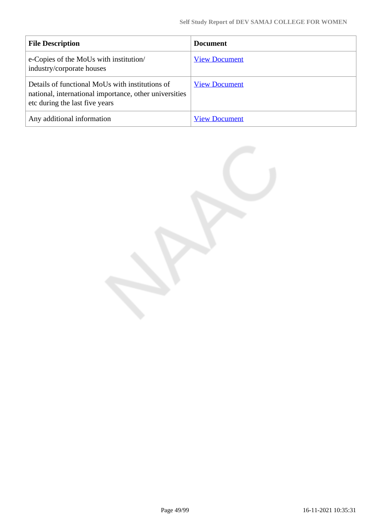| <b>File Description</b>                                                                                                                     | <b>Document</b>      |
|---------------------------------------------------------------------------------------------------------------------------------------------|----------------------|
| e-Copies of the MoUs with institution/<br>industry/corporate houses                                                                         | <b>View Document</b> |
| Details of functional MoUs with institutions of<br>national, international importance, other universities<br>etc during the last five years | <b>View Document</b> |
| Any additional information                                                                                                                  | <b>View Document</b> |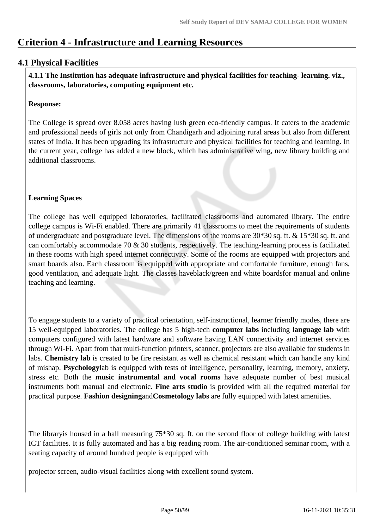# **Criterion 4 - Infrastructure and Learning Resources**

#### **4.1 Physical Facilities**

 **4.1.1 The Institution has adequate infrastructure and physical facilities for teaching- learning. viz., classrooms, laboratories, computing equipment etc.** 

#### **Response:**

The College is spread over 8.058 acres having lush green eco-friendly campus. It caters to the academic and professional needs of girls not only from Chandigarh and adjoining rural areas but also from different states of India. It has been upgrading its infrastructure and physical facilities for teaching and learning. In the current year, college has added a new block, which has administrative wing, new library building and additional classrooms.

#### **Learning Spaces**

The college has well equipped laboratories, facilitated classrooms and automated library. The entire college campus is Wi-Fi enabled. There are primarily 41 classrooms to meet the requirements of students of undergraduate and postgraduate level. The dimensions of the rooms are 30\*30 sq. ft. & 15\*30 sq. ft. and can comfortably accommodate 70 & 30 students, respectively. The teaching-learning process is facilitated in these rooms with high speed internet connectivity. Some of the rooms are equipped with projectors and smart boards also. Each classroom is equipped with appropriate and comfortable furniture, enough fans, good ventilation, and adequate light. The classes haveblack/green and white boardsfor manual and online teaching and learning.

To engage students to a variety of practical orientation, self-instructional, learner friendly modes, there are 15 well-equipped laboratories. The college has 5 high-tech **computer labs** including **language lab** with computers configured with latest hardware and software having LAN connectivity and internet services through Wi-Fi. Apart from that multi-function printers, scanner, projectors are also available for students in labs. **Chemistry lab** is created to be fire resistant as well as chemical resistant which can handle any kind of mishap. **Psychology**lab is equipped with tests of intelligence, personality, learning, memory, anxiety, stress etc. Both the **music instrumental and vocal rooms** have adequate number of best musical instruments both manual and electronic. **Fine arts studio** is provided with all the required material for practical purpose. **Fashion designing**and**Cosmetology labs** are fully equipped with latest amenities.

The libraryis housed in a hall measuring 75\*30 sq. ft. on the second floor of college building with latest ICT facilities. It is fully automated and has a big reading room. The air-conditioned seminar room, with a seating capacity of around hundred people is equipped with

projector screen, audio-visual facilities along with excellent sound system.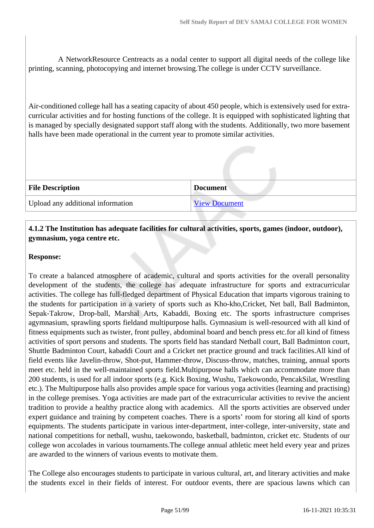A NetworkResource Centreacts as a nodal center to support all digital needs of the college like printing, scanning, photocopying and internet browsing.The college is under CCTV surveillance.

Air-conditioned college hall has a seating capacity of about 450 people, which is extensively used for extracurricular activities and for hosting functions of the college. It is equipped with sophisticated lighting that is managed by specially designated support staff along with the students. Additionally, two more basement halls have been made operational in the current year to promote similar activities.

| <b>File Description</b>           | <b>Document</b>      |
|-----------------------------------|----------------------|
| Upload any additional information | <b>View Document</b> |

#### **4.1.2 The Institution has adequate facilities for cultural activities, sports, games (indoor, outdoor), gymnasium, yoga centre etc.**

#### **Response:**

To create a balanced atmosphere of academic, cultural and sports activities for the overall personality development of the students, the college has adequate infrastructure for sports and extracurricular activities. The college has full-fledged department of Physical Education that imparts vigorous training to the students for participation in a variety of sports such as Kho-kho,Cricket, Net ball, Ball Badminton, Sepak-Takrow, Drop-ball, Marshal Arts, Kabaddi, Boxing etc. The sports infrastructure comprises agymnasium, sprawling sports fieldand multipurpose halls. Gymnasium is well-resourced with all kind of fitness equipments such as twister, front pulley, abdominal board and bench press etc.for all kind of fitness activities of sport persons and students. The sports field has standard Netball court, Ball Badminton court, Shuttle Badminton Court, kabaddi Court and a Cricket net practice ground and track facilities.All kind of field events like Javelin-throw, Shot-put, Hammer-throw, Discuss-throw, matches, training, annual sports meet etc. held in the well-maintained sports field.Multipurpose halls which can accommodate more than 200 students, is used for all indoor sports (e.g. Kick Boxing, Wushu, Taekowondo, PencakSilat, Wrestling etc.). The Multipurpose halls also provides ample space for various yoga activities (learning and practising) in the college premises. Yoga activities are made part of the extracurricular activities to revive the ancient tradition to provide a healthy practice along with academics. All the sports activities are observed under expert guidance and training by competent coaches. There is a sports' room for storing all kind of sports equipments. The students participate in various inter-department, inter-college, inter-university, state and national competitions for netball, wushu, taekowondo, basketball, badminton, cricket etc. Students of our college won accolades in various tournaments.The college annual athletic meet held every year and prizes are awarded to the winners of various events to motivate them.

The College also encourages students to participate in various cultural, art, and literary activities and make the students excel in their fields of interest. For outdoor events, there are spacious lawns which can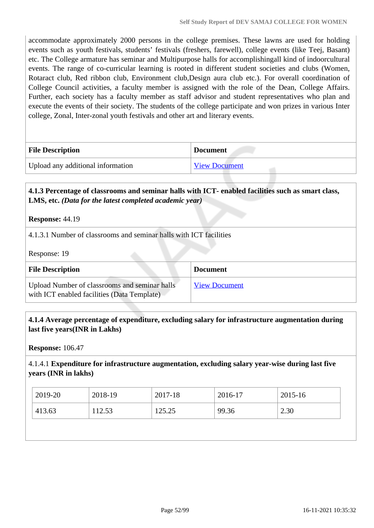accommodate approximately 2000 persons in the college premises. These lawns are used for holding events such as youth festivals, students' festivals (freshers, farewell), college events (like Teej, Basant) etc. The College armature has seminar and Multipurpose halls for accomplishingall kind of indoorcultural events. The range of co-curricular learning is rooted in different student societies and clubs (Women, Rotaract club, Red ribbon club, Environment club,Design aura club etc.). For overall coordination of College Council activities, a faculty member is assigned with the role of the Dean, College Affairs. Further, each society has a faculty member as staff advisor and student representatives who plan and execute the events of their society. The students of the college participate and won prizes in various Inter college, Zonal, Inter-zonal youth festivals and other art and literary events.

| <b>File Description</b>           | <b>Document</b>      |
|-----------------------------------|----------------------|
| Upload any additional information | <b>View Document</b> |

#### **4.1.3 Percentage of classrooms and seminar halls with ICT- enabled facilities such as smart class, LMS, etc.** *(Data for the latest completed academic year)*

**Response:** 44.19

4.1.3.1 Number of classrooms and seminar halls with ICT facilities

Response: 19

| <b>File Description</b>                                                                      | <b>Document</b>      |
|----------------------------------------------------------------------------------------------|----------------------|
| Upload Number of classrooms and seminar halls<br>with ICT enabled facilities (Data Template) | <b>View Document</b> |

#### **4.1.4 Average percentage of expenditure, excluding salary for infrastructure augmentation during last five years(INR in Lakhs)**

**Response:** 106.47

4.1.4.1 **Expenditure for infrastructure augmentation, excluding salary year-wise during last five years (INR in lakhs)**

| 2019-20 | 2018-19 | 2017-18 | 2016-17 | $2015 - 16$ |
|---------|---------|---------|---------|-------------|
| 413.63  | 112.53  | 125.25  | 99.36   | 2.30        |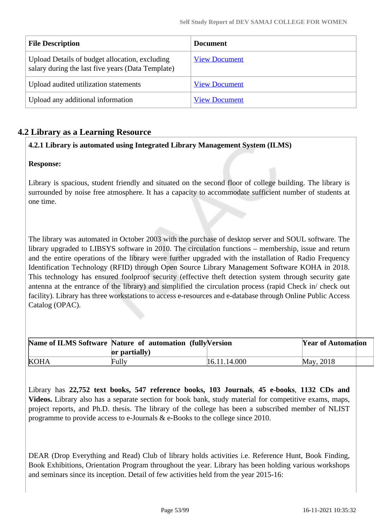| <b>File Description</b>                                                                             | <b>Document</b>      |
|-----------------------------------------------------------------------------------------------------|----------------------|
| Upload Details of budget allocation, excluding<br>salary during the last five years (Data Template) | <b>View Document</b> |
| Upload audited utilization statements                                                               | <b>View Document</b> |
| Upload any additional information                                                                   | <b>View Document</b> |

#### **4.2 Library as a Learning Resource**

#### **4.2.1 Library is automated using Integrated Library Management System (ILMS)**

#### **Response:**

Library is spacious, student friendly and situated on the second floor of college building. The library is surrounded by noise free atmosphere. It has a capacity to accommodate sufficient number of students at one time.

The library was automated in October 2003 with the purchase of desktop server and SOUL software. The library upgraded to LIBSYS software in 2010. The circulation functions – membership, issue and return and the entire operations of the library were further upgraded with the installation of Radio Frequency Identification Technology (RFID) through Open Source Library Management Software KOHA in 2018. This technology has ensured foolproof security (effective theft detection system through security gate antenna at the entrance of the library) and simplified the circulation process (rapid Check in/ check out facility). Library has three workstations to access e-resources and e-database through Online Public Access Catalog (OPAC).

|             | Name of ILMS Software Nature of automation (fully Version |              | <b>Year of Automation</b> |  |
|-------------|-----------------------------------------------------------|--------------|---------------------------|--|
|             | or partially)                                             |              |                           |  |
| <b>KOHA</b> | Fully                                                     | 16.11.14.000 | May, 2018                 |  |

Library has **22,752 text books, 547 reference books, 103 Journals**, **45 e-books**, **1132 CDs and Videos.** Library also has a separate section for book bank, study material for competitive exams, maps, project reports, and Ph.D. thesis. The library of the college has been a subscribed member of NLIST programme to provide access to e-Journals & e-Books to the college since 2010.

DEAR (Drop Everything and Read) Club of library holds activities i.e. Reference Hunt, Book Finding, Book Exhibitions, Orientation Program throughout the year. Library has been holding various workshops and seminars since its inception. Detail of few activities held from the year 2015-16: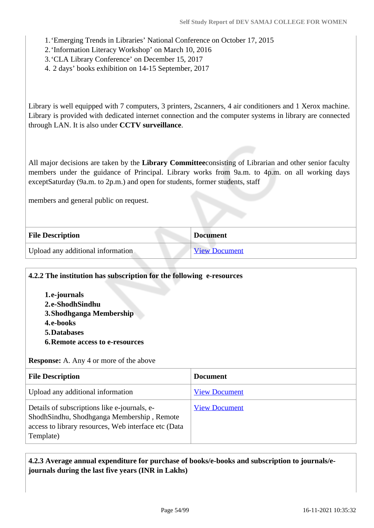- 1.'Emerging Trends in Libraries' National Conference on October 17, 2015
- 2.'Information Literacy Workshop' on March 10, 2016
- 3.'CLA Library Conference' on December 15, 2017
- 4. 2 days' books exhibition on 14-15 September, 2017

Library is well equipped with 7 computers, 3 printers, 2scanners, 4 air conditioners and 1 Xerox machine. Library is provided with dedicated internet connection and the computer systems in library are connected through LAN. It is also under **CCTV surveillance**.

All major decisions are taken by the **Library Committee**consisting of Librarian and other senior faculty members under the guidance of Principal. Library works from 9a.m. to 4p.m. on all working days exceptSaturday (9a.m. to 2p.m.) and open for students, former students, staff

members and general public on request.

| <b>File Description</b>           | <b>Document</b>      |
|-----------------------------------|----------------------|
| Upload any additional information | <b>View Document</b> |

| <b>6. Remote access to e-resources</b> |  |
|----------------------------------------|--|
| <b>5.Databases</b>                     |  |
| 4.e-books                              |  |
| 3. Shodhganga Membership               |  |
| 2.e-ShodhSindhu                        |  |
| 1.e-journals                           |  |

| <b>File Description</b>                                                                                                                                          | <b>Document</b>      |
|------------------------------------------------------------------------------------------------------------------------------------------------------------------|----------------------|
| Upload any additional information                                                                                                                                | <b>View Document</b> |
| Details of subscriptions like e-journals, e-<br>Shodh Sindhu, Shodhganga Membership, Remote<br>access to library resources, Web interface etc (Data<br>Template) | <b>View Document</b> |

#### **4.2.3 Average annual expenditure for purchase of books/e-books and subscription to journals/ejournals during the last five years (INR in Lakhs)**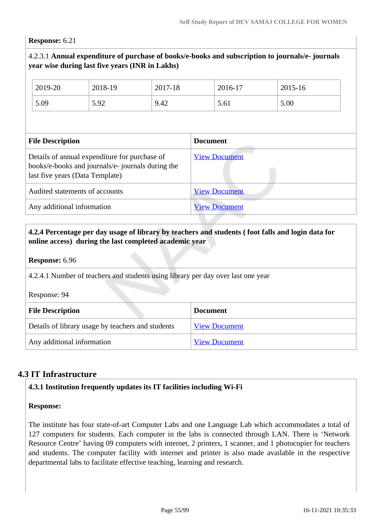#### **Response:** 6.21

#### 4.2.3.1 **Annual expenditure of purchase of books/e-books and subscription to journals/e- journals year wise during last five years (INR in Lakhs)**

| 2019-20 | 2018-19 | 2017-18 | 2016-17 | 2015-16 |
|---------|---------|---------|---------|---------|
| 5.09    | 5.92    | 9.42    | 5.61    | 5.00    |

| <b>File Description</b>                                                                                                               | <b>Document</b>      |
|---------------------------------------------------------------------------------------------------------------------------------------|----------------------|
| Details of annual expenditure for purchase of<br>books/e-books and journals/e- journals during the<br>last five years (Data Template) | <b>View Document</b> |
| Audited statements of accounts                                                                                                        | <b>View Document</b> |
| Any additional information                                                                                                            | <b>View Document</b> |

#### **4.2.4 Percentage per day usage of library by teachers and students ( foot falls and login data for online access) during the last completed academic year**

#### **Response:** 6.96

4.2.4.1 Number of teachers and students using library per day over last one year

Response: 94

| <b>File Description</b>                           | <b>Document</b>      |
|---------------------------------------------------|----------------------|
| Details of library usage by teachers and students | <b>View Document</b> |
| Any additional information                        | <b>View Document</b> |

#### **4.3 IT Infrastructure**

#### **4.3.1 Institution frequently updates its IT facilities including Wi-Fi**

#### **Response:**

The institute has four state-of-art Computer Labs and one Language Lab which accommodates a total of 127 computers for students. Each computer in the labs is connected through LAN. There is 'Network Resource Centre' having 09 computers with internet, 2 printers, 1 scanner, and 1 photocopier for teachers and students. The computer facility with internet and printer is also made available in the respective departmental labs to facilitate effective teaching, learning and research.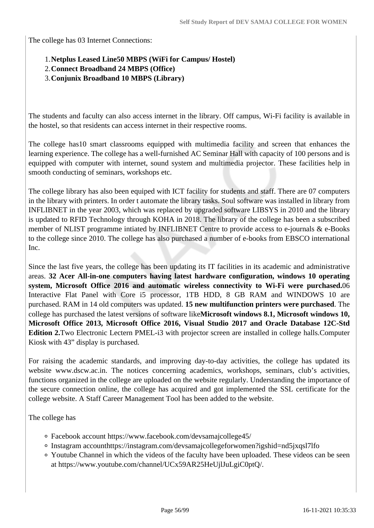The college has 03 Internet Connections:

#### 1.**Netplus Leased Line50 MBPS (WiFi for Campus/ Hostel)**

- 2.**Connect Broadband 24 MBPS (Office)**
- 3.**Conjunix Broadband 10 MBPS (Library)**

The students and faculty can also access internet in the library. Off campus, Wi-Fi facility is available in the hostel, so that residents can access internet in their respective rooms.

The college has10 smart classrooms equipped with multimedia facility and screen that enhances the learning experience. The college has a well-furnished AC Seminar Hall with capacity of 100 persons and is equipped with computer with internet, sound system and multimedia projector. These facilities help in smooth conducting of seminars, workshops etc.

The college library has also been equiped with ICT facility for students and staff. There are 07 computers in the library with printers. In order t automate the library tasks. Soul software was installed in library from INFLIBNET in the year 2003, which was replaced by upgraded software LIBSYS in 2010 and the library is updated to RFID Technology through KOHA in 2018. The library of the college has been a subscribed member of NLIST programme intiated by INFLIBNET Centre to provide access to e-journals & e-Books to the college since 2010. The college has also purchased a number of e-books from EBSCO international Inc.

Since the last five years, the college has been updating its IT facilities in its academic and administrative areas. **32 Acer All-in-one computers having latest hardware configuration, windows 10 operating system, Microsoft Office 2016 and automatic wireless connectivity to Wi-Fi were purchased.**06 Interactive Flat Panel with Core i5 processor, 1TB HDD, 8 GB RAM and WINDOWS 10 are purchased. RAM in 14 old computers was updated. **15 new multifunction printers were purchased**. The college has purchased the latest versions of software like**Microsoft windows 8.1, Microsoft windows 10, Microsoft Office 2013, Microsoft Office 2016, Visual Studio 2017 and Oracle Database 12C-Std Edition 2.**Two Electronic Lectern PMEL-i3 with projector screen are installed in college halls.Computer Kiosk with 43" display is purchased.

For raising the academic standards, and improving day-to-day activities, the college has updated its website www.dscw.ac.in. The notices concerning academics, workshops, seminars, club's activities, functions organized in the college are uploaded on the website regularly. Understanding the importance of the secure connection online, the college has acquired and got implemented the SSL certificate for the college website. A Staff Career Management Tool has been added to the website.

The college has

- Facebook account https://www.facebook.com/devsamajcollege45/
- Instagram accounthttps://instagram.com/devsamajcollegeforwomen?igshid=nd5jxqsl7lfo
- Youtube Channel in which the videos of the faculty have been uploaded. These videos can be seen at https://www.youtube.com/channel/UCx59AR25HeUjlJuLgiC0ptQ/.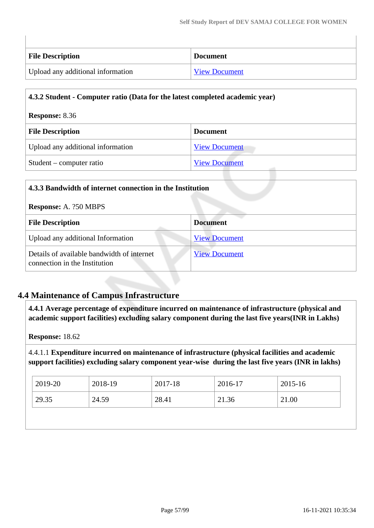H

| <b>File Description</b>           | <b>Document</b>      |
|-----------------------------------|----------------------|
| Upload any additional information | <b>View Document</b> |

| 4.3.2 Student - Computer ratio (Data for the latest completed academic year) |                      |
|------------------------------------------------------------------------------|----------------------|
| <b>Response: 8.36</b>                                                        |                      |
| <b>File Description</b>                                                      | <b>Document</b>      |
| Upload any additional information                                            | <b>View Document</b> |
| Student – computer ratio                                                     | <b>View Document</b> |

L.

| 4.3.3 Bandwidth of internet connection in the Institution                   |                      |  |
|-----------------------------------------------------------------------------|----------------------|--|
| <b>Response: A. ?50 MBPS</b>                                                |                      |  |
| <b>File Description</b>                                                     | <b>Document</b>      |  |
| Upload any additional Information                                           | <b>View Document</b> |  |
| Details of available bandwidth of internet<br>connection in the Institution | <b>View Document</b> |  |

#### **4.4 Maintenance of Campus Infrastructure**

 **4.4.1 Average percentage of expenditure incurred on maintenance of infrastructure (physical and academic support facilities) excluding salary component during the last five years(INR in Lakhs)**

**Response:** 18.62

4.4.1.1 **Expenditure incurred on maintenance of infrastructure (physical facilities and academic support facilities) excluding salary component year-wise during the last five years (INR in lakhs)**

| 29.35<br>28.41<br>21.00<br>24.59<br>21.36 |  |
|-------------------------------------------|--|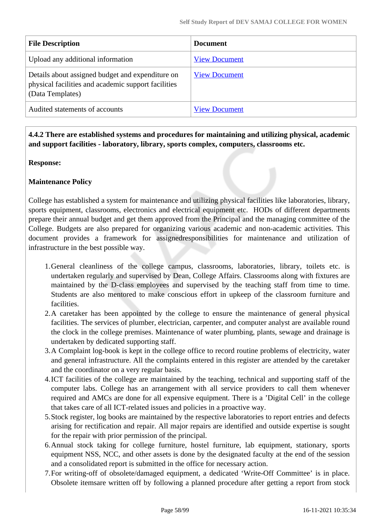| <b>File Description</b>                                                                                                     | <b>Document</b>      |
|-----------------------------------------------------------------------------------------------------------------------------|----------------------|
| Upload any additional information                                                                                           | <b>View Document</b> |
| Details about assigned budget and expenditure on<br>physical facilities and academic support facilities<br>(Data Templates) | <b>View Document</b> |
| Audited statements of accounts                                                                                              | <b>View Document</b> |

 **4.4.2 There are established systems and procedures for maintaining and utilizing physical, academic and support facilities - laboratory, library, sports complex, computers, classrooms etc.**

#### **Response:**

#### **Maintenance Policy**

College has established a system for maintenance and utilizing physical facilities like laboratories, library, sports equipment, classrooms, electronics and electrical equipment etc. HODs of different departments prepare their annual budget and get them approved from the Principal and the managing committee of the College. Budgets are also prepared for organizing various academic and non-academic activities. This document provides a framework for assignedresponsibilities for maintenance and utilization of infrastructure in the best possible way.

- 1.General cleanliness of the college campus, classrooms, laboratories, library, toilets etc. is undertaken regularly and supervised by Dean, College Affairs. Classrooms along with fixtures are maintained by the D-class employees and supervised by the teaching staff from time to time. Students are also mentored to make conscious effort in upkeep of the classroom furniture and facilities.
- 2.A caretaker has been appointed by the college to ensure the maintenance of general physical facilities. The services of plumber, electrician, carpenter, and computer analyst are available round the clock in the college premises. Maintenance of water plumbing, plants, sewage and drainage is undertaken by dedicated supporting staff.
- 3.A Complaint log-book is kept in the college office to record routine problems of electricity, water and general infrastructure. All the complaints entered in this register are attended by the caretaker and the coordinator on a very regular basis.
- 4.ICT facilities of the college are maintained by the teaching, technical and supporting staff of the computer labs. College has an arrangement with all service providers to call them whenever required and AMCs are done for all expensive equipment. There is a 'Digital Cell' in the college that takes care of all ICT-related issues and policies in a proactive way.
- 5.Stock register, log books are maintained by the respective laboratories to report entries and defects arising for rectification and repair. All major repairs are identified and outside expertise is sought for the repair with prior permission of the principal.
- 6.Annual stock taking for college furniture, hostel furniture, lab equipment, stationary, sports equipment NSS, NCC, and other assets is done by the designated faculty at the end of the session and a consolidated report is submitted in the office for necessary action.
- 7.For writing-off of obsolete/damaged equipment, a dedicated 'Write-Off Committee' is in place. Obsolete itemsare written off by following a planned procedure after getting a report from stock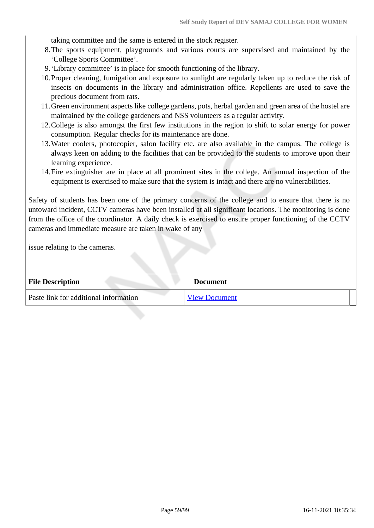taking committee and the same is entered in the stock register.

- 8.The sports equipment, playgrounds and various courts are supervised and maintained by the 'College Sports Committee'.
- 9.'Library committee' is in place for smooth functioning of the library.
- 10.Proper cleaning, fumigation and exposure to sunlight are regularly taken up to reduce the risk of insects on documents in the library and administration office. Repellents are used to save the precious document from rats.
- 11.Green environment aspects like college gardens, pots, herbal garden and green area of the hostel are maintained by the college gardeners and NSS volunteers as a regular activity.
- 12.College is also amongst the first few institutions in the region to shift to solar energy for power consumption. Regular checks for its maintenance are done.
- 13.Water coolers, photocopier, salon facility etc. are also available in the campus. The college is always keen on adding to the facilities that can be provided to the students to improve upon their learning experience.
- 14.Fire extinguisher are in place at all prominent sites in the college. An annual inspection of the equipment is exercised to make sure that the system is intact and there are no vulnerabilities.

Safety of students has been one of the primary concerns of the college and to ensure that there is no untoward incident, CCTV cameras have been installed at all significant locations. The monitoring is done from the office of the coordinator. A daily check is exercised to ensure proper functioning of the CCTV cameras and immediate measure are taken in wake of any

issue relating to the cameras.

| <b>File Description</b>               | <b>Document</b>      |
|---------------------------------------|----------------------|
| Paste link for additional information | <b>View Document</b> |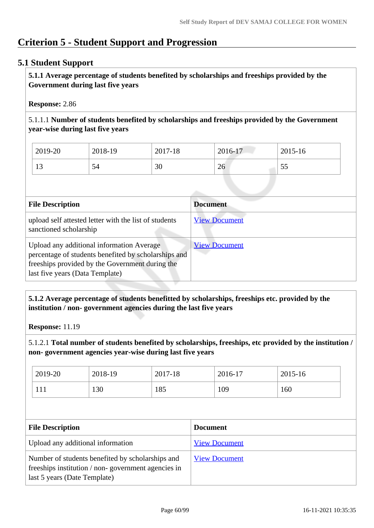# **Criterion 5 - Student Support and Progression**

#### **5.1 Student Support**

 **5.1.1 Average percentage of students benefited by scholarships and freeships provided by the Government during last five years** 

#### **Response:** 2.86

5.1.1.1 **Number of students benefited by scholarships and freeships provided by the Government year-wise during last five years**

| 2019-20            | 2018-19 | 2017-18 | 2016-17 | 2015-16 |
|--------------------|---------|---------|---------|---------|
| $1^{\prime}$<br>⊥J | 54      | 30      | 26      | ں ر     |

| <b>File Description</b>                                                                                                                                                                 | <b>Document</b>      |
|-----------------------------------------------------------------------------------------------------------------------------------------------------------------------------------------|----------------------|
| upload self attested letter with the list of students<br>sanctioned scholarship                                                                                                         | <b>View Document</b> |
| Upload any additional information Average<br>percentage of students benefited by scholarships and<br>freeships provided by the Government during the<br>last five years (Data Template) | <b>View Document</b> |

#### **5.1.2 Average percentage of students benefitted by scholarships, freeships etc. provided by the institution / non- government agencies during the last five years**

**Response:** 11.19

5.1.2.1 **Total number of students benefited by scholarships, freeships, etc provided by the institution / non- government agencies year-wise during last five years**

| 2019-20 | 2018-19 | 2017-18 | 2016-17 | $2015 - 16$ |
|---------|---------|---------|---------|-------------|
| 111     | 130     | 185     | 109     | 160         |

| <b>File Description</b>                                                                                                                | <b>Document</b>      |
|----------------------------------------------------------------------------------------------------------------------------------------|----------------------|
| Upload any additional information                                                                                                      | <b>View Document</b> |
| Number of students benefited by scholarships and<br>freeships institution / non-government agencies in<br>last 5 years (Date Template) | <b>View Document</b> |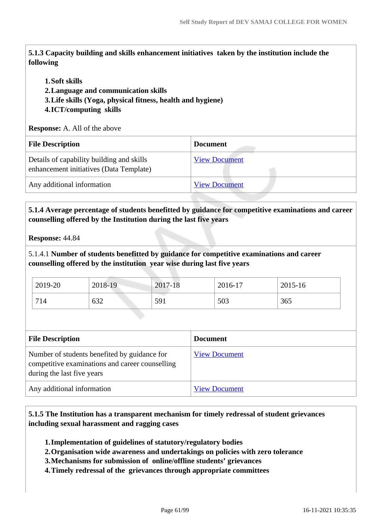**5.1.3 Capacity building and skills enhancement initiatives taken by the institution include the following**

#### **1.Soft skills**

**2.Language and communication skills** 

**3.Life skills (Yoga, physical fitness, health and hygiene)**

#### **4.ICT/computing skills**

**Response:** A. All of the above

| <b>File Description</b>                                                              | <b>Document</b>      |
|--------------------------------------------------------------------------------------|----------------------|
| Details of capability building and skills<br>enhancement initiatives (Data Template) | <b>View Document</b> |
| Any additional information                                                           | <b>View Document</b> |

#### **5.1.4 Average percentage of students benefitted by guidance for competitive examinations and career counselling offered by the Institution during the last five years**

**Response:** 44.84

5.1.4.1 **Number of students benefitted by guidance for competitive examinations and career counselling offered by the institution year wise during last five years**

| 2019-20 | 2018-19 | 2017-18 | 2016-17 | 2015-16 |
|---------|---------|---------|---------|---------|
| 714     | 632     | 591     | 503     | 365     |

| <b>File Description</b>                                                                                                       | <b>Document</b>      |
|-------------------------------------------------------------------------------------------------------------------------------|----------------------|
| Number of students benefited by guidance for<br>competitive examinations and career counselling<br>during the last five years | <b>View Document</b> |
| Any additional information                                                                                                    | <b>View Document</b> |

 **5.1.5 The Institution has a transparent mechanism for timely redressal of student grievances including sexual harassment and ragging cases**

**1.Implementation of guidelines of statutory/regulatory bodies**

**2.Organisation wide awareness and undertakings on policies with zero tolerance**

- **3.Mechanisms for submission of online/offline students' grievances**
- **4.Timely redressal of the grievances through appropriate committees**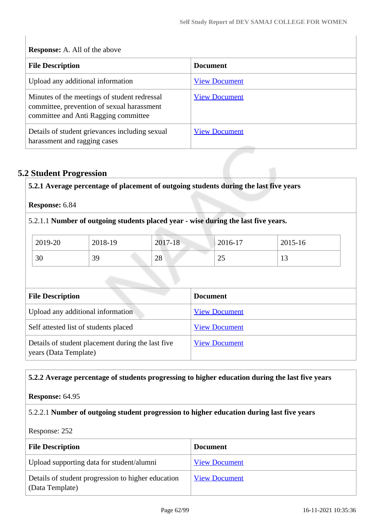| <b>Response:</b> A. All of the above                                                                                               |                      |  |  |  |
|------------------------------------------------------------------------------------------------------------------------------------|----------------------|--|--|--|
| <b>File Description</b>                                                                                                            | <b>Document</b>      |  |  |  |
| Upload any additional information                                                                                                  | <b>View Document</b> |  |  |  |
| Minutes of the meetings of student redressal<br>committee, prevention of sexual harassment<br>committee and Anti Ragging committee | <b>View Document</b> |  |  |  |
| Details of student grievances including sexual<br>harassment and ragging cases                                                     | <b>View Document</b> |  |  |  |

# **5.2 Student Progression**

 $\begin{array}{c} \hline \end{array}$ 

|         |         | 5.2.1.1 Number of outgoing students placed year - wise during the last five years. |             |             |
|---------|---------|------------------------------------------------------------------------------------|-------------|-------------|
| 2019-20 | 2018-19 | 2017-18                                                                            | $2016 - 17$ | $2015 - 16$ |
| 30      | 39      | 28                                                                                 | 25          | 13          |

| <b>FIIE DESCRIPTION</b>                                                    | Document             |
|----------------------------------------------------------------------------|----------------------|
| Upload any additional information                                          | <b>View Document</b> |
| Self attested list of students placed                                      | <b>View Document</b> |
| Details of student placement during the last five<br>years (Data Template) | <b>View Document</b> |

#### **5.2.2 Average percentage of students progressing to higher education during the last five years**

#### **Response:** 64.95

#### 5.2.2.1 **Number of outgoing student progression to higher education during last five years**

Response: 252

| <b>File Description</b>                                               | <b>Document</b>      |
|-----------------------------------------------------------------------|----------------------|
| Upload supporting data for student/alumni                             | <b>View Document</b> |
| Details of student progression to higher education<br>(Data Template) | <b>View Document</b> |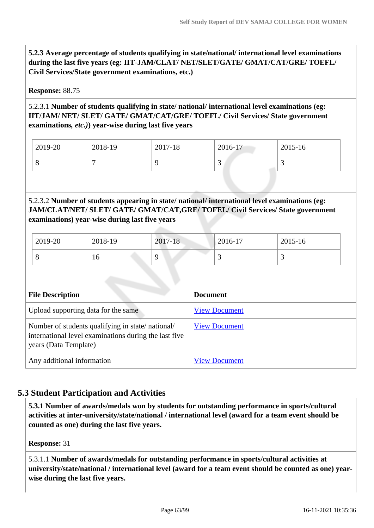**5.2.3 Average percentage of students qualifying in state/national/ international level examinations during the last five years (eg: IIT-JAM/CLAT/ NET/SLET/GATE/ GMAT/CAT/GRE/ TOEFL/ Civil Services/State government examinations, etc.)**

#### **Response:** 88.75

#### 5.2.3.1 **Number of students qualifying in state/ national/ international level examinations (eg: IIT/JAM/ NET/ SLET/ GATE/ GMAT/CAT/GRE/ TOEFL/ Civil Services/ State government examinations***, etc.)***) year-wise during last five years**

| 2019-20 | 2018-19 | 2017-18 | 2016-17 | 2015-16 |
|---------|---------|---------|---------|---------|
|         |         |         |         |         |

5.2.3.2 **Number of students appearing in state/ national/ international level examinations (eg: JAM/CLAT/NET/ SLET/ GATE/ GMAT/CAT,GRE/ TOFEL/ Civil Services/ State government examinations) year-wise during last five years**

| 2019-20 | 2018-19 | 2017-18 | $2016 - 17$ | 2015-16 |
|---------|---------|---------|-------------|---------|
|         | ιv      |         |             |         |

| <b>File Description</b>                                                                                                            | <b>Document</b>      |
|------------------------------------------------------------------------------------------------------------------------------------|----------------------|
| Upload supporting data for the same                                                                                                | <b>View Document</b> |
| Number of students qualifying in state/national/<br>international level examinations during the last five<br>years (Data Template) | <b>View Document</b> |
| Any additional information                                                                                                         | <b>View Document</b> |

#### **5.3 Student Participation and Activities**

 **5.3.1 Number of awards/medals won by students for outstanding performance in sports/cultural activities at inter-university/state/national / international level (award for a team event should be counted as one) during the last five years.**

**Response:** 31

5.3.1.1 **Number of awards/medals for outstanding performance in sports/cultural activities at university/state/national / international level (award for a team event should be counted as one) yearwise during the last five years.**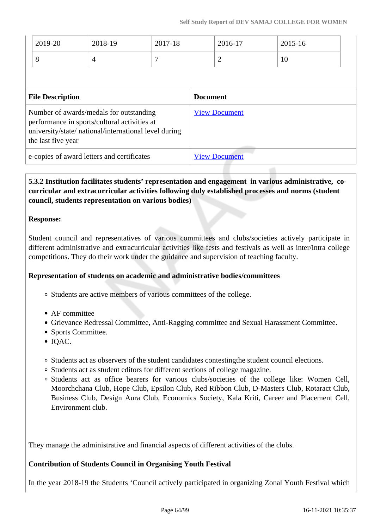| $12019 - 20$ | 2018-19 | 2017-18 | 2016-17 | 2015-16 |
|--------------|---------|---------|---------|---------|
|              |         |         | ∼       | 1∪      |

| <b>File Description</b>                                                                                                                                                | <b>Document</b>      |
|------------------------------------------------------------------------------------------------------------------------------------------------------------------------|----------------------|
| Number of awards/medals for outstanding<br>performance in sports/cultural activities at<br>university/state/ national/international level during<br>the last five year | <b>View Document</b> |
| e-copies of award letters and certificates                                                                                                                             | <b>View Document</b> |

#### **5.3.2 Institution facilitates students' representation and engagement in various administrative, cocurricular and extracurricular activities following duly established processes and norms (student council, students representation on various bodies)**

#### **Response:**

Student council and representatives of various committees and clubs/societies actively participate in different administrative and extracurricular activities like fests and festivals as well as inter/intra college competitions. They do their work under the guidance and supervision of teaching faculty.

#### **Representation of students on academic and administrative bodies/committees**

- Students are active members of various committees of the college.
- AF committee
- Grievance Redressal Committee, Anti-Ragging committee and Sexual Harassment Committee.
- Sports Committee.
- $\bullet$  IQAC.
- Students act as observers of the student candidates contestingthe student council elections.
- Students act as student editors for different sections of college magazine.
- Students act as office bearers for various clubs/societies of the college like: Women Cell, Moorchchana Club, Hope Club, Epsilon Club, Red Ribbon Club, D-Masters Club, Rotaract Club, Business Club, Design Aura Club, Economics Society, Kala Kriti, Career and Placement Cell, Environment club.

They manage the administrative and financial aspects of different activities of the clubs.

#### **Contribution of Students Council in Organising Youth Festival**

In the year 2018-19 the Students 'Council actively participated in organizing Zonal Youth Festival which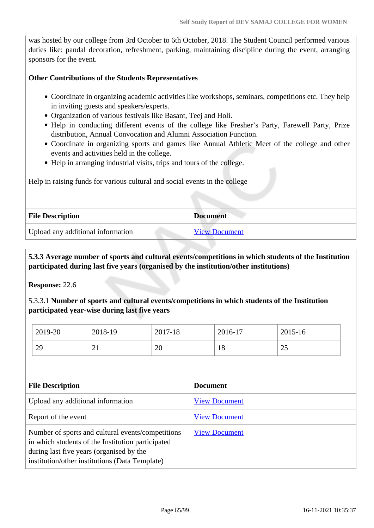was hosted by our college from 3rd October to 6th October, 2018. The Student Council performed various duties like: pandal decoration, refreshment, parking, maintaining discipline during the event, arranging sponsors for the event.

#### **Other Contributions of the Students Representatives**

- Coordinate in organizing academic activities like workshops, seminars, competitions etc. They help in inviting guests and speakers/experts.
- Organization of various festivals like Basant, Teej and Holi.
- Help in conducting different events of the college like Fresher's Party, Farewell Party, Prize distribution, Annual Convocation and Alumni Association Function.
- Coordinate in organizing sports and games like Annual Athletic Meet of the college and other events and activities held in the college.
- Help in arranging industrial visits, trips and tours of the college.

Help in raising funds for various cultural and social events in the college

| <b>File Description</b>           | <b>Document</b> |
|-----------------------------------|-----------------|
| Upload any additional information | View Document   |

#### **5.3.3 Average number of sports and cultural events/competitions in which students of the Institution participated during last five years (organised by the institution/other institutions)**

**Response:** 22.6

5.3.3.1 **Number of sports and cultural events/competitions in which students of the Institution participated year-wise during last five years**

| 2019-20 | 2018-19  | 2017-18 | 2016-17 | 2015-16              |
|---------|----------|---------|---------|----------------------|
| 29      | $\sim$ 1 | 20      | 18      | $\cap \subset$<br>ن∠ |

| <b>File Description</b>                                                                                                                                                                              | <b>Document</b>      |
|------------------------------------------------------------------------------------------------------------------------------------------------------------------------------------------------------|----------------------|
| Upload any additional information                                                                                                                                                                    | <b>View Document</b> |
| Report of the event                                                                                                                                                                                  | <b>View Document</b> |
| Number of sports and cultural events/competitions<br>in which students of the Institution participated<br>during last five years (organised by the<br>institution/other institutions (Data Template) | <b>View Document</b> |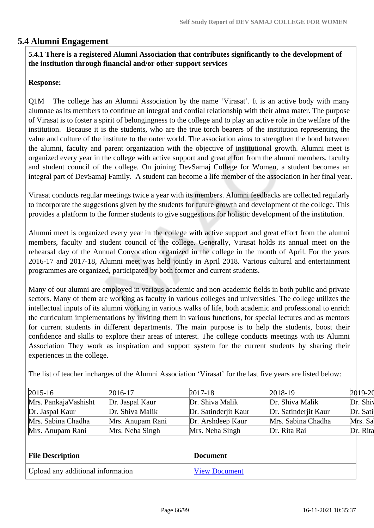#### **5.4 Alumni Engagement**

#### **5.4.1 There is a registered Alumni Association that contributes significantly to the development of the institution through financial and/or other support services**

#### **Response:**

Q1M The college has an Alumni Association by the name 'Virasat'. It is an active body with many alumnae as its members to continue an integral and cordial relationship with their alma mater. The purpose of Virasat is to foster a spirit of belongingness to the college and to play an active role in the welfare of the institution. Because it is the students, who are the true torch bearers of the institution representing the value and culture of the institute to the outer world. The association aims to strengthen the bond between the alumni, faculty and parent organization with the objective of institutional growth. Alumni meet is organized every year in the college with active support and great effort from the alumni members, faculty and student council of the college. On joining DevSamaj College for Women, a student becomes an integral part of DevSamaj Family. A student can become a life member of the association in her final year.

Virasat conducts regular meetings twice a year with its members. Alumni feedbacks are collected regularly to incorporate the suggestions given by the students for future growth and development of the college. This provides a platform to the former students to give suggestions for holistic development of the institution.

Alumni meet is organized every year in the college with active support and great effort from the alumni members, faculty and student council of the college. Generally, Virasat holds its annual meet on the rehearsal day of the Annual Convocation organized in the college in the month of April. For the years 2016-17 and 2017-18, Alumni meet was held jointly in April 2018. Various cultural and entertainment programmes are organized, participated by both former and current students.

Many of our alumni are employed in various academic and non-academic fields in both public and private sectors. Many of them are working as faculty in various colleges and universities. The college utilizes the intellectual inputs of its alumni working in various walks of life, both academic and professional to enrich the curriculum implementations by inviting them in various functions, for special lectures and as mentors for current students in different departments. The main purpose is to help the students, boost their confidence and skills to explore their areas of interest. The college conducts meetings with its Alumni Association They work as inspiration and support system for the current students by sharing their experiences in the college.

| $2015 - 16$          | 2016-17          | $2017 - 18$          | 2018-19              | $2019 - 20$ |
|----------------------|------------------|----------------------|----------------------|-------------|
| Mrs. PankajaVashisht | Dr. Jaspal Kaur  | Dr. Shiva Malik      | Dr. Shiva Malik      | Dr. Shiv    |
| Dr. Jaspal Kaur      | Dr. Shiva Malik  | Dr. Satinderjit Kaur | Dr. Satinderjit Kaur | Dr. Sati    |
| Mrs. Sabina Chadha   | Mrs. Anupam Rani | Dr. Arshdeep Kaur    | Mrs. Sabina Chadha   | Mrs. Sa     |
| Mrs. Anupam Rani     | Mrs. Neha Singh  | Mrs. Neha Singh      | Dr. Rita Rai         | Dr. Rita    |

The list of teacher incharges of the Alumni Association 'Virasat' for the last five years are listed below:

| <b>File Description</b>           | <b>Document</b>      |
|-----------------------------------|----------------------|
| Upload any additional information | <b>View Document</b> |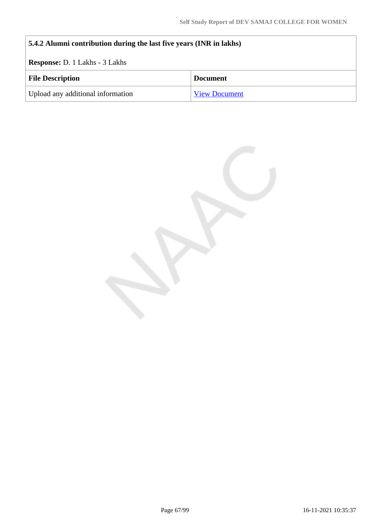| 5.4.2 Alumni contribution during the last five years (INR in lakhs) |                      |  |
|---------------------------------------------------------------------|----------------------|--|
| <b>Response:</b> D. 1 Lakhs - 3 Lakhs                               |                      |  |
| <b>File Description</b>                                             | <b>Document</b>      |  |
| Upload any additional information                                   | <b>View Document</b> |  |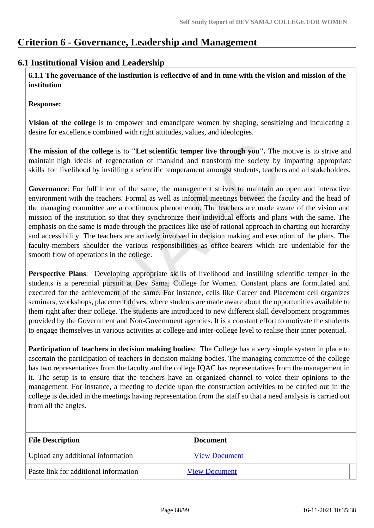### **Criterion 6 - Governance, Leadership and Management**

#### **6.1 Institutional Vision and Leadership**

**6.1.1 The governance of the institution is reflective of and in tune with the vision and mission of the institution**

**Response:** 

**Vision of the college** is to empower and emancipate women by shaping, sensitizing and inculcating a desire for excellence combined with right attitudes, values, and ideologies.

**The mission of the college** is to **"Let scientific temper live through you".** The motive is to strive and maintain high ideals of regeneration of mankind and transform the society by imparting appropriate skills for livelihood by instilling a scientific temperament amongst students, teachers and all stakeholders.

**Governance**: For fulfilment of the same, the management strives to maintain an open and interactive environment with the teachers. Formal as well as informal meetings between the faculty and the head of the managing committee are a continuous phenomenon. The teachers are made aware of the vision and mission of the institution so that they synchronize their individual efforts and plans with the same. The emphasis on the same is made through the practices like use of rational approach in charting out hierarchy and accessibility. The teachers are actively involved in decision making and execution of the plans. The faculty-members shoulder the various responsibilities as office-bearers which are undeniable for the smooth flow of operations in the college.

**Perspective Plans**: Developing appropriate skills of livelihood and instilling scientific temper in the students is a perennial pursuit at Dev Samaj College for Women. Constant plans are formulated and executed for the achievement of the same. For instance, cells like Career and Placement cell organizes seminars, workshops, placement drives, where students are made aware about the opportunities available to them right after their college. The students are introduced to new different skill development programmes provided by the Government and Non-Government agencies. It is a constant effort to motivate the students to engage themselves in various activities at college and inter-college level to realise their inner potential.

**Participation of teachers in decision making bodies**: The College has a very simple system in place to ascertain the participation of teachers in decision making bodies. The managing committee of the college has two representatives from the faculty and the college IQAC has representatives from the management in it. The setup is to ensure that the teachers have an organized channel to voice their opinions to the management. For instance, a meeting to decide upon the construction activities to be carried out in the college is decided in the meetings having representation from the staff so that a need analysis is carried out from all the angles.

| <b>File Description</b>               | <b>Document</b>      |
|---------------------------------------|----------------------|
| Upload any additional information     | <b>View Document</b> |
| Paste link for additional information | <b>View Document</b> |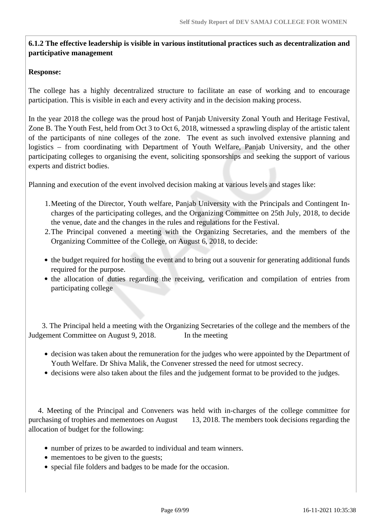#### **6.1.2 The effective leadership is visible in various institutional practices such as decentralization and participative management**

#### **Response:**

The college has a highly decentralized structure to facilitate an ease of working and to encourage participation. This is visible in each and every activity and in the decision making process.

In the year 2018 the college was the proud host of Panjab University Zonal Youth and Heritage Festival, Zone B. The Youth Fest, held from Oct 3 to Oct 6, 2018, witnessed a sprawling display of the artistic talent of the participants of nine colleges of the zone. The event as such involved extensive planning and logistics – from coordinating with Department of Youth Welfare, Panjab University, and the other participating colleges to organising the event, soliciting sponsorships and seeking the support of various experts and district bodies.

Planning and execution of the event involved decision making at various levels and stages like:

- 1.Meeting of the Director, Youth welfare, Panjab University with the Principals and Contingent Incharges of the participating colleges, and the Organizing Committee on 25th July, 2018, to decide the venue, date and the changes in the rules and regulations for the Festival.
- 2.The Principal convened a meeting with the Organizing Secretaries, and the members of the Organizing Committee of the College, on August 6, 2018, to decide:
- the budget required for hosting the event and to bring out a souvenir for generating additional funds required for the purpose.
- the allocation of duties regarding the receiving, verification and compilation of entries from participating college

 3. The Principal held a meeting with the Organizing Secretaries of the college and the members of the Judgement Committee on August 9, 2018. In the meeting

- decision was taken about the remuneration for the judges who were appointed by the Department of Youth Welfare. Dr Shiva Malik, the Convener stressed the need for utmost secrecy.
- decisions were also taken about the files and the judgement format to be provided to the judges.

 4. Meeting of the Principal and Conveners was held with in-charges of the college committee for purchasing of trophies and mementoes on August 13, 2018. The members took decisions regarding the allocation of budget for the following:

- number of prizes to be awarded to individual and team winners.
- mementoes to be given to the guests;
- special file folders and badges to be made for the occasion.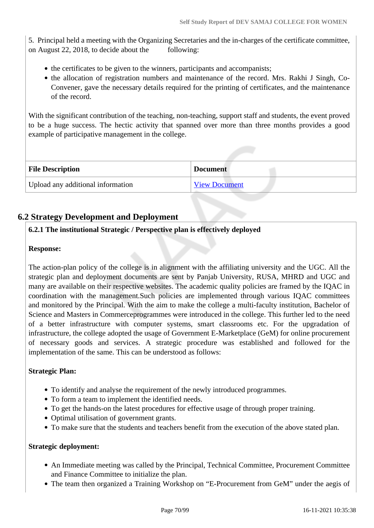5. Principal held a meeting with the Organizing Secretaries and the in-charges of the certificate committee, on August 22, 2018, to decide about the following:

- the certificates to be given to the winners, participants and accompanists;
- the allocation of registration numbers and maintenance of the record. Mrs. Rakhi J Singh, Co-Convener, gave the necessary details required for the printing of certificates, and the maintenance of the record.

With the significant contribution of the teaching, non-teaching, support staff and students, the event proved to be a huge success. The hectic activity that spanned over more than three months provides a good example of participative management in the college.

| <b>File Description</b>           | <b>Document</b>      |
|-----------------------------------|----------------------|
| Upload any additional information | <b>View Document</b> |

#### **6.2 Strategy Development and Deployment**

#### **6.2.1 The institutional Strategic / Perspective plan is effectively deployed**

#### **Response:**

The action-plan policy of the college is in alignment with the affiliating university and the UGC. All the strategic plan and deployment documents are sent by Panjab University, RUSA, MHRD and UGC and many are available on their respective websites. The academic quality policies are framed by the IQAC in coordination with the management.Such policies are implemented through various IQAC committees and monitored by the Principal. With the aim to make the college a multi-faculty institution, Bachelor of Science and Masters in Commerceprogrammes were introduced in the college. This further led to the need of a better infrastructure with computer systems, smart classrooms etc. For the upgradation of infrastructure, the college adopted the usage of Government E-Marketplace (GeM) for online procurement of necessary goods and services. A strategic procedure was established and followed for the implementation of the same. This can be understood as follows:

#### **Strategic Plan:**

- To identify and analyse the requirement of the newly introduced programmes.
- To form a team to implement the identified needs.
- To get the hands-on the latest procedures for effective usage of through proper training.
- Optimal utilisation of government grants.
- To make sure that the students and teachers benefit from the execution of the above stated plan.

#### **Strategic deployment:**

- An Immediate meeting was called by the Principal, Technical Committee, Procurement Committee and Finance Committee to initialize the plan.
- The team then organized a Training Workshop on "E-Procurement from GeM" under the aegis of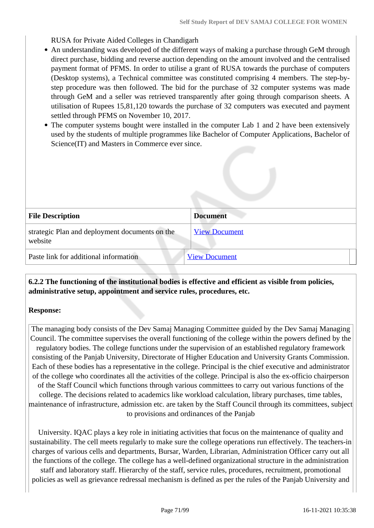RUSA for Private Aided Colleges in Chandigarh

- An understanding was developed of the different ways of making a purchase through GeM through direct purchase, bidding and reverse auction depending on the amount involved and the centralised payment format of PFMS. In order to utilise a grant of RUSA towards the purchase of computers (Desktop systems), a Technical committee was constituted comprising 4 members. The step-bystep procedure was then followed. The bid for the purchase of 32 computer systems was made through GeM and a seller was retrieved transparently after going through comparison sheets. A utilisation of Rupees 15,81,120 towards the purchase of 32 computers was executed and payment settled through PFMS on November 10, 2017.
- The computer systems bought were installed in the computer Lab 1 and 2 have been extensively used by the students of multiple programmes like Bachelor of Computer Applications, Bachelor of Science(IT) and Masters in Commerce ever since.

| <b>File Description</b>                                   | <b>Document</b>      |
|-----------------------------------------------------------|----------------------|
| strategic Plan and deployment documents on the<br>website | <b>View Document</b> |
| Paste link for additional information                     | <b>View Document</b> |

#### **6.2.2 The functioning of the institutional bodies is effective and efficient as visible from policies, administrative setup, appointment and service rules, procedures, etc.**

#### **Response:**

The managing body consists of the Dev Samaj Managing Committee guided by the Dev Samaj Managing Council. The committee supervises the overall functioning of the college within the powers defined by the regulatory bodies. The college functions under the supervision of an established regulatory framework consisting of the Panjab University, Directorate of Higher Education and University Grants Commission. Each of these bodies has a representative in the college. Principal is the chief executive and administrator of the college who coordinates all the activities of the college. Principal is also the ex-officio chairperson of the Staff Council which functions through various committees to carry out various functions of the college. The decisions related to academics like workload calculation, library purchases, time tables, maintenance of infrastructure, admission etc. are taken by the Staff Council through its committees, subject to provisions and ordinances of the Panjab

University. IQAC plays a key role in initiating activities that focus on the maintenance of quality and sustainability. The cell meets regularly to make sure the college operations run effectively. The teachers-in charges of various cells and departments, Bursar, Warden, Librarian, Administration Officer carry out all the functions of the college. The college has a well-defined organizational structure in the administration staff and laboratory staff. Hierarchy of the staff, service rules, procedures, recruitment, promotional policies as well as grievance redressal mechanism is defined as per the rules of the Panjab University and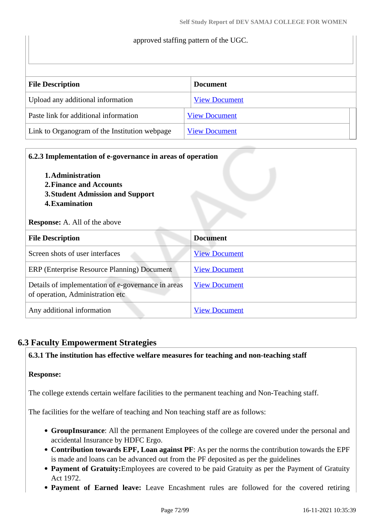# approved staffing pattern of the UGC. **File Description Document** Upload any additional information [View Document](https://assessmentonline.naac.gov.in/storage/app/hei/SSR/106258/6.2.2_1620797353_6228.pdf) Paste link for additional information [View Document](https://www.dscw45.ac.in/important-documents/) Link to Organogram of the Institution webpage  $\boxed{\text{View Document}}$  $\boxed{\text{View Document}}$  $\boxed{\text{View Document}}$

| 6.2.3 Implementation of e-governance in areas of operation<br>1. Administration<br>2. Finance and Accounts<br>3. Student Admission and Support<br><b>4. Examination</b><br><b>Response:</b> A. All of the above |                      |
|-----------------------------------------------------------------------------------------------------------------------------------------------------------------------------------------------------------------|----------------------|
| <b>File Description</b>                                                                                                                                                                                         | <b>Document</b>      |
| Screen shots of user interfaces                                                                                                                                                                                 | <b>View Document</b> |
| ERP (Enterprise Resource Planning) Document                                                                                                                                                                     | <b>View Document</b> |
| Details of implementation of e-governance in areas<br>of operation, Administration etc                                                                                                                          | <b>View Document</b> |
| Any additional information                                                                                                                                                                                      | <b>View Document</b> |

#### **6.3 Faculty Empowerment Strategies**

#### **6.3.1 The institution has effective welfare measures for teaching and non-teaching staff**

#### **Response:**

The college extends certain welfare facilities to the permanent teaching and Non-Teaching staff.

The facilities for the welfare of teaching and Non teaching staff are as follows:

- **GroupInsurance**: All the permanent Employees of the college are covered under the personal and accidental Insurance by HDFC Ergo.
- **Contribution towards EPF, Loan against PF**: As per the norms the contribution towards the EPF is made and loans can be advanced out from the PF deposited as per the guidelines
- **Payment of Gratuity:**Employees are covered to be paid Gratuity as per the Payment of Gratuity Act 1972.
- **Payment of Earned leave:** Leave Encashment rules are followed for the covered retiring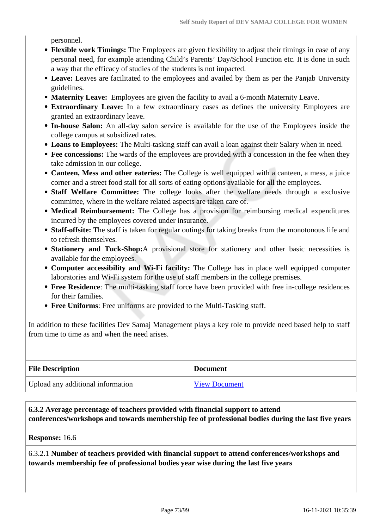personnel.

- **Flexible work Timings:** The Employees are given flexibility to adjust their timings in case of any personal need, for example attending Child's Parents' Day/School Function etc. It is done in such a way that the efficacy of studies of the students is not impacted.
- **Leave:** Leaves are facilitated to the employees and availed by them as per the Panjab University guidelines.
- **Maternity Leave:** Employees are given the facility to avail a 6-month Maternity Leave.
- **Extraordinary Leave:** In a few extraordinary cases as defines the university Employees are granted an extraordinary leave.
- **In-house Salon:** An all-day salon service is available for the use of the Employees inside the college campus at subsidized rates.
- **Loans to Employees:** The Multi-tasking staff can avail a loan against their Salary when in need.
- Fee concessions: The wards of the employees are provided with a concession in the fee when they take admission in our college.
- **Canteen, Mess and other eateries:** The College is well equipped with a canteen, a mess, a juice corner and a street food stall for all sorts of eating options available for all the employees.
- **Staff Welfare Committee:** The college looks after the welfare needs through a exclusive committee, where in the welfare related aspects are taken care of.
- **Medical Reimbursement:** The College has a provision for reimbursing medical expenditures incurred by the employees covered under insurance.
- **Staff-offsite:** The staff is taken for regular outings for taking breaks from the monotonous life and to refresh themselves.
- **Stationery and Tuck-Shop:**A provisional store for stationery and other basic necessities is available for the employees.
- **Computer accessibility and Wi-Fi facility:** The College has in place well equipped computer laboratories and Wi-Fi system for the use of staff members in the college premises.
- **Free Residence**: The multi-tasking staff force have been provided with free in-college residences for their families.
- **Free Uniforms**: Free uniforms are provided to the Multi-Tasking staff.

In addition to these facilities Dev Samaj Management plays a key role to provide need based help to staff from time to time as and when the need arises.

| <b>File Description</b>           | <b>Document</b>      |
|-----------------------------------|----------------------|
| Upload any additional information | <b>View Document</b> |

## **6.3.2 Average percentage of teachers provided with financial support to attend conferences/workshops and towards membership fee of professional bodies during the last five years**

#### **Response:** 16.6

6.3.2.1 **Number of teachers provided with financial support to attend conferences/workshops and towards membership fee of professional bodies year wise during the last five years**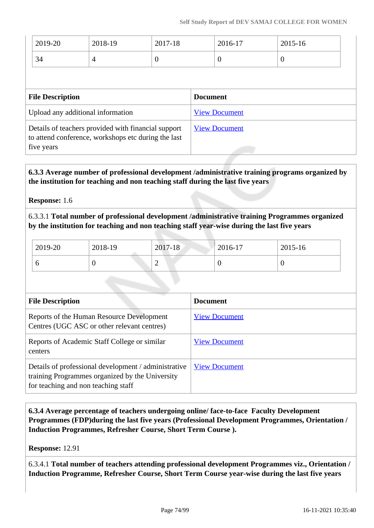| 2019-20                                                                                                                  | 2018-19        | 2017-18          |                      | 2016-17        | 2015-16  |
|--------------------------------------------------------------------------------------------------------------------------|----------------|------------------|----------------------|----------------|----------|
| 34                                                                                                                       | $\overline{4}$ | $\boldsymbol{0}$ |                      | $\overline{0}$ | $\theta$ |
|                                                                                                                          |                |                  |                      |                |          |
| <b>File Description</b>                                                                                                  |                |                  | <b>Document</b>      |                |          |
| Upload any additional information                                                                                        |                |                  | <b>View Document</b> |                |          |
| Details of teachers provided with financial support<br>to attend conference, workshops etc during the last<br>five years |                |                  | <b>View Document</b> |                |          |

 **6.3.3 Average number of professional development /administrative training programs organized by the institution for teaching and non teaching staff during the last five years**

**Response:** 1.6

6.3.3.1 **Total number of professional development /administrative training Programmes organized by the institution for teaching and non teaching staff year-wise during the last five years**

| 2019-20 | 2018-19 | 2017-18 | 2016-17 | 2015-16 |
|---------|---------|---------|---------|---------|
|         |         | ⌒<br>∽  |         |         |

| <b>File Description</b>                                                                                                                        | <b>Document</b>      |
|------------------------------------------------------------------------------------------------------------------------------------------------|----------------------|
| Reports of the Human Resource Development<br>Centres (UGC ASC or other relevant centres)                                                       | <b>View Document</b> |
| Reports of Academic Staff College or similar<br>centers                                                                                        | <b>View Document</b> |
| Details of professional development / administrative<br>training Programmes organized by the University<br>for teaching and non teaching staff | <b>View Document</b> |

 **6.3.4 Average percentage of teachers undergoing online/ face-to-face Faculty Development Programmes (FDP)during the last five years (Professional Development Programmes, Orientation / Induction Programmes, Refresher Course, Short Term Course ).**

**Response:** 12.91

6.3.4.1 **Total number of teachers attending professional development Programmes viz., Orientation / Induction Programme, Refresher Course, Short Term Course year-wise during the last five years**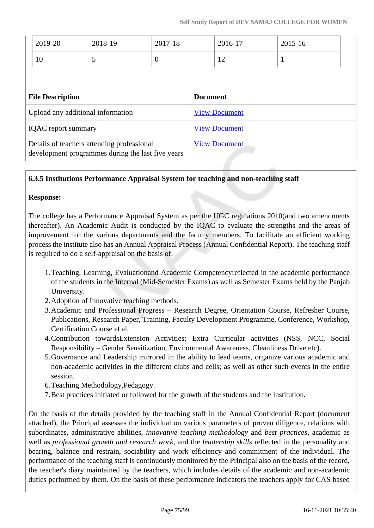| 2018-19                                                                                         | 2017-18          |                      | 2016-17 | 2015-16                                 |  |
|-------------------------------------------------------------------------------------------------|------------------|----------------------|---------|-----------------------------------------|--|
| 5                                                                                               | $\boldsymbol{0}$ |                      | 12      | $\mathbf 1$                             |  |
|                                                                                                 |                  |                      |         |                                         |  |
|                                                                                                 |                  |                      |         |                                         |  |
| Upload any additional information                                                               |                  | <b>View Document</b> |         |                                         |  |
| <b>IQAC</b> report summary                                                                      |                  | <b>View Document</b> |         |                                         |  |
| Details of teachers attending professional<br>development programmes during the last five years |                  |                      |         |                                         |  |
|                                                                                                 |                  |                      |         | <b>Document</b><br><b>View Document</b> |  |

## **6.3.5 Institutions Performance Appraisal System for teaching and non-teaching staff**

#### **Response:**

The college has a Performance Appraisal System as per the UGC regulations 2010(and two amendments thereafter). An Academic Audit is conducted by the IQAC to evaluate the strengths and the areas of improvement for the various departments and the faculty members. To facilitate an efficient working process the institute also has an Annual Appraisal Process (Annual Confidential Report). The teaching staff is required to do a self-appraisal on the basis of:

- 1.Teaching, Learning, Evaluationand Academic Competencyreflected in the academic performance of the students in the Internal (Mid-Semester Exams) as well as Semester Exams held by the Panjab University.
- 2.Adoption of Innovative teaching methods.
- 3.Academic and Professional Progress Research Degree, Orientation Course, Refresher Course, Publications, Research Paper, Training, Faculty Development Programme, Conference, Workshop, Certification Course et al.
- 4.Contribution towardsExtension Activities; Extra Curricular activities (NSS, NCC, Social Responsibility – Gender Sensitization, Environmental Awareness, Cleanliness Drive etc).
- 5.Governance and Leadership mirrored in the ability to lead teams, organize various academic and non-academic activities in the different clubs and cells; as well as other such events in the entire session.
- 6.Teaching Methodology,Pedagogy.
- 7.Best practices initiated or followed for the growth of the students and the institution.

On the basis of the details provided by the teaching staff in the Annual Confidential Report (document attached), the Principal assesses the individual on various parameters of proven diligence, relations with subordinates, administrative abilities, *innovative teaching methodology* and *best practices*, academic as well as *professional growth and research work*, and the *leadership skills* reflected in the personality and bearing, balance and restrain, sociability and work efficiency and commitment of the individual. The performance of the teaching staff is continuously monitored by the Principal also on the basis of the record, the teacher's diary maintained by the teachers, which includes details of the academic and non-academic duties performed by them. On the basis of these performance indicators the teachers apply for CAS based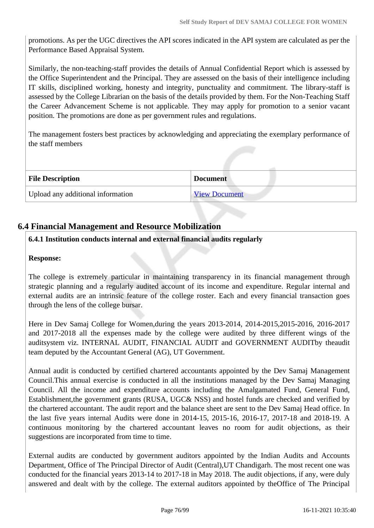promotions. As per the UGC directives the API scores indicated in the API system are calculated as per the Performance Based Appraisal System.

Similarly, the non-teaching-staff provides the details of Annual Confidential Report which is assessed by the Office Superintendent and the Principal. They are assessed on the basis of their intelligence including IT skills, disciplined working, honesty and integrity, punctuality and commitment. The library-staff is assessed by the College Librarian on the basis of the details provided by them. For the Non-Teaching Staff the Career Advancement Scheme is not applicable. They may apply for promotion to a senior vacant position. The promotions are done as per government rules and regulations.

The management fosters best practices by acknowledging and appreciating the exemplary performance of the staff members

| <b>File Description</b>           | <b>Document</b>      |
|-----------------------------------|----------------------|
| Upload any additional information | <b>View Document</b> |

## **6.4 Financial Management and Resource Mobilization**

## **6.4.1 Institution conducts internal and external financial audits regularly**

#### **Response:**

The college is extremely particular in maintaining transparency in its financial management through strategic planning and a regularly audited account of its income and expenditure. Regular internal and external audits are an intrinsic feature of the college roster. Each and every financial transaction goes through the lens of the college bursar.

Here in Dev Samaj College for Women,during the years 2013-2014, 2014-2015,2015-2016, 2016-2017 and 2017-2018 all the expenses made by the college were audited by three different wings of the auditsystem viz. INTERNAL AUDIT, FINANCIAL AUDIT and GOVERNMENT AUDITby theaudit team deputed by the Accountant General (AG), UT Government.

Annual audit is conducted by certified chartered accountants appointed by the Dev Samaj Management Council.This annual exercise is conducted in all the institutions managed by the Dev Samaj Managing Council. All the income and expenditure accounts including the Amalgamated Fund, General Fund, Establishment,the government grants (RUSA, UGC& NSS) and hostel funds are checked and verified by the chartered accountant. The audit report and the balance sheet are sent to the Dev Samaj Head office. In the last five years internal Audits were done in 2014-15, 2015-16, 2016-17, 2017-18 and 2018-19. A continuous monitoring by the chartered accountant leaves no room for audit objections, as their suggestions are incorporated from time to time.

External audits are conducted by government auditors appointed by the Indian Audits and Accounts Department, Office of The Principal Director of Audit (Central),UT Chandigarh. The most recent one was conducted for the financial years 2013-14 to 2017-18 in May 2018. The audit objections, if any, were duly answered and dealt with by the college. The external auditors appointed by theOffice of The Principal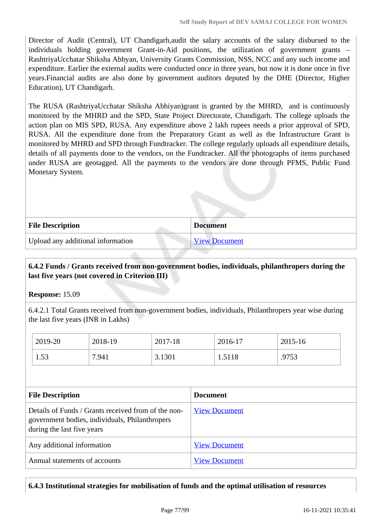Director of Audit (Central), UT Chandigarh,audit the salary accounts of the salary disbursed to the individuals holding government Grant-in-Aid positions, the utilization of government grants – RashtriyaUcchatar Shiksha Abhyan, University Grants Commission, NSS, NCC and any such income and expenditure. Earlier the external audits were conducted once in three years, but now it is done once in five years.Financial audits are also done by government auditors deputed by the DHE (Director, Higher Education), UT Chandigarh.

The RUSA (RashtriyaUcchatar Shiksha Abhiyan)grant is granted by the MHRD, and is continuously monitored by the MHRD and the SPD, State Project Directorate, Chandigarh. The college uploads the action plan on MIS SPD, RUSA. Any expenditure above 2 lakh rupees needs a prior approval of SPD, RUSA. All the expenditure done from the Preparatory Grant as well as the Infrastructure Grant is monitored by MHRD and SPD through Fundtracker. The college regularly uploads all expenditure details, details of all payments done to the vendors, on the Fundtracker. All the photographs of items purchased under RUSA are geotagged. All the payments to the vendors are done through PFMS, Public Fund Monetary System.

| <b>File Description</b>           | <b>Document</b>      |
|-----------------------------------|----------------------|
| Upload any additional information | <b>View Document</b> |

## **6.4.2 Funds / Grants received from non-government bodies, individuals, philanthropers during the last five years (not covered in Criterion III)**

**Response:** 15.09

6.4.2.1 Total Grants received from non-government bodies, individuals, Philanthropers year wise during the last five years (INR in Lakhs)

| 2019-20    | 2018-19 | 2017-18 | 2016-17 | 2015-16 |
|------------|---------|---------|---------|---------|
| 53<br>1.JJ | 7.941   | 3.1301  | 1.5118  | .9753   |

| <b>File Description</b>                                                                                                             | <b>Document</b>      |
|-------------------------------------------------------------------------------------------------------------------------------------|----------------------|
| Details of Funds / Grants received from of the non-<br>government bodies, individuals, Philanthropers<br>during the last five years | <b>View Document</b> |
| Any additional information                                                                                                          | <b>View Document</b> |
| Annual statements of accounts                                                                                                       | <b>View Document</b> |

#### **6.4.3 Institutional strategies for mobilisation of funds and the optimal utilisation of resources**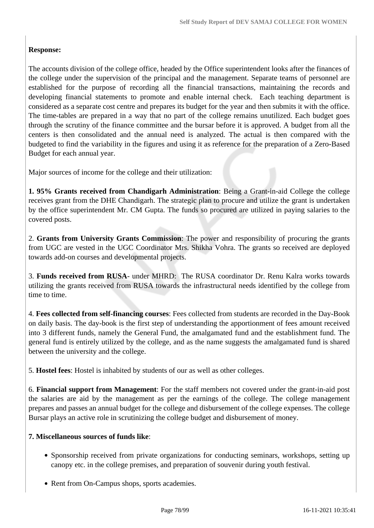## **Response:**

The accounts division of the college office, headed by the Office superintendent looks after the finances of the college under the supervision of the principal and the management. Separate teams of personnel are established for the purpose of recording all the financial transactions, maintaining the records and developing financial statements to promote and enable internal check. Each teaching department is considered as a separate cost centre and prepares its budget for the year and then submits it with the office. The time-tables are prepared in a way that no part of the college remains unutilized. Each budget goes through the scrutiny of the finance committee and the bursar before it is approved. A budget from all the centers is then consolidated and the annual need is analyzed. The actual is then compared with the budgeted to find the variability in the figures and using it as reference for the preparation of a Zero-Based Budget for each annual year.

Major sources of income for the college and their utilization:

**1. 95% Grants received from Chandigarh Administration**: Being a Grant-in-aid College the college receives grant from the DHE Chandigarh. The strategic plan to procure and utilize the grant is undertaken by the office superintendent Mr. CM Gupta. The funds so procured are utilized in paying salaries to the covered posts.

2. **Grants from University Grants Commission**: The power and responsibility of procuring the grants from UGC are vested in the UGC Coordinator Mrs. Shikha Vohra. The grants so received are deployed towards add-on courses and developmental projects.

3. **Funds received from RUSA**- under MHRD: The RUSA coordinator Dr. Renu Kalra works towards utilizing the grants received from RUSA towards the infrastructural needs identified by the college from time to time.

4. **Fees collected from self-financing courses**: Fees collected from students are recorded in the Day-Book on daily basis. The day-book is the first step of understanding the apportionment of fees amount received into 3 different funds, namely the General Fund, the amalgamated fund and the establishment fund. The general fund is entirely utilized by the college, and as the name suggests the amalgamated fund is shared between the university and the college.

5. **Hostel fees**: Hostel is inhabited by students of our as well as other colleges.

6. **Financial support from Management**: For the staff members not covered under the grant-in-aid post the salaries are aid by the management as per the earnings of the college. The college management prepares and passes an annual budget for the college and disbursement of the college expenses. The college Bursar plays an active role in scrutinizing the college budget and disbursement of money.

#### **7. Miscellaneous sources of funds like**:

- Sponsorship received from private organizations for conducting seminars, workshops, setting up canopy etc. in the college premises, and preparation of souvenir during youth festival.
- Rent from On-Campus shops, sports academies.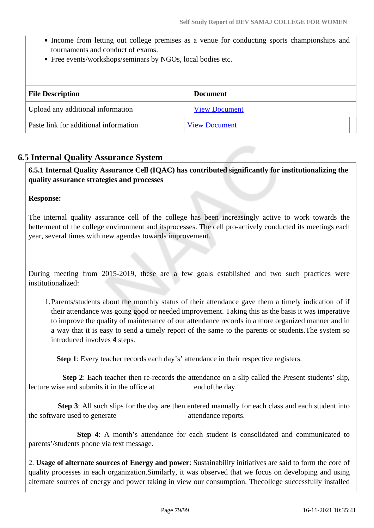- Income from letting out college premises as a venue for conducting sports championships and tournaments and conduct of exams.
- Free events/workshops/seminars by NGOs, local bodies etc.

| <b>File Description</b>               | <b>Document</b>      |  |
|---------------------------------------|----------------------|--|
| Upload any additional information     | <b>View Document</b> |  |
| Paste link for additional information | <b>View Document</b> |  |

## **6.5 Internal Quality Assurance System**

 **6.5.1 Internal Quality Assurance Cell (IQAC) has contributed significantly for institutionalizing the quality assurance strategies and processes**

#### **Response:**

The internal quality assurance cell of the college has been increasingly active to work towards the betterment of the college environment and itsprocesses. The cell pro-actively conducted its meetings each year, several times with new agendas towards improvement.

During meeting from 2015-2019, these are a few goals established and two such practices were institutionalized:

1.Parents/students about the monthly status of their attendance gave them a timely indication of if their attendance was going good or needed improvement. Taking this as the basis it was imperative to improve the quality of maintenance of our attendance records in a more organized manner and in a way that it is easy to send a timely report of the same to the parents or students.The system so introduced involves **4** steps.

 **Step 1**: Every teacher records each day's' attendance in their respective registers.

**Step 2**: Each teacher then re-records the attendance on a slip called the Present students' slip, lecture wise and submits it in the office at end of the day.

**Step 3**: All such slips for the day are then entered manually for each class and each student into the software used to generate attendance reports.

 **Step 4**: A month's attendance for each student is consolidated and communicated to parents'/students phone via text message.

2. **Usage of alternate sources of Energy and power**: Sustainability initiatives are said to form the core of quality processes in each organization.Similarly, it was observed that we focus on developing and using alternate sources of energy and power taking in view our consumption. Thecollege successfully installed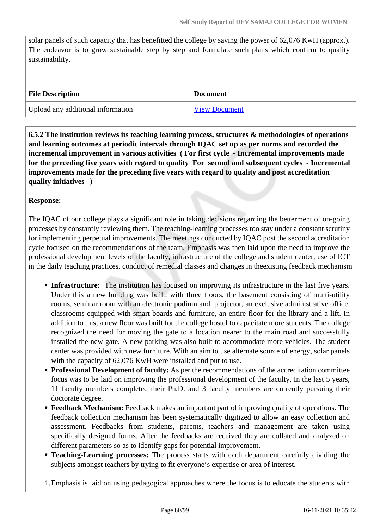solar panels of such capacity that has benefitted the college by saving the power of 62,076 KwH (approx.). The endeavor is to grow sustainable step by step and formulate such plans which confirm to quality sustainability.

| <b>File Description</b>           | <b>Document</b>      |
|-----------------------------------|----------------------|
| Upload any additional information | <b>View Document</b> |

 **6.5.2 The institution reviews its teaching learning process, structures & methodologies of operations and learning outcomes at periodic intervals through IQAC set up as per norms and recorded the incremental improvement in various activities ( For first cycle - Incremental improvements made for the preceding five years with regard to quality For second and subsequent cycles - Incremental improvements made for the preceding five years with regard to quality and post accreditation quality initiatives )** 

## **Response:**

The IQAC of our college plays a significant role in taking decisions regarding the betterment of on-going processes by constantly reviewing them. The teaching-learning processes too stay under a constant scrutiny for implementing perpetual improvements. The meetings conducted by IQAC post the second accreditation cycle focused on the recommendations of the team. Emphasis was then laid upon the need to improve the professional development levels of the faculty, infrastructure of the college and student center, use of ICT in the daily teaching practices, conduct of remedial classes and changes in theexisting feedback mechanism

- **Infrastructure:** The institution has focused on improving its infrastructure in the last five years. Under this a new building was built, with three floors, the basement consisting of multi-utility rooms, seminar room with an electronic podium and projector, an exclusive administrative office, classrooms equipped with smart-boards and furniture, an entire floor for the library and a lift. In addition to this, a new floor was built for the college hostel to capacitate more students. The college recognized the need for moving the gate to a location nearer to the main road and successfully installed the new gate. A new parking was also built to accommodate more vehicles. The student center was provided with new furniture. With an aim to use alternate source of energy, solar panels with the capacity of  $62,076$  KwH were installed and put to use.
- **Professional Development of faculty:** As per the recommendations of the accreditation committee focus was to be laid on improving the professional development of the faculty. In the last 5 years, 11 faculty members completed their Ph.D. and 3 faculty members are currently pursuing their doctorate degree.
- **Feedback Mechanism:** Feedback makes an important part of improving quality of operations. The feedback collection mechanism has been systematically digitized to allow an easy collection and assessment. Feedbacks from students, parents, teachers and management are taken using specifically designed forms. After the feedbacks are received they are collated and analyzed on different parameters so as to identify gaps for potential improvement.
- **Teaching-Learning processes:** The process starts with each department carefully dividing the subjects amongst teachers by trying to fit everyone's expertise or area of interest.

1.Emphasis is laid on using pedagogical approaches where the focus is to educate the students with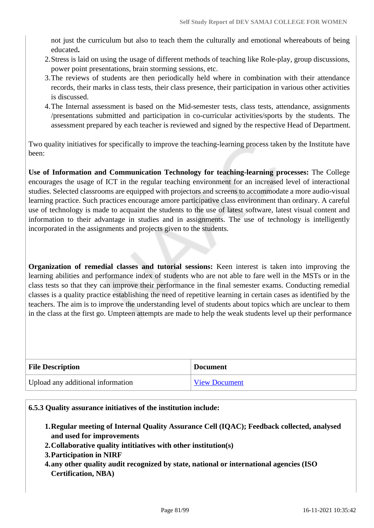not just the curriculum but also to teach them the culturally and emotional whereabouts of being educated**.**

- 2.Stress is laid on using the usage of different methods of teaching like Role-play, group discussions, power point presentations, brain storming sessions, etc.
- 3.The reviews of students are then periodically held where in combination with their attendance records, their marks in class tests, their class presence, their participation in various other activities is discussed.
- 4.The Internal assessment is based on the Mid-semester tests, class tests, attendance, assignments /presentations submitted and participation in co-curricular activities/sports by the students. The assessment prepared by each teacher is reviewed and signed by the respective Head of Department.

Two quality initiatives for specifically to improve the teaching-learning process taken by the Institute have been:

**Use of Information and Communication Technology for teaching-learning processes:** The College encourages the usage of ICT in the regular teaching environment for an increased level of interactional studies. Selected classrooms are equipped with projectors and screens to accommodate a more audio-visual learning practice. Such practices encourage amore participative class environment than ordinary. A careful use of technology is made to acquaint the students to the use of latest software, latest visual content and information to their advantage in studies and in assignments. The use of technology is intelligently incorporated in the assignments and projects given to the students.

**Organization of remedial classes and tutorial sessions:** Keen interest is taken into improving the learning abilities and performance index of students who are not able to fare well in the MSTs or in the class tests so that they can improve their performance in the final semester exams. Conducting remedial classes is a quality practice establishing the need of repetitive learning in certain cases as identified by the teachers. The aim is to improve the understanding level of students about topics which are unclear to them in the class at the first go. Umpteen attempts are made to help the weak students level up their performance

| <b>File Description</b>           | <b>Document</b>      |
|-----------------------------------|----------------------|
| Upload any additional information | <b>View Document</b> |

#### **6.5.3 Quality assurance initiatives of the institution include:**

- **1.Regular meeting of Internal Quality Assurance Cell (IQAC); Feedback collected, analysed and used for improvements**
- **2.Collaborative quality intitiatives with other institution(s)**
- **3.Participation in NIRF**
- **4.any other quality audit recognized by state, national or international agencies (ISO Certification, NBA)**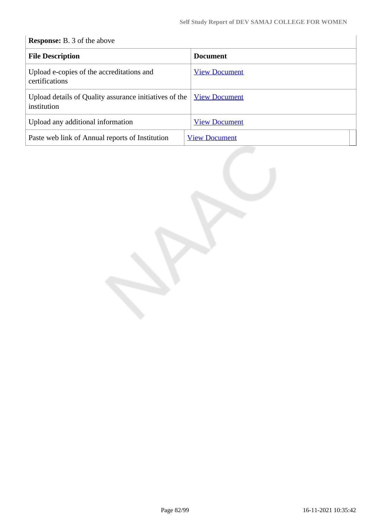## **Response:** B. 3 of the above

| <b>File Description</b>                                               | <b>Document</b>      |
|-----------------------------------------------------------------------|----------------------|
| Upload e-copies of the accreditations and<br>certifications           | <b>View Document</b> |
| Upload details of Quality assurance initiatives of the<br>institution | <b>View Document</b> |
| Upload any additional information                                     | <b>View Document</b> |
| Paste web link of Annual reports of Institution                       | <b>View Document</b> |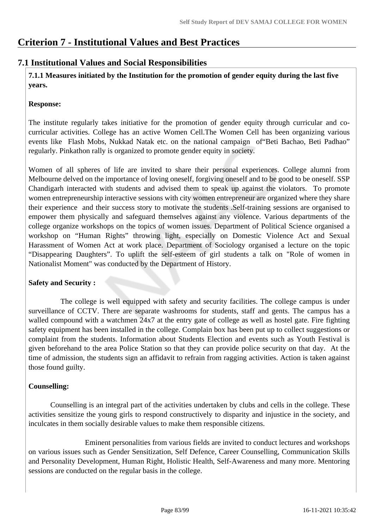## **Criterion 7 - Institutional Values and Best Practices**

## **7.1 Institutional Values and Social Responsibilities**

 **7.1.1 Measures initiated by the Institution for the promotion of gender equity during the last five years.**

## **Response:**

The institute regularly takes initiative for the promotion of gender equity through curricular and cocurricular activities. College has an active Women Cell.The Women Cell has been organizing various events like Flash Mobs, Nukkad Natak etc. on the national campaign of"Beti Bachao, Beti Padhao" regularly. Pinkathon rally is organized to promote gender equity in society.

Women of all spheres of life are invited to share their personal experiences. College alumni from Melbourne delved on the importance of loving oneself, forgiving oneself and to be good to be oneself. SSP Chandigarh interacted with students and advised them to speak up against the violators. To promote women entrepreneurship interactive sessions with city women entrepreneur are organized where they share their experience and their success story to motivate the students .Self-training sessions are organised to empower them physically and safeguard themselves against any violence. Various departments of the college organize workshops on the topics of women issues. Department of Political Science organised a workshop on "Human Rights" throwing light, especially on Domestic Violence Act and Sexual Harassment of Women Act at work place. Department of Sociology organised a lecture on the topic "Disappearing Daughters". To uplift the self-esteem of girl students a talk on "Role of women in Nationalist Moment" was conducted by the Department of History.

#### **Safety and Security :**

 The college is well equipped with safety and security facilities. The college campus is under surveillance of CCTV. There are separate washrooms for students, staff and gents. The campus has a walled compound with a watchmen 24x7 at the entry gate of college as well as hostel gate. Fire fighting safety equipment has been installed in the college. Complain box has been put up to collect suggestions or complaint from the students. Information about Students Election and events such as Youth Festival is given beforehand to the area Police Station so that they can provide police security on that day. At the time of admission, the students sign an affidavit to refrain from ragging activities. Action is taken against those found guilty.

## **Counselling:**

 Counselling is an integral part of the activities undertaken by clubs and cells in the college. These activities sensitize the young girls to respond constructively to disparity and injustice in the society, and inculcates in them socially desirable values to make them responsible citizens.

 Eminent personalities from various fields are invited to conduct lectures and workshops on various issues such as Gender Sensitization, Self Defence, Career Counselling, Communication Skills and Personality Development, Human Right, Holistic Health, Self-Awareness and many more. Mentoring sessions are conducted on the regular basis in the college.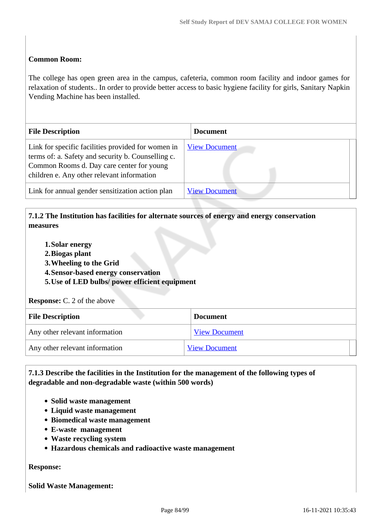### **Common Room:**

The college has open green area in the campus, cafeteria, common room facility and indoor games for relaxation of students.. In order to provide better access to basic hygiene facility for girls, Sanitary Napkin Vending Machine has been installed.

| <b>File Description</b>                                                                                                                                                                             | <b>Document</b>      |
|-----------------------------------------------------------------------------------------------------------------------------------------------------------------------------------------------------|----------------------|
| Link for specific facilities provided for women in<br>terms of: a. Safety and security b. Counselling c.<br>Common Rooms d. Day care center for young<br>children e. Any other relevant information | <b>View Document</b> |
| Link for annual gender sensitization action plan                                                                                                                                                    | <b>View Document</b> |

## **7.1.2 The Institution has facilities for alternate sources of energy and energy conservation measures**

- **1.Solar energy**
- **2.Biogas plant**
- **3.Wheeling to the Grid**
- **4.Sensor-based energy conservation**
- **5.Use of LED bulbs/ power efficient equipment**

**Response:** C. 2 of the above

| <b>File Description</b>        | <b>Document</b>      |
|--------------------------------|----------------------|
| Any other relevant information | <b>View Document</b> |
| Any other relevant information | <b>View Document</b> |

 **7.1.3 Describe the facilities in the Institution for the management of the following types of degradable and non-degradable waste (within 500 words)**

- **Solid waste management**
- **Liquid waste management**
- **Biomedical waste management**
- **E-waste management**
- **Waste recycling system**
- **Hazardous chemicals and radioactive waste management**

#### **Response:**

**Solid Waste Management:**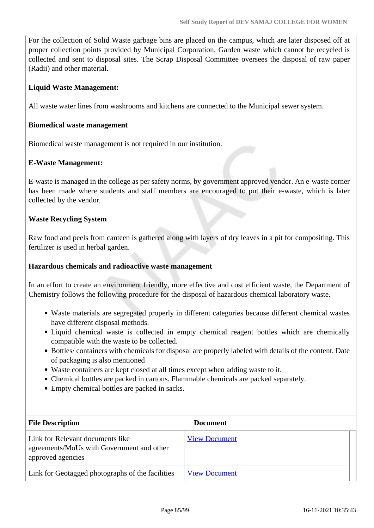For the collection of Solid Waste garbage bins are placed on the campus, which are later disposed off at proper collection points provided by Municipal Corporation. Garden waste which cannot be recycled is collected and sent to disposal sites. The Scrap Disposal Committee oversees the disposal of raw paper (Radii) and other material.

### **Liquid Waste Management:**

All waste water lines from washrooms and kitchens are connected to the Municipal sewer system.

#### **Biomedical waste management**

Biomedical waste management is not required in our institution.

#### **E-Waste Management:**

E-waste is managed in the college as per safety norms, by government approved vendor. An e-waste corner has been made where students and staff members are encouraged to put their e-waste, which is later collected by the vendor.

#### **Waste Recycling System**

Raw food and peels from canteen is gathered along with layers of dry leaves in a pit for compositing. This fertilizer is used in herbal garden.

#### **Hazardous chemicals and radioactive waste management**

In an effort to create an environment friendly, more effective and cost efficient waste, the Department of Chemistry follows the following procedure for the disposal of hazardous chemical laboratory waste.

- Waste materials are segregated properly in different categories because different chemical wastes have different disposal methods.
- Liquid chemical waste is collected in empty chemical reagent bottles which are chemically compatible with the waste to be collected.
- Bottles/ containers with chemicals for disposal are properly labeled with details of the content. Date of packaging is also mentioned
- Waste containers are kept closed at all times except when adding waste to it.
- Chemical bottles are packed in cartons. Flammable chemicals are packed separately.
- Empty chemical bottles are packed in sacks.

| <b>File Description</b>                                                                            | <b>Document</b>      |
|----------------------------------------------------------------------------------------------------|----------------------|
| Link for Relevant documents like<br>agreements/MoUs with Government and other<br>approved agencies | <b>View Document</b> |
| Link for Geotagged photographs of the facilities                                                   | <b>View Document</b> |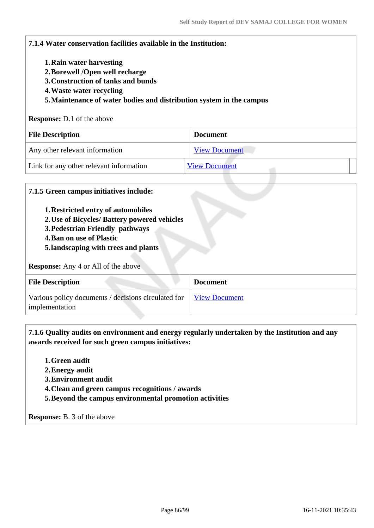| 7.1.4 Water conservation facilities available in the Institution:      |                      |
|------------------------------------------------------------------------|----------------------|
| 1. Rain water harvesting                                               |                      |
| 2. Borewell / Open well recharge<br>3. Construction of tanks and bunds |                      |
| 4. Waste water recycling                                               |                      |
|                                                                        |                      |
| 5. Maintenance of water bodies and distribution system in the campus   |                      |
| <b>Response:</b> D.1 of the above                                      |                      |
| <b>File Description</b>                                                | <b>Document</b>      |
| Any other relevant information                                         | <b>View Document</b> |

#### **7.1.5 Green campus initiatives include:**

- **1.Restricted entry of automobiles**
- **2.Use of Bicycles/ Battery powered vehicles**
- **3.Pedestrian Friendly pathways**
- **4.Ban on use of Plastic**
- **5.landscaping with trees and plants**

**Response:** Any 4 or All of the above

| <b>File Description</b>                                                                    | <b>Document</b> |
|--------------------------------------------------------------------------------------------|-----------------|
| Various policy documents / decisions circulated for <u>View Document</u><br>implementation |                 |

 **7.1.6 Quality audits on environment and energy regularly undertaken by the Institution and any awards received for such green campus initiatives:**

- **1.Green audit**
- **2.Energy audit**
- **3.Environment audit**
- **4.Clean and green campus recognitions / awards**
- **5.Beyond the campus environmental promotion activities**

**Response:** B. 3 of the above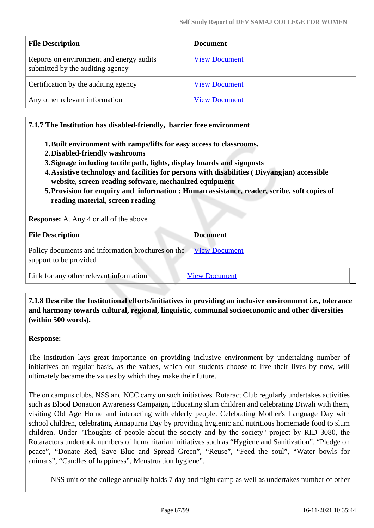| <b>File Description</b>                                                      | <b>Document</b>      |
|------------------------------------------------------------------------------|----------------------|
| Reports on environment and energy audits<br>submitted by the auditing agency | <b>View Document</b> |
| Certification by the auditing agency                                         | <b>View Document</b> |
| Any other relevant information                                               | <b>View Document</b> |

### **7.1.7 The Institution has disabled-friendly, barrier free environment**

- **1.Built environment with ramps/lifts for easy access to classrooms.**
- **2.Disabled-friendly washrooms**
- **3.Signage including tactile path, lights, display boards and signposts**
- **4.Assistive technology and facilities for persons with disabilities ( Divyangjan) accessible website, screen-reading software, mechanized equipment**
- **5.Provision for enquiry and information : Human assistance, reader, scribe, soft copies of reading material, screen reading**

**Response:** A. Any 4 or all of the above

| <b>File Description</b>                                                                   | <b>Document</b>      |
|-------------------------------------------------------------------------------------------|----------------------|
| Policy documents and information brochures on the View Document<br>support to be provided |                      |
| Link for any other relevant information                                                   | <b>View Document</b> |

 **7.1.8 Describe the Institutional efforts/initiatives in providing an inclusive environment i.e., tolerance and harmony towards cultural, regional, linguistic, communal socioeconomic and other diversities (within 500 words).**

#### **Response:**

The institution lays great importance on providing inclusive environment by undertaking number of initiatives on regular basis, as the values, which our students choose to live their lives by now, will ultimately became the values by which they make their future.

The on campus clubs, NSS and NCC carry on such initiatives. Rotaract Club regularly undertakes activities such as Blood Donation Awareness Campaign, Educating slum children and celebrating Diwali with them, visiting Old Age Home and interacting with elderly people. Celebrating Mother's Language Day with school children, celebrating Annapurna Day by providing hygienic and nutritious homemade food to slum children. Under "Thoughts of people about the society and by the society" project by RID 3080, the Rotaractors undertook numbers of humanitarian initiatives such as "Hygiene and Sanitization", "Pledge on peace", "Donate Red, Save Blue and Spread Green", "Reuse", "Feed the soul", "Water bowls for animals", "Candles of happiness", Menstruation hygiene".

NSS unit of the college annually holds 7 day and night camp as well as undertakes number of other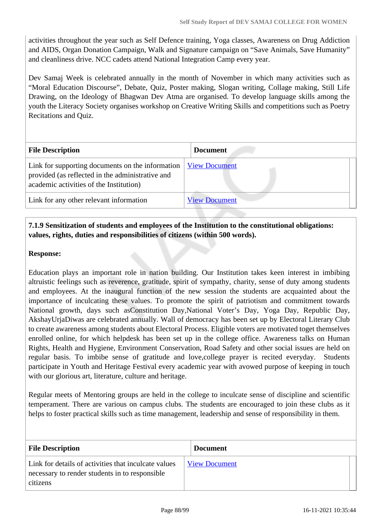activities throughout the year such as Self Defence training, Yoga classes, Awareness on Drug Addiction and AIDS, Organ Donation Campaign, Walk and Signature campaign on "Save Animals, Save Humanity" and cleanliness drive. NCC cadets attend National Integration Camp every year.

Dev Samaj Week is celebrated annually in the month of November in which many activities such as "Moral Education Discourse", Debate, Quiz, Poster making, Slogan writing, Collage making, Still Life Drawing, on the Ideology of Bhagwan Dev Atma are organised. To develop language skills among the youth the Literacy Society organises workshop on Creative Writing Skills and competitions such as Poetry Recitations and Quiz.

| <b>File Description</b>                                                                                                                         | <b>Document</b>      |
|-------------------------------------------------------------------------------------------------------------------------------------------------|----------------------|
| Link for supporting documents on the information<br>provided (as reflected in the administrative and<br>academic activities of the Institution) | <b>View Document</b> |
| Link for any other relevant information                                                                                                         | <b>View Document</b> |

## **7.1.9 Sensitization of students and employees of the Institution to the constitutional obligations: values, rights, duties and responsibilities of citizens (within 500 words).**

#### **Response:**

Education plays an important role in nation building. Our Institution takes keen interest in imbibing altruistic feelings such as reverence, gratitude, spirit of sympathy, charity, sense of duty among students and employees. At the inaugural function of the new session the students are acquainted about the importance of inculcating these values. To promote the spirit of patriotism and commitment towards National growth, days such asConstitution Day,National Voter's Day, Yoga Day, Republic Day, AkshayUrjaDiwas are celebrated annually. Wall of democracy has been set up by Electoral Literary Club to create awareness among students about Electoral Process. Eligible voters are motivated toget themselves enrolled online, for which helpdesk has been set up in the college office. Awareness talks on Human Rights, Health and Hygiene, Environment Conservation, Road Safety and other social issues are held on regular basis. To imbibe sense of gratitude and love,college prayer is recited everyday. Students participate in Youth and Heritage Festival every academic year with avowed purpose of keeping in touch with our glorious art, literature, culture and heritage.

Regular meets of Mentoring groups are held in the college to inculcate sense of discipline and scientific temperament. There are various on campus clubs. The students are encouraged to join these clubs as it helps to foster practical skills such as time management, leadership and sense of responsibility in them.

| <b>File Description</b>                                                                                            | <b>Document</b>      |
|--------------------------------------------------------------------------------------------------------------------|----------------------|
| Link for details of activities that inculcate values<br>necessary to render students in to responsible<br>citizens | <b>View Document</b> |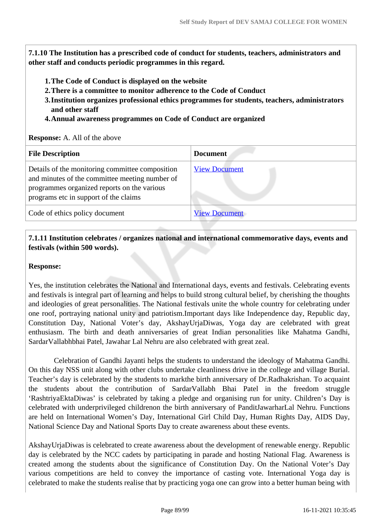**7.1.10 The Institution has a prescribed code of conduct for students, teachers, administrators and other staff and conducts periodic programmes in this regard.** 

- **1.The Code of Conduct is displayed on the website**
- **2.There is a committee to monitor adherence to the Code of Conduct**
- **3.Institution organizes professional ethics programmes for students, teachers, administrators and other staff**
- **4.Annual awareness programmes on Code of Conduct are organized**

#### **Response:** A. All of the above

| <b>File Description</b>                                                                                                                                                                   | <b>Document</b>      |
|-------------------------------------------------------------------------------------------------------------------------------------------------------------------------------------------|----------------------|
| Details of the monitoring committee composition<br>and minutes of the committee meeting number of<br>programmes organized reports on the various<br>programs etc in support of the claims | <b>View Document</b> |
| Code of ethics policy document                                                                                                                                                            | <b>View Document</b> |

## **7.1.11 Institution celebrates / organizes national and international commemorative days, events and festivals (within 500 words).**

#### **Response:**

Yes, the institution celebrates the National and International days, events and festivals. Celebrating events and festivals is integral part of learning and helps to build strong cultural belief, by cherishing the thoughts and ideologies of great personalities. The National festivals unite the whole country for celebrating under one roof, portraying national unity and patriotism.Important days like Independence day, Republic day, Constitution Day, National Voter's day, AkshayUrjaDiwas, Yoga day are celebrated with great enthusiasm. The birth and death anniversaries of great Indian personalities like Mahatma Gandhi, SardarVallabhbhai Patel, Jawahar Lal Nehru are also celebrated with great zeal.

 Celebration of Gandhi Jayanti helps the students to understand the ideology of Mahatma Gandhi. On this day NSS unit along with other clubs undertake cleanliness drive in the college and village Burial. Teacher's day is celebrated by the students to markthe birth anniversary of Dr.Radhakrishan. To acquaint the students about the contribution of SardarVallabh Bhai Patel in the freedom struggle 'RashtriyaEktaDiwas' is celebrated by taking a pledge and organising run for unity. Children's Day is celebrated with underprivileged childrenon the birth anniversary of PanditJawarharLal Nehru. Functions are held on International Women's Day, International Girl Child Day, Human Rights Day, AIDS Day, National Science Day and National Sports Day to create awareness about these events.

AkshayUrjaDiwas is celebrated to create awareness about the development of renewable energy. Republic day is celebrated by the NCC cadets by participating in parade and hosting National Flag. Awareness is created among the students about the significance of Constitution Day. On the National Voter's Day various competitions are held to convey the importance of casting vote. International Yoga day is celebrated to make the students realise that by practicing yoga one can grow into a better human being with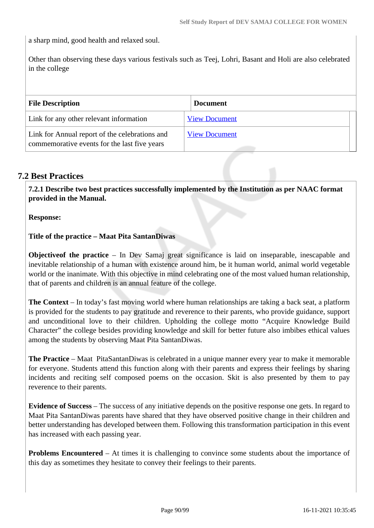a sharp mind, good health and relaxed soul.

Other than observing these days various festivals such as Teej, Lohri, Basant and Holi are also celebrated in the college

| <b>File Description</b>                                                                        | <b>Document</b>      |
|------------------------------------------------------------------------------------------------|----------------------|
| Link for any other relevant information                                                        | <b>View Document</b> |
| Link for Annual report of the celebrations and<br>commemorative events for the last five years | <b>View Document</b> |

## **7.2 Best Practices**

 **7.2.1 Describe two best practices successfully implemented by the Institution as per NAAC format provided in the Manual.**

**Response:** 

**Title of the practice – Maat Pita SantanDiwas**

**Objectiveof the practice** – In Dev Samaj great significance is laid on inseparable, inescapable and inevitable relationship of a human with existence around him, be it human world, animal world vegetable world or the inanimate. With this objective in mind celebrating one of the most valued human relationship, that of parents and children is an annual feature of the college.

**The Context** – In today's fast moving world where human relationships are taking a back seat, a platform is provided for the students to pay gratitude and reverence to their parents, who provide guidance, support and unconditional love to their children. Upholding the college motto "Acquire Knowledge Build Character" the college besides providing knowledge and skill for better future also imbibes ethical values among the students by observing Maat Pita SantanDiwas.

**The Practice** – Maat PitaSantanDiwas is celebrated in a unique manner every year to make it memorable for everyone. Students attend this function along with their parents and express their feelings by sharing incidents and reciting self composed poems on the occasion. Skit is also presented by them to pay reverence to their parents.

**Evidence of Success** – The success of any initiative depends on the positive response one gets. In regard to Maat Pita SantanDiwas parents have shared that they have observed positive change in their children and better understanding has developed between them. Following this transformation participation in this event has increased with each passing year.

**Problems Encountered** – At times it is challenging to convince some students about the importance of this day as sometimes they hesitate to convey their feelings to their parents.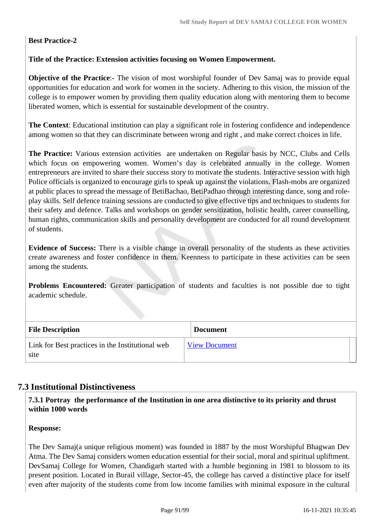## **Best Practice-2**

## **Title of the Practice: Extension activities focusing on Women Empowerment.**

**Objective of the Practice:**- The vision of most worshipful founder of Dev Samaj was to provide equal opportunities for education and work for women in the society. Adhering to this vision, the mission of the college is to empower women by providing them quality education along with mentoring them to become liberated women, which is essential for sustainable development of the country.

**The Context**: Educational institution can play a significant role in fostering confidence and independence among women so that they can discriminate between wrong and right , and make correct choices in life.

**The Practice:** Various extension activities are undertaken on Regular basis by NCC, Clubs and Cells which focus on empowering women. Women's day is celebrated annually in the college. Women entrepreneurs are invited to share their success story to motivate the students. Interactive session with high Police officials is organized to encourage girls to speak up against the violations. Flash-mobs are organized at public places to spread the message of BetiBachao, BetiPadhao through interesting dance, song and roleplay skills. Self defence training sessions are conducted to give effective tips and techniques to students for their safety and defence. Talks and workshops on gender sensitization, holistic health, career counselling, human rights, communication skills and personality development are conducted for all round development of students.

**Evidence of Success:** There is a visible change in overall personality of the students as these activities create awareness and foster confidence in them. Keenness to participate in these activities can be seen among the students.

**Problems Encountered:** Greater participation of students and faculties is not possible due to tight academic schedule.

| <b>File Description</b>                                  | <b>Document</b>      |
|----------------------------------------------------------|----------------------|
| Link for Best practices in the Institutional web<br>site | <b>View Document</b> |

## **7.3 Institutional Distinctiveness**

 **7.3.1 Portray the performance of the Institution in one area distinctive to its priority and thrust within 1000 words**

#### **Response:**

The Dev Samaj(a unique religious moment) was founded in 1887 by the most Worshipful Bhagwan Dev Atma. The Dev Samaj considers women education essential for their social, moral and spiritual upliftment. DevSamaj College for Women, Chandigarh started with a humble beginning in 1981 to blossom to its present position. Located in Burail village, Sector-45, the college has carved a distinctive place for itself even after majority of the students come from low income families with minimal exposure in the cultural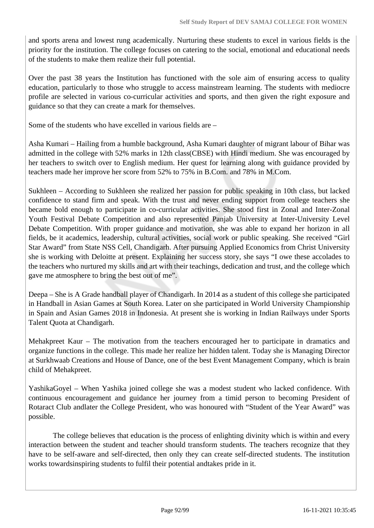and sports arena and lowest rung academically. Nurturing these students to excel in various fields is the priority for the institution. The college focuses on catering to the social, emotional and educational needs of the students to make them realize their full potential.

Over the past 38 years the Institution has functioned with the sole aim of ensuring access to quality education, particularly to those who struggle to access mainstream learning. The students with mediocre profile are selected in various co-curricular activities and sports, and then given the right exposure and guidance so that they can create a mark for themselves.

Some of the students who have excelled in various fields are –

Asha Kumari – Hailing from a humble background, Asha Kumari daughter of migrant labour of Bihar was admitted in the college with 52% marks in 12th class(CBSE) with Hindi medium. She was encouraged by her teachers to switch over to English medium. Her quest for learning along with guidance provided by teachers made her improve her score from 52% to 75% in B.Com. and 78% in M.Com.

Sukhleen – According to Sukhleen she realized her passion for public speaking in 10th class, but lacked confidence to stand firm and speak. With the trust and never ending support from college teachers she became bold enough to participate in co-curricular activities. She stood first in Zonal and Inter-Zonal Youth Festival Debate Competition and also represented Panjab University at Inter-University Level Debate Competition. With proper guidance and motivation, she was able to expand her horizon in all fields, be it academics, leadership, cultural activities, social work or public speaking. She received "Girl Star Award" from State NSS Cell, Chandigarh. After pursuing Applied Economics from Christ University she is working with Deloitte at present. Explaining her success story, she says "I owe these accolades to the teachers who nurtured my skills and art with their teachings, dedication and trust, and the college which gave me atmosphere to bring the best out of me".

Deepa – She is A Grade handball player of Chandigarh. In 2014 as a student of this college she participated in Handball in Asian Games at South Korea. Later on she participated in World University Championship in Spain and Asian Games 2018 in Indonesia. At present she is working in Indian Railways under Sports Talent Quota at Chandigarh.

Mehakpreet Kaur – The motivation from the teachers encouraged her to participate in dramatics and organize functions in the college. This made her realize her hidden talent. Today she is Managing Director at Surkhwaab Creations and House of Dance, one of the best Event Management Company, which is brain child of Mehakpreet.

YashikaGoyel – When Yashika joined college she was a modest student who lacked confidence. With continuous encouragement and guidance her journey from a timid person to becoming President of Rotaract Club andlater the College President, who was honoured with "Student of the Year Award" was possible.

 The college believes that education is the process of enlighting divinity which is within and every interaction between the student and teacher should transform students. The teachers recognize that they have to be self-aware and self-directed, then only they can create self-directed students. The institution works towardsinspiring students to fulfil their potential andtakes pride in it.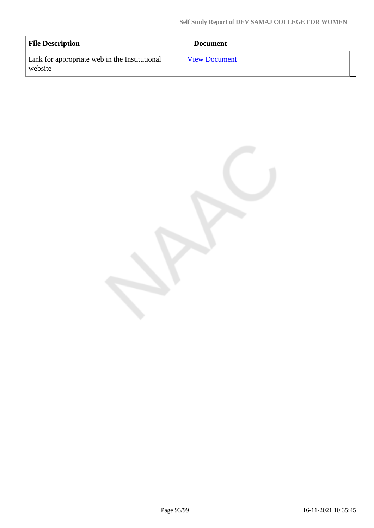| <b>File Description</b>                                  | <b>Document</b>      |
|----------------------------------------------------------|----------------------|
| Link for appropriate web in the Institutional<br>website | <b>View Document</b> |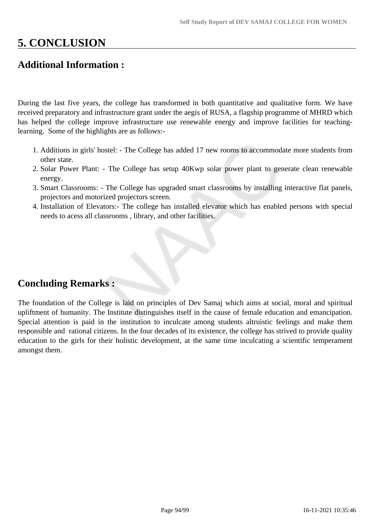# **5. CONCLUSION**

## **Additional Information :**

During the last five years, the college has transformed in both quantitative and qualitative form. We have received preparatory and infrastructure grant under the aegis of RUSA, a flagship programme of MHRD which has helped the college improve infrastructure use renewable energy and improve facilities for teachinglearning. Some of the highlights are as follows:-

- 1. Additions in girls' hostel: The College has added 17 new rooms to accommodate more students from other state.
- 2. Solar Power Plant: The College has setup 40Kwp solar power plant to generate clean renewable energy.
- 3. Smart Classrooms: The College has upgraded smart classrooms by installing interactive flat panels, projectors and motorized projectors screen.
- 4. Installation of Elevators:- The college has installed elevator which has enabled persons with special needs to acess all classrooms , library, and other facilities.

## **Concluding Remarks :**

The foundation of the College is laid on principles of Dev Samaj which aims at social, moral and spiritual upliftment of humanity. The Institute distinguishes itself in the cause of female education and emancipation. Special attention is paid in the institution to inculcate among students altruistic feelings and make them responsible and rational citizens. In the four decades of its existence, the college has strived to provide quality education to the girls for their holistic development, at the same time inculcating a scientific temperament amongst them.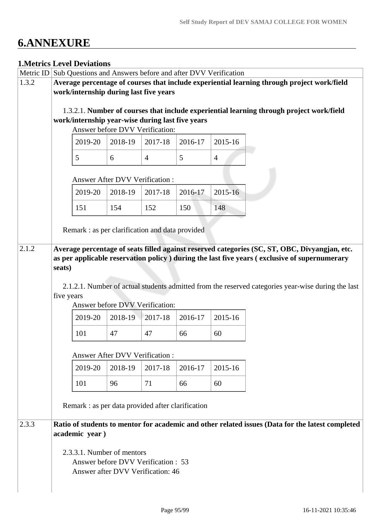# **6.ANNEXURE**

## **1.Metrics Level Deviations**

| Metric ID |            | Sub Questions and Answers before and after DVV Verification |                                       |                                                                          |         |                |                                                                                                    |
|-----------|------------|-------------------------------------------------------------|---------------------------------------|--------------------------------------------------------------------------|---------|----------------|----------------------------------------------------------------------------------------------------|
| 1.3.2     |            |                                                             |                                       |                                                                          |         |                | Average percentage of courses that include experiential learning through project work/field        |
|           |            | work/internship during last five years                      |                                       |                                                                          |         |                |                                                                                                    |
|           |            |                                                             |                                       |                                                                          |         |                |                                                                                                    |
|           |            |                                                             |                                       |                                                                          |         |                | 1.3.2.1. Number of courses that include experiential learning through project work/field           |
|           |            | work/internship year-wise during last five years            |                                       |                                                                          |         |                |                                                                                                    |
|           |            |                                                             |                                       | Answer before DVV Verification:                                          |         |                |                                                                                                    |
|           |            | 2019-20                                                     | 2018-19                               | 2017-18                                                                  | 2016-17 | 2015-16        |                                                                                                    |
|           |            | 5                                                           | 6                                     | $\overline{4}$                                                           | 5       | $\overline{4}$ |                                                                                                    |
|           |            |                                                             | <b>Answer After DVV Verification:</b> |                                                                          |         |                |                                                                                                    |
|           |            | 2019-20                                                     | 2018-19                               | 2017-18                                                                  | 2016-17 | 2015-16        |                                                                                                    |
|           |            | 151                                                         | 154                                   | 152                                                                      | 150     | 148            |                                                                                                    |
|           |            |                                                             |                                       |                                                                          |         |                |                                                                                                    |
|           |            | Remark: as per clarification and data provided              |                                       |                                                                          |         |                |                                                                                                    |
| 2.1.2     |            |                                                             |                                       |                                                                          |         |                | Average percentage of seats filled against reserved categories (SC, ST, OBC, Divyangjan, etc.      |
|           | seats)     |                                                             |                                       |                                                                          |         |                | as per applicable reservation policy ) during the last five years (exclusive of supernumerary      |
|           |            |                                                             |                                       |                                                                          |         |                |                                                                                                    |
|           | five years |                                                             |                                       |                                                                          |         |                | 2.1.2.1. Number of actual students admitted from the reserved categories year-wise during the last |
|           |            |                                                             |                                       | Answer before DVV Verification:                                          |         |                |                                                                                                    |
|           |            | 2019-20                                                     | 2018-19                               | 2017-18                                                                  | 2016-17 | 2015-16        |                                                                                                    |
|           |            | 101                                                         | 47                                    | 47                                                                       | 66      | 60             |                                                                                                    |
|           |            |                                                             | <b>Answer After DVV Verification:</b> |                                                                          |         |                |                                                                                                    |
|           |            |                                                             |                                       |                                                                          |         |                |                                                                                                    |
|           |            | 2019-20                                                     | 2018-19                               | 2017-18                                                                  | 2016-17 | 2015-16        |                                                                                                    |
|           |            | 101                                                         | 96                                    | 71                                                                       | 66      | 60             |                                                                                                    |
|           |            | Remark : as per data provided after clarification           |                                       |                                                                          |         |                |                                                                                                    |
| 2.3.3     |            | academic year)                                              |                                       |                                                                          |         |                | Ratio of students to mentor for academic and other related issues (Data for the latest completed   |
|           |            |                                                             |                                       |                                                                          |         |                |                                                                                                    |
|           |            | 2.3.3.1. Number of mentors                                  |                                       |                                                                          |         |                |                                                                                                    |
|           |            |                                                             |                                       | Answer before DVV Verification : 53<br>Answer after DVV Verification: 46 |         |                |                                                                                                    |
|           |            |                                                             |                                       |                                                                          |         |                |                                                                                                    |
|           |            |                                                             |                                       |                                                                          |         |                |                                                                                                    |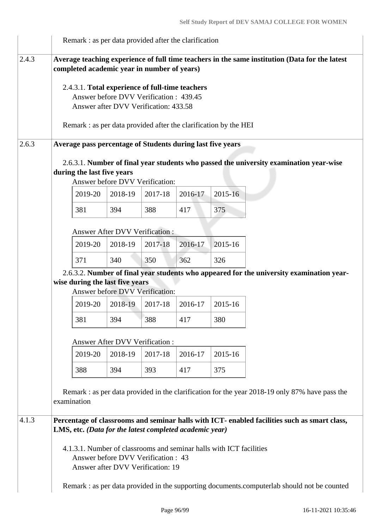|       |             |                            |                                 |                                                                                                                                    | Remark : as per data provided after the clarification               |         |                                                                                                |
|-------|-------------|----------------------------|---------------------------------|------------------------------------------------------------------------------------------------------------------------------------|---------------------------------------------------------------------|---------|------------------------------------------------------------------------------------------------|
| 2.4.3 |             |                            |                                 | completed academic year in number of years)                                                                                        |                                                                     |         | Average teaching experience of full time teachers in the same institution (Data for the latest |
|       |             |                            |                                 | 2.4.3.1. Total experience of full-time teachers<br>Answer before DVV Verification: 439.45<br>Answer after DVV Verification: 433.58 | Remark: as per data provided after the clarification by the HEI     |         |                                                                                                |
| 2.6.3 |             |                            |                                 |                                                                                                                                    | Average pass percentage of Students during last five years          |         |                                                                                                |
|       |             | during the last five years |                                 | Answer before DVV Verification:                                                                                                    |                                                                     |         | 2.6.3.1. Number of final year students who passed the university examination year-wise         |
|       |             | 2019-20                    | 2018-19                         | 2017-18                                                                                                                            | 2016-17                                                             | 2015-16 |                                                                                                |
|       |             | 381                        | 394                             | 388                                                                                                                                | 417                                                                 | 375     |                                                                                                |
|       |             |                            |                                 | <b>Answer After DVV Verification:</b>                                                                                              |                                                                     |         |                                                                                                |
|       |             | 2019-20                    | 2018-19                         | 2017-18                                                                                                                            | 2016-17                                                             | 2015-16 |                                                                                                |
|       |             | 371                        | 340                             | 350                                                                                                                                | 362                                                                 | 326     |                                                                                                |
|       |             |                            | wise during the last five years | Answer before DVV Verification:                                                                                                    |                                                                     |         | 2.6.3.2. Number of final year students who appeared for the university examination year-       |
|       |             | 2019-20                    | 2018-19                         | 2017-18                                                                                                                            | 2016-17                                                             | 2015-16 |                                                                                                |
|       |             | 381                        | 394                             | 388                                                                                                                                | 417                                                                 | 380     |                                                                                                |
|       |             |                            |                                 | Answer After DVV Verification:                                                                                                     |                                                                     |         |                                                                                                |
|       |             | 2019-20                    | 2018-19                         | 2017-18                                                                                                                            | 2016-17                                                             | 2015-16 |                                                                                                |
|       |             | 388                        | 394                             | 393                                                                                                                                | 417                                                                 | 375     |                                                                                                |
|       | examination |                            |                                 |                                                                                                                                    |                                                                     |         | Remark : as per data provided in the clarification for the year 2018-19 only 87% have pass the |
| 4.1.3 |             |                            |                                 |                                                                                                                                    | LMS, etc. (Data for the latest completed academic year)             |         | Percentage of classrooms and seminar halls with ICT- enabled facilities such as smart class,   |
|       |             |                            |                                 | Answer before DVV Verification : 43<br>Answer after DVV Verification: 19                                                           | 4.1.3.1. Number of classrooms and seminar halls with ICT facilities |         |                                                                                                |
|       |             |                            |                                 |                                                                                                                                    |                                                                     |         | Remark : as per data provided in the supporting documents.computerlab should not be counted    |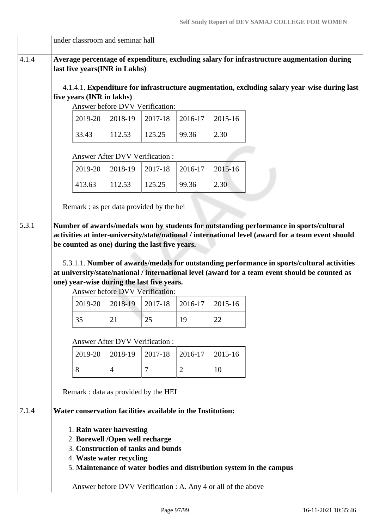|       | under classroom and seminar hall                                                                                              |                                                               |         |                |         |                                                                                                                                                                                                                                                                                                                                                                                               |
|-------|-------------------------------------------------------------------------------------------------------------------------------|---------------------------------------------------------------|---------|----------------|---------|-----------------------------------------------------------------------------------------------------------------------------------------------------------------------------------------------------------------------------------------------------------------------------------------------------------------------------------------------------------------------------------------------|
| 4.1.4 | last five years(INR in Lakhs)                                                                                                 |                                                               |         |                |         | Average percentage of expenditure, excluding salary for infrastructure augmentation during                                                                                                                                                                                                                                                                                                    |
|       | five years (INR in lakhs)                                                                                                     | Answer before DVV Verification:                               |         |                |         | 4.1.4.1. Expenditure for infrastructure augmentation, excluding salary year-wise during last                                                                                                                                                                                                                                                                                                  |
|       | 2019-20                                                                                                                       | 2018-19                                                       | 2017-18 | 2016-17        | 2015-16 |                                                                                                                                                                                                                                                                                                                                                                                               |
|       | 33.43                                                                                                                         | 112.53                                                        | 125.25  | 99.36          | 2.30    |                                                                                                                                                                                                                                                                                                                                                                                               |
|       |                                                                                                                               | Answer After DVV Verification:                                |         |                |         |                                                                                                                                                                                                                                                                                                                                                                                               |
|       | 2019-20                                                                                                                       | 2018-19                                                       | 2017-18 | 2016-17        | 2015-16 |                                                                                                                                                                                                                                                                                                                                                                                               |
|       | 413.63                                                                                                                        | 112.53                                                        | 125.25  | 99.36          | 2.30    |                                                                                                                                                                                                                                                                                                                                                                                               |
|       | Remark : as per data provided by the hei                                                                                      |                                                               |         |                |         |                                                                                                                                                                                                                                                                                                                                                                                               |
| 5.3.1 | be counted as one) during the last five years.<br>one) year-wise during the last five years.                                  |                                                               |         |                |         | Number of awards/medals won by students for outstanding performance in sports/cultural<br>activities at inter-university/state/national / international level (award for a team event should<br>5.3.1.1. Number of awards/medals for outstanding performance in sports/cultural activities<br>at university/state/national / international level (award for a team event should be counted as |
|       |                                                                                                                               | Answer before DVV Verification:                               |         |                |         |                                                                                                                                                                                                                                                                                                                                                                                               |
|       | 2019-20                                                                                                                       | 2018-19                                                       | 2017-18 | 2016-17        | 2015-16 |                                                                                                                                                                                                                                                                                                                                                                                               |
|       | 35                                                                                                                            | 21                                                            | 25      | 19             | 22      |                                                                                                                                                                                                                                                                                                                                                                                               |
|       |                                                                                                                               | <b>Answer After DVV Verification:</b>                         |         |                |         |                                                                                                                                                                                                                                                                                                                                                                                               |
|       | 2019-20                                                                                                                       | 2018-19                                                       | 2017-18 | 2016-17        | 2015-16 |                                                                                                                                                                                                                                                                                                                                                                                               |
|       | 8                                                                                                                             | $\overline{4}$                                                | 7       | $\overline{2}$ | 10      |                                                                                                                                                                                                                                                                                                                                                                                               |
|       | Remark : data as provided by the HEI                                                                                          |                                                               |         |                |         |                                                                                                                                                                                                                                                                                                                                                                                               |
| 7.1.4 | Water conservation facilities available in the Institution:                                                                   |                                                               |         |                |         |                                                                                                                                                                                                                                                                                                                                                                                               |
|       | 1. Rain water harvesting<br>2. Borewell /Open well recharge<br>3. Construction of tanks and bunds<br>4. Waste water recycling |                                                               |         |                |         | 5. Maintenance of water bodies and distribution system in the campus                                                                                                                                                                                                                                                                                                                          |
|       |                                                                                                                               | Answer before DVV Verification : A. Any 4 or all of the above |         |                |         |                                                                                                                                                                                                                                                                                                                                                                                               |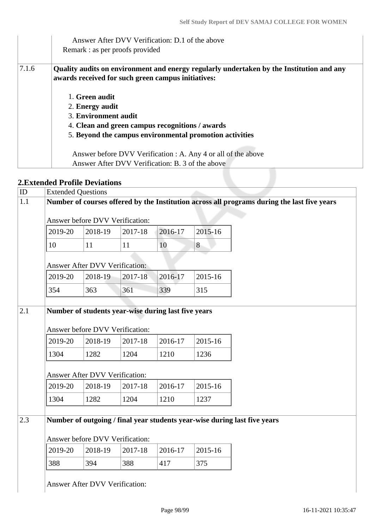|       | Answer After DVV Verification: D.1 of the above<br>Remark : as per proofs provided                                                             |
|-------|------------------------------------------------------------------------------------------------------------------------------------------------|
| 7.1.6 | Quality audits on environment and energy regularly undertaken by the Institution and any<br>awards received for such green campus initiatives: |
|       | 1. Green audit                                                                                                                                 |
|       | 2. Energy audit                                                                                                                                |
|       | 3. Environment audit                                                                                                                           |
|       | 4. Clean and green campus recognitions / awards                                                                                                |
|       | 5. Beyond the campus environmental promotion activities                                                                                        |
|       |                                                                                                                                                |
|       | Answer before DVV Verification : A. Any 4 or all of the above                                                                                  |
|       | Answer After DVV Verification: B. 3 of the above                                                                                               |

## **2.Extended Profile Deviations**

| ID  | <b>Extended Questions</b> |                                       |         |                                                     |             |                                                                                             |  |
|-----|---------------------------|---------------------------------------|---------|-----------------------------------------------------|-------------|---------------------------------------------------------------------------------------------|--|
| 1.1 |                           |                                       |         |                                                     |             | Number of courses offered by the Institution across all programs during the last five years |  |
|     |                           | Answer before DVV Verification:       |         |                                                     |             |                                                                                             |  |
|     | 2019-20                   | 2018-19                               | 2017-18 | 2016-17                                             | $2015 - 16$ |                                                                                             |  |
|     | 10                        | 11                                    | 11      | 10                                                  | 8           |                                                                                             |  |
|     |                           | <b>Answer After DVV Verification:</b> |         |                                                     |             |                                                                                             |  |
|     | 2019-20                   | 2018-19                               | 2017-18 | 2016-17                                             | 2015-16     |                                                                                             |  |
|     | 354                       | 363                                   | 361     | 339                                                 | 315         |                                                                                             |  |
|     |                           |                                       |         |                                                     |             |                                                                                             |  |
| 2.1 |                           |                                       |         | Number of students year-wise during last five years |             |                                                                                             |  |
|     |                           |                                       |         |                                                     |             |                                                                                             |  |
|     |                           | Answer before DVV Verification:       |         |                                                     |             |                                                                                             |  |
|     | 2019-20                   | 2018-19                               | 2017-18 | 2016-17                                             | 2015-16     |                                                                                             |  |
|     | 1304                      | 1282                                  | 1204    | 1210                                                | 1236        |                                                                                             |  |
|     |                           | <b>Answer After DVV Verification:</b> |         |                                                     |             |                                                                                             |  |
|     | 2019-20                   | 2018-19                               | 2017-18 | 2016-17                                             | 2015-16     |                                                                                             |  |
|     | 1304                      | 1282                                  | 1204    | 1210                                                | 1237        |                                                                                             |  |
|     |                           |                                       |         |                                                     |             |                                                                                             |  |
| 2.3 |                           |                                       |         |                                                     |             | Number of outgoing / final year students year-wise during last five years                   |  |
|     |                           | Answer before DVV Verification:       |         |                                                     |             |                                                                                             |  |
|     | 2019-20                   | 2018-19                               | 2017-18 | 2016-17                                             | 2015-16     |                                                                                             |  |
|     | 388                       | 394                                   | 388     | 417                                                 | 375         |                                                                                             |  |
|     |                           |                                       |         |                                                     |             |                                                                                             |  |
|     |                           | Answer After DVV Verification:        |         |                                                     |             |                                                                                             |  |